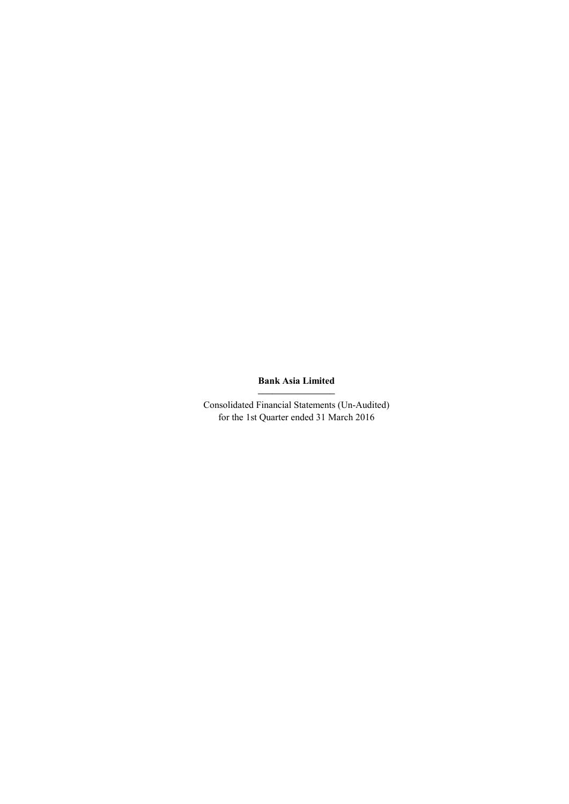# Bank Asia Limited ––––––––––––––––

Consolidated Financial Statements (Un-Audited) for the 1st Quarter ended 31 March 2016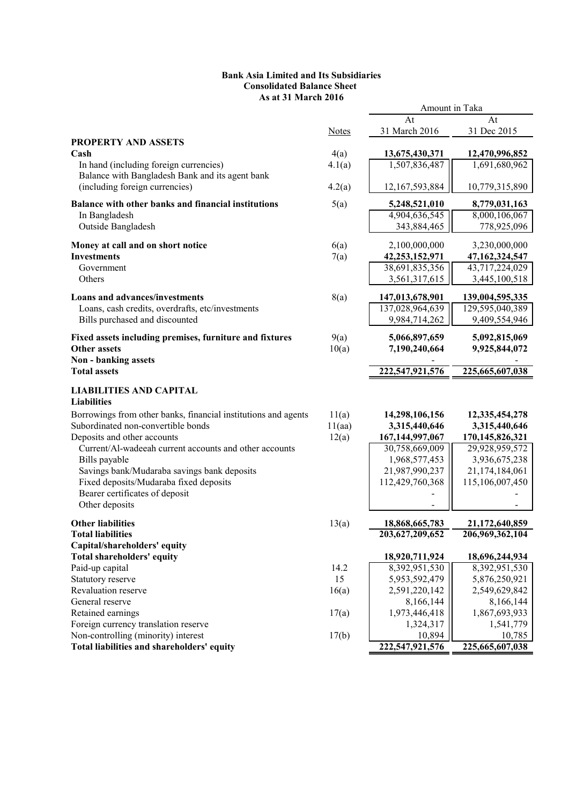# Bank Asia Limited and Its Subsidiaries Consolidated Balance Sheet As at 31 March 2016

|                                                                |              | Amount in Taka     |                 |
|----------------------------------------------------------------|--------------|--------------------|-----------------|
|                                                                |              | At                 | At              |
|                                                                | <b>Notes</b> | 31 March 2016      | 31 Dec 2015     |
| <b>PROPERTY AND ASSETS</b>                                     |              |                    |                 |
| Cash                                                           | 4(a)         | 13,675,430,371     | 12,470,996,852  |
| In hand (including foreign currencies)                         | 4.1(a)       | 1,507,836,487      | 1,691,680,962   |
| Balance with Bangladesh Bank and its agent bank                |              |                    |                 |
| (including foreign currencies)                                 | 4.2(a)       | 12,167,593,884     | 10,779,315,890  |
| Balance with other banks and financial institutions            | 5(a)         | 5,248,521,010      | 8,779,031,163   |
| In Bangladesh                                                  |              | 4,904,636,545      | 8,000,106,067   |
| Outside Bangladesh                                             |              | 343,884,465        | 778,925,096     |
| Money at call and on short notice                              | 6(a)         | 2,100,000,000      | 3,230,000,000   |
| <b>Investments</b>                                             | 7(a)         | 42,253,152,971     | 47,162,324,547  |
| Government                                                     |              | 38,691,835,356     | 43,717,224,029  |
| Others                                                         |              | 3,561,317,615      | 3,445,100,518   |
|                                                                |              |                    |                 |
| <b>Loans and advances/investments</b>                          | 8(a)         | 147,013,678,901    | 139,004,595,335 |
| Loans, cash credits, overdrafts, etc/investments               |              | 137,028,964,639    | 129,595,040,389 |
| Bills purchased and discounted                                 |              | 9,984,714,262      | 9,409,554,946   |
| Fixed assets including premises, furniture and fixtures        | 9(a)         | 5,066,897,659      | 5,092,815,069   |
| <b>Other assets</b>                                            | 10(a)        | 7,190,240,664      | 9,925,844,072   |
| Non - banking assets                                           |              |                    |                 |
| <b>Total assets</b>                                            |              | 222,547,921,576    | 225,665,607,038 |
| <b>LIABILITIES AND CAPITAL</b>                                 |              |                    |                 |
| <b>Liabilities</b>                                             |              |                    |                 |
| Borrowings from other banks, financial institutions and agents | 11(a)        | 14,298,106,156     | 12,335,454,278  |
| Subordinated non-convertible bonds                             | 11(aa)       | 3,315,440,646      | 3,315,440,646   |
| Deposits and other accounts                                    | 12(a)        | 167, 144, 997, 067 | 170,145,826,321 |
| Current/Al-wadeeah current accounts and other accounts         |              | 30,758,669,009     | 29,928,959,572  |
| Bills payable                                                  |              | 1,968,577,453      | 3,936,675,238   |
| Savings bank/Mudaraba savings bank deposits                    |              | 21,987,990,237     | 21,174,184,061  |
| Fixed deposits/Mudaraba fixed deposits                         |              | 112,429,760,368    | 115,106,007,450 |
| Bearer certificates of deposit                                 |              |                    |                 |
| Other deposits                                                 |              |                    |                 |
| <b>Other liabilities</b>                                       | 13(a)        | 18,868,665,783     | 21,172,640,859  |
| <b>Total liabilities</b>                                       |              | 203,627,209,652    | 206,969,362,104 |
| Capital/shareholders' equity                                   |              |                    |                 |
| <b>Total shareholders' equity</b>                              |              | 18,920,711,924     | 18,696,244,934  |
| Paid-up capital                                                | 14.2         | 8,392,951,530      | 8,392,951,530   |
| Statutory reserve                                              | 15           | 5,953,592,479      | 5,876,250,921   |
| Revaluation reserve                                            | 16(a)        | 2,591,220,142      | 2,549,629,842   |
| General reserve                                                |              | 8,166,144          | 8,166,144       |
| Retained earnings                                              | 17(a)        | 1,973,446,418      | 1,867,693,933   |
| Foreign currency translation reserve                           |              | 1,324,317          | 1,541,779       |
| Non-controlling (minority) interest                            | 17(b)        | 10,894             | 10,785          |
| Total liabilities and shareholders' equity                     |              | 222,547,921,576    | 225,665,607,038 |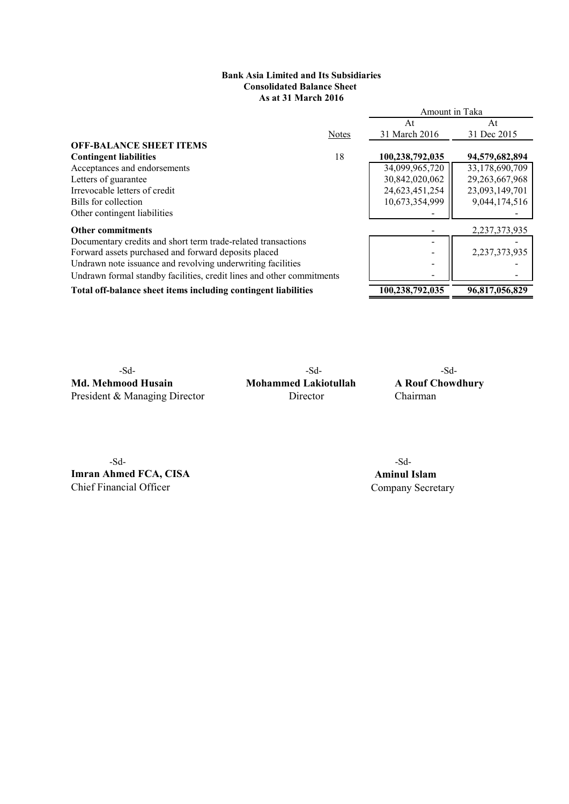# As at 31 March 2016 Bank Asia Limited and Its Subsidiaries Consolidated Balance Sheet

|                                                                       |              | Amount in Taka  |                   |
|-----------------------------------------------------------------------|--------------|-----------------|-------------------|
|                                                                       |              | At              | At                |
|                                                                       | <b>Notes</b> | 31 March 2016   | 31 Dec 2015       |
| <b>OFF-BALANCE SHEET ITEMS</b>                                        |              |                 |                   |
| <b>Contingent liabilities</b>                                         | 18           | 100,238,792,035 | 94,579,682,894    |
| Acceptances and endorsements                                          |              | 34,099,965,720  | 33,178,690,709    |
| Letters of guarantee                                                  |              | 30,842,020,062  | 29, 263, 667, 968 |
| Irrevocable letters of credit                                         |              | 24,623,451,254  | 23,093,149,701    |
| Bills for collection                                                  |              | 10,673,354,999  | 9,044,174,516     |
| Other contingent liabilities                                          |              |                 |                   |
| <b>Other commitments</b>                                              |              |                 | 2, 237, 373, 935  |
| Documentary credits and short term trade-related transactions         |              |                 |                   |
| Forward assets purchased and forward deposits placed                  |              |                 | 2,237,373,935     |
| Undrawn note issuance and revolving underwriting facilities           |              |                 |                   |
| Undrawn formal standby facilities, credit lines and other commitments |              |                 |                   |
| Total off-balance sheet items including contingent liabilities        |              | 100,238,792,035 | 96.817,056,829    |

Md. Mehmood Husain Mohammed Lakiotullah A Rouf Chowdhury<br>President & Managing Director Director Chairman President & Managing Director

-Sd- -Sd-

-Sd- -Sd-**Imran Ahmed FCA, CISA** Aminul Islam<br>
Chief Financial Officer<br>
Company Secret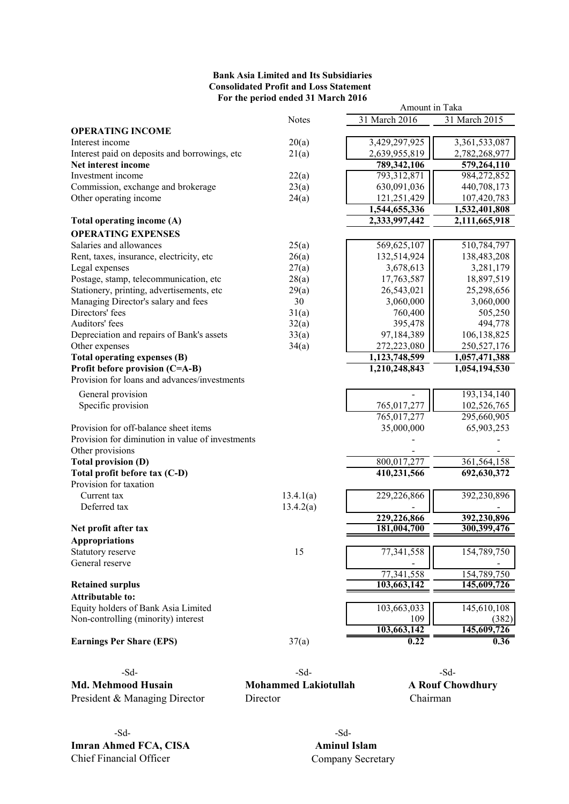# Bank Asia Limited and Its Subsidiaries Consolidated Profit and Loss Statement For the period ended 31 March 2016

|                                                  |              | Amount in Taka |               |
|--------------------------------------------------|--------------|----------------|---------------|
|                                                  | <b>Notes</b> | 31 March 2016  | 31 March 2015 |
| <b>OPERATING INCOME</b>                          |              |                |               |
| Interest income                                  | 20(a)        | 3,429,297,925  | 3,361,533,087 |
| Interest paid on deposits and borrowings, etc    | 21(a)        | 2,639,955,819  | 2,782,268,977 |
| Net interest income                              |              | 789,342,106    | 579,264,110   |
| Investment income                                | 22(a)        | 793,312,871    | 984,272,852   |
| Commission, exchange and brokerage               | 23(a)        | 630,091,036    | 440,708,173   |
| Other operating income                           | 24(a)        | 121,251,429    | 107,420,783   |
|                                                  |              | 1,544,655,336  | 1,532,401,808 |
| Total operating income (A)                       |              | 2,333,997,442  | 2,111,665,918 |
| <b>OPERATING EXPENSES</b>                        |              |                |               |
| Salaries and allowances                          | 25(a)        | 569,625,107    | 510,784,797   |
| Rent, taxes, insurance, electricity, etc         | 26(a)        | 132,514,924    | 138,483,208   |
| Legal expenses                                   | 27(a)        | 3,678,613      | 3,281,179     |
| Postage, stamp, telecommunication, etc           | 28(a)        | 17,763,587     | 18,897,519    |
| Stationery, printing, advertisements, etc        | 29(a)        | 26,543,021     | 25,298,656    |
| Managing Director's salary and fees              | 30           | 3,060,000      | 3,060,000     |
| Directors' fees                                  | 31(a)        | 760,400        | 505,250       |
| Auditors' fees                                   | 32(a)        | 395,478        | 494,778       |
| Depreciation and repairs of Bank's assets        | 33(a)        | 97,184,389     | 106,138,825   |
| Other expenses                                   |              | 272,223,080    | 250,527,176   |
| Total operating expenses (B)                     | 34(a)        | 1,123,748,599  | 1,057,471,388 |
| Profit before provision (C=A-B)                  |              | 1,210,248,843  | 1,054,194,530 |
| Provision for loans and advances/investments     |              |                |               |
|                                                  |              |                |               |
| General provision                                |              |                | 193,134,140   |
| Specific provision                               |              | 765,017,277    | 102,526,765   |
|                                                  |              | 765,017,277    | 295,660,905   |
| Provision for off-balance sheet items            |              | 35,000,000     | 65,903,253    |
| Provision for diminution in value of investments |              |                |               |
| Other provisions                                 |              |                |               |
| <b>Total provision (D)</b>                       |              | 800,017,277    | 361,564,158   |
| Total profit before tax (C-D)                    |              | 410,231,566    | 692,630,372   |
| Provision for taxation                           |              |                |               |
| Current tax                                      | 13.4.1(a)    | 229,226,866    | 392,230,896   |
| Deferred tax                                     | 13.4.2(a)    |                |               |
|                                                  |              | 229,226,866    | 392,230,896   |
| Net profit after tax                             |              | 181,004,700    | 300,399,476   |
| <b>Appropriations</b>                            |              |                |               |
| Statutory reserve                                | 15           | 77,341,558     | 154,789,750   |
| General reserve                                  |              |                |               |
|                                                  |              | 77,341,558     | 154,789,750   |
| <b>Retained surplus</b>                          |              | 103,663,142    | 145,609,726   |
| <b>Attributable to:</b>                          |              |                |               |
| Equity holders of Bank Asia Limited              |              | 103,663,033    | 145,610,108   |
| Non-controlling (minority) interest              |              | 109            | (382)         |
|                                                  |              | 103,663,142    | 145,609,726   |
| <b>Earnings Per Share (EPS)</b>                  | 37(a)        | 0.22           | 0.36          |
|                                                  |              |                |               |
| $-Sd$ -                                          | $-Sd$ -      |                | $-Sd$ -       |
|                                                  |              |                |               |

Md. Mehmood Husain Mohammed Lakiotullah A Rouf Chowdhury President & Managing Director Director Chairman

-Sd- -Sd-**Imran Ahmed FCA, CISA** Aminul Islam<br>
Chief Financial Officer Company Secret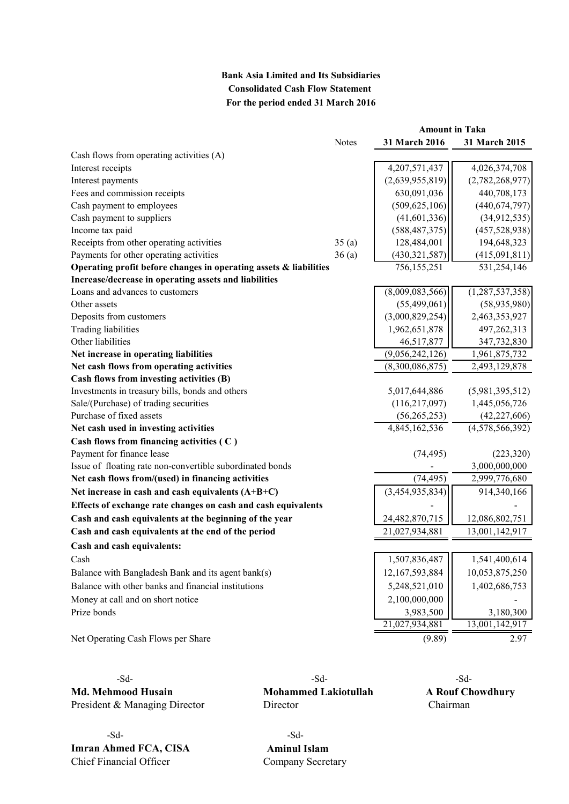# Bank Asia Limited and Its Subsidiaries Consolidated Cash Flow Statement For the period ended 31 March 2016

|                                                                   |              | <b>Amount in Taka</b> |                    |  |
|-------------------------------------------------------------------|--------------|-----------------------|--------------------|--|
|                                                                   | <b>Notes</b> | 31 March 2016         | 31 March 2015      |  |
| Cash flows from operating activities (A)                          |              |                       |                    |  |
| Interest receipts                                                 |              | 4,207,571,437         | 4,026,374,708      |  |
| Interest payments                                                 |              | (2,639,955,819)       | (2,782,268,977)    |  |
| Fees and commission receipts                                      |              | 630,091,036           | 440,708,173        |  |
| Cash payment to employees                                         |              | (509, 625, 106)       | (440, 674, 797)    |  |
| Cash payment to suppliers                                         |              | (41,601,336)          | (34,912,535)       |  |
| Income tax paid                                                   |              | (588, 487, 375)       | (457, 528, 938)    |  |
| Receipts from other operating activities                          | 35(a)        | 128,484,001           | 194,648,323        |  |
| Payments for other operating activities                           | 36(a)        | (430, 321, 587)       | (415,091,811)      |  |
| Operating profit before changes in operating assets & liabilities |              | 756,155,251           | 531,254,146        |  |
| Increase/decrease in operating assets and liabilities             |              |                       |                    |  |
| Loans and advances to customers                                   |              | (8,009,083,566)       | (1, 287, 537, 358) |  |
| Other assets                                                      |              | (55, 499, 061)        | (58,935,980)       |  |
| Deposits from customers                                           |              | (3,000,829,254)       | 2,463,353,927      |  |
| <b>Trading liabilities</b>                                        |              | 1,962,651,878         | 497,262,313        |  |
| Other liabilities                                                 |              | 46,517,877            | 347,732,830        |  |
| Net increase in operating liabilities                             |              | (9,056,242,126)       | 1,961,875,732      |  |
| Net cash flows from operating activities                          |              | (8,300,086,875)       | 2,493,129,878      |  |
| Cash flows from investing activities (B)                          |              |                       |                    |  |
| Investments in treasury bills, bonds and others                   |              | 5,017,644,886         | (5,981,395,512)    |  |
| Sale/(Purchase) of trading securities                             |              | (116, 217, 097)       | 1,445,056,726      |  |
| Purchase of fixed assets                                          |              | (56, 265, 253)        | (42, 227, 606)     |  |
| Net cash used in investing activities                             |              | 4,845,162,536         | (4,578,566,392)    |  |
| Cash flows from financing activities (C)                          |              |                       |                    |  |
| Payment for finance lease                                         |              | (74, 495)             | (223, 320)         |  |
| Issue of floating rate non-convertible subordinated bonds         |              |                       | 3,000,000,000      |  |
| Net cash flows from/(used) in financing activities                |              | (74, 495)             | 2,999,776,680      |  |
| Net increase in cash and cash equivalents $(A+B+C)$               |              | (3,454,935,834)       | 914,340,166        |  |
| Effects of exchange rate changes on cash and cash equivalents     |              |                       |                    |  |
| Cash and cash equivalents at the beginning of the year            |              | 24,482,870,715        | 12,086,802,751     |  |
| Cash and cash equivalents at the end of the period                |              | 21,027,934,881        | 13,001,142,917     |  |
| Cash and cash equivalents:                                        |              |                       |                    |  |
| Cash                                                              |              | 1,507,836,487         | 1,541,400,614      |  |
| Balance with Bangladesh Bank and its agent bank(s)                |              | 12,167,593,884        | 10,053,875,250     |  |
| Balance with other banks and financial institutions               |              | 5,248,521,010         | 1,402,686,753      |  |
| Money at call and on short notice                                 |              | 2,100,000,000         |                    |  |
| Prize bonds                                                       |              | 3,983,500             | 3,180,300          |  |
|                                                                   |              | 21,027,934,881        | 13,001,142,917     |  |
| Net Operating Cash Flows per Share                                |              | (9.89)                | 2.97               |  |

President & Managing Director Director Chairman

-Sd- -Sd-Imran Ahmed FCA, CISA Aminul Islam Chief Financial Officer Company Secretary

-Sd- -Sd- -Sd-Md. Mehmood Husain Mohammed Lakiotullah A Rouf Chowdhury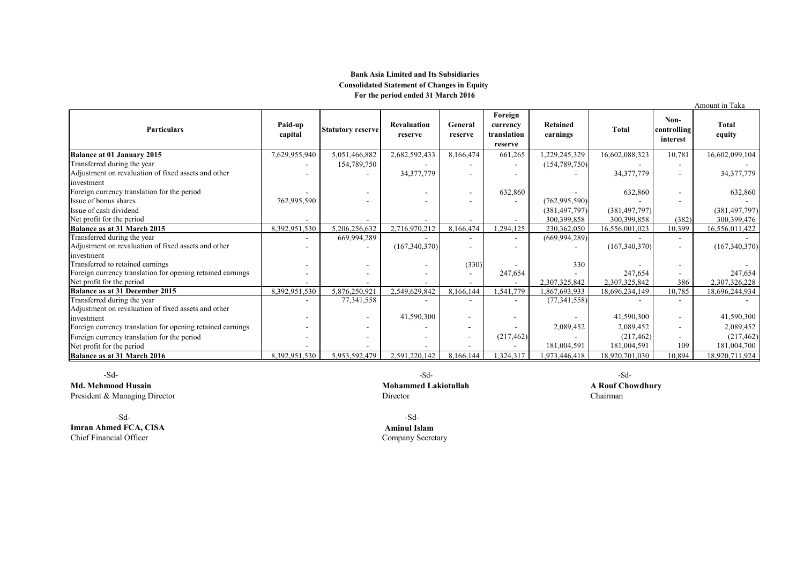## Bank Asia Limited and Its Subsidiaries Consolidated Statement of Changes in Equity For the period ended 31 March 2016

|                                                            |                    |                          |                               |                          |                                               |                             |                 |                                 | Amount in Taka  |
|------------------------------------------------------------|--------------------|--------------------------|-------------------------------|--------------------------|-----------------------------------------------|-----------------------------|-----------------|---------------------------------|-----------------|
| <b>Particulars</b>                                         | Paid-up<br>capital | <b>Statutory reserve</b> | <b>Revaluation</b><br>reserve | General<br>reserve       | Foreign<br>currency<br>translation<br>reserve | <b>Retained</b><br>earnings | <b>Total</b>    | Non-<br>controlling<br>interest | Total<br>equity |
| Balance at 01 January 2015                                 | 7,629,955,940      | 5,051,466,882            | 2,682,592,433                 | 8,166,474                | 661,265                                       | 1,229,245,329               | 16,602,088,323  | 10,781                          | 16,602,099,104  |
| Transferred during the year                                |                    | 154,789,750              |                               |                          | $\sim$                                        | (154, 789, 750)             |                 |                                 |                 |
| Adjustment on revaluation of fixed assets and other        |                    |                          | 34, 377, 779                  |                          |                                               |                             | 34, 377, 779    |                                 | 34, 377, 779    |
| investment                                                 |                    |                          |                               |                          |                                               |                             |                 |                                 |                 |
| Foreign currency translation for the period                |                    |                          |                               | $\overline{\phantom{a}}$ | 632,860                                       |                             | 632,860         |                                 | 632,860         |
| Issue of bonus shares                                      | 762,995,590        |                          |                               |                          |                                               | (762, 995, 590)             |                 |                                 |                 |
| Issue of cash dividend                                     |                    |                          |                               |                          |                                               | (381, 497, 797)             | (381, 497, 797) |                                 | (381, 497, 797) |
| Net profit for the period                                  |                    |                          |                               |                          |                                               | 300,399,858                 | 300,399,858     | (382)                           | 300,399,476     |
| <b>Balance as at 31 March 2015</b>                         | 8,392,951,530      | 5,206,256,632            | 2,716,970,212                 | 8,166,474                | 1,294,125                                     | 230,362,050                 | 16,556,001,023  | 10,399                          | 16,556,011,422  |
| Transferred during the year                                |                    | 669,994,289              |                               | $\blacksquare$           | $\overline{\phantom{a}}$                      | (669, 994, 289)             |                 |                                 |                 |
| Adjustment on revaluation of fixed assets and other        |                    |                          | (167, 340, 370)               |                          | $\overline{\phantom{a}}$                      |                             | (167, 340, 370) | $\overline{\phantom{a}}$        | (167, 340, 370) |
| investment                                                 |                    |                          |                               |                          |                                               |                             |                 |                                 |                 |
| Transferred to retained earnings                           |                    |                          |                               | (330)                    |                                               | 330                         |                 |                                 |                 |
| Foreign currency translation for opening retained earnings |                    |                          |                               |                          | 247,654                                       |                             | 247,654         |                                 | 247,654         |
| Net profit for the period                                  |                    |                          |                               |                          |                                               | 2,307,325,842               | 2,307,325,842   | 386                             | 2,307,326,228   |
| Balance as at 31 December 2015                             | 8,392,951,530      | 5,876,250,921            | 2,549,629,842                 | 8,166,144                | 1,541,779                                     | ,867,693,933                | 18,696,234,149  | 10,785                          | 18,696,244,934  |
| Transferred during the year                                |                    | 77,341,558               |                               |                          | $\overline{\phantom{a}}$                      | (77, 341, 558)              |                 |                                 |                 |
| Adjustment on revaluation of fixed assets and other        |                    |                          |                               |                          |                                               |                             |                 |                                 |                 |
| investment                                                 |                    | $\sim$                   | 41,590,300                    |                          | $\overline{\phantom{a}}$                      |                             | 41,590,300      | $\overline{\phantom{a}}$        | 41,590,300      |
| Foreign currency translation for opening retained earnings |                    |                          |                               |                          |                                               | 2,089,452                   | 2,089,452       | ۰.                              | 2,089,452       |
| Foreign currency translation for the period                |                    |                          |                               |                          | (217, 462)                                    |                             | (217, 462)      |                                 | (217, 462)      |
| Net profit for the period                                  |                    |                          |                               |                          |                                               | 181,004,591                 | 181,004,591     | 109                             | 181,004,700     |
| Balance as at 31 March 2016                                | 8,392,951,530      | 5,953,592,479            | 2,591,220,142                 | 8,166,144                | ,324,317                                      | .973,446,418                | 8.920.701.030   | 10.894                          | 18,920,711,924  |

President & Managing Director Chairman

**Imran Ahmed FCA, CISA Aminul Islam**<br> **Chief Financial Officer Company Secretary** Chief Financial Officer

-Sd- -Sd- -Sd-

Md. Mehmood Husain A Rouf Chowdhury<br>
President & Managing Director Chairman<br>
Pirector Chairman

-Sd- -Sd-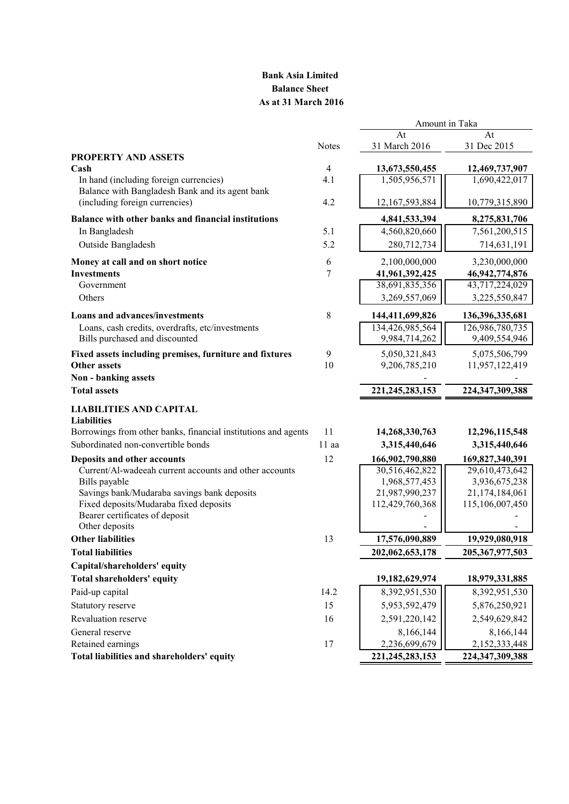# Bank Asia Limited Balance Sheet As at 31 March 2016

Amount in Taka

| <b>Notes</b><br>31 Dec 2015<br><b>PROPERTY AND ASSETS</b><br>Cash<br>$\overline{4}$<br>13,673,550,455<br>12,469,737,907<br>1,505,956,571<br>4.1<br>1,690,422,017<br>In hand (including foreign currencies)<br>Balance with Bangladesh Bank and its agent bank<br>(including foreign currencies)<br>4.2<br>12,167,593,884<br>10,779,315,890<br>Balance with other banks and financial institutions<br>4,841,533,394<br>8,275,831,706<br>4,560,820,660<br>In Bangladesh<br>5.1<br>7,561,200,515<br>5.2<br>Outside Bangladesh<br>280,712,734<br>714,631,191<br>6<br>Money at call and on short notice<br>2,100,000,000<br>3,230,000,000<br><b>Investments</b><br>7<br>41,961,392,425<br>46, 942, 774, 876<br>Government<br>38,691,835,356<br>43,717,224,029<br>Others<br>3,269,557,069<br>3,225,550,847<br><b>Loans and advances/investments</b><br>8<br>144,411,699,826<br>136,396,335,681<br>134,426,985,564<br>126,986,780,735<br>Loans, cash credits, overdrafts, etc/investments<br>Bills purchased and discounted<br>9,984,714,262<br>9,409,554,946<br>Fixed assets including premises, furniture and fixtures<br>9<br>5,050,321,843<br>5,075,506,799<br>10<br><b>Other assets</b><br>9,206,785,210<br>11,957,122,419<br>Non - banking assets<br>221, 245, 283, 153<br>224,347,309,388<br><b>Total assets</b><br><b>LIABILITIES AND CAPITAL</b><br><b>Liabilities</b><br>11<br>Borrowings from other banks, financial institutions and agents<br>14,268,330,763<br>12,296,115,548<br>Subordinated non-convertible bonds<br>11 aa<br>3,315,440,646<br>3,315,440,646<br>12<br>Deposits and other accounts<br>166,902,790,880<br>169,827,340,391<br>30,516,462,822<br>29,610,473,642<br>Current/Al-wadeeah current accounts and other accounts<br>Bills payable<br>1,968,577,453<br>3,936,675,238<br>Savings bank/Mudaraba savings bank deposits<br>21,987,990,237<br>21,174,184,061<br>Fixed deposits/Mudaraba fixed deposits<br>112,429,760,368<br>115,106,007,450<br>Bearer certificates of deposit<br>Other deposits<br><b>Other liabilities</b><br>13<br>17,576,090,889<br>19,929,080,918<br><b>Total liabilities</b><br>202,062,653,178<br>205, 367, 977, 503<br>Capital/shareholders' equity<br>Total shareholders' equity<br>19,182,629,974<br>18,979,331,885<br>Paid-up capital<br>8,392,951,530<br>14.2<br>8,392,951,530<br>15<br>5,953,592,479<br>5,876,250,921<br>Statutory reserve<br>2,591,220,142<br>2,549,629,842<br>Revaluation reserve<br>16<br>8,166,144<br>General reserve<br>8,166,144<br>2,236,699,679<br>2,152,333,448<br>Retained earnings<br>17<br>Total liabilities and shareholders' equity<br>221, 245, 283, 153<br>224,347,309,388 |  | At            | At |
|-----------------------------------------------------------------------------------------------------------------------------------------------------------------------------------------------------------------------------------------------------------------------------------------------------------------------------------------------------------------------------------------------------------------------------------------------------------------------------------------------------------------------------------------------------------------------------------------------------------------------------------------------------------------------------------------------------------------------------------------------------------------------------------------------------------------------------------------------------------------------------------------------------------------------------------------------------------------------------------------------------------------------------------------------------------------------------------------------------------------------------------------------------------------------------------------------------------------------------------------------------------------------------------------------------------------------------------------------------------------------------------------------------------------------------------------------------------------------------------------------------------------------------------------------------------------------------------------------------------------------------------------------------------------------------------------------------------------------------------------------------------------------------------------------------------------------------------------------------------------------------------------------------------------------------------------------------------------------------------------------------------------------------------------------------------------------------------------------------------------------------------------------------------------------------------------------------------------------------------------------------------------------------------------------------------------------------------------------------------------------------------------------------------------------------------------------------------------------------------------------------------------------------------------------------------------------------------------------------------------------------------------------------------------|--|---------------|----|
|                                                                                                                                                                                                                                                                                                                                                                                                                                                                                                                                                                                                                                                                                                                                                                                                                                                                                                                                                                                                                                                                                                                                                                                                                                                                                                                                                                                                                                                                                                                                                                                                                                                                                                                                                                                                                                                                                                                                                                                                                                                                                                                                                                                                                                                                                                                                                                                                                                                                                                                                                                                                                                                                 |  | 31 March 2016 |    |
|                                                                                                                                                                                                                                                                                                                                                                                                                                                                                                                                                                                                                                                                                                                                                                                                                                                                                                                                                                                                                                                                                                                                                                                                                                                                                                                                                                                                                                                                                                                                                                                                                                                                                                                                                                                                                                                                                                                                                                                                                                                                                                                                                                                                                                                                                                                                                                                                                                                                                                                                                                                                                                                                 |  |               |    |
|                                                                                                                                                                                                                                                                                                                                                                                                                                                                                                                                                                                                                                                                                                                                                                                                                                                                                                                                                                                                                                                                                                                                                                                                                                                                                                                                                                                                                                                                                                                                                                                                                                                                                                                                                                                                                                                                                                                                                                                                                                                                                                                                                                                                                                                                                                                                                                                                                                                                                                                                                                                                                                                                 |  |               |    |
|                                                                                                                                                                                                                                                                                                                                                                                                                                                                                                                                                                                                                                                                                                                                                                                                                                                                                                                                                                                                                                                                                                                                                                                                                                                                                                                                                                                                                                                                                                                                                                                                                                                                                                                                                                                                                                                                                                                                                                                                                                                                                                                                                                                                                                                                                                                                                                                                                                                                                                                                                                                                                                                                 |  |               |    |
|                                                                                                                                                                                                                                                                                                                                                                                                                                                                                                                                                                                                                                                                                                                                                                                                                                                                                                                                                                                                                                                                                                                                                                                                                                                                                                                                                                                                                                                                                                                                                                                                                                                                                                                                                                                                                                                                                                                                                                                                                                                                                                                                                                                                                                                                                                                                                                                                                                                                                                                                                                                                                                                                 |  |               |    |
|                                                                                                                                                                                                                                                                                                                                                                                                                                                                                                                                                                                                                                                                                                                                                                                                                                                                                                                                                                                                                                                                                                                                                                                                                                                                                                                                                                                                                                                                                                                                                                                                                                                                                                                                                                                                                                                                                                                                                                                                                                                                                                                                                                                                                                                                                                                                                                                                                                                                                                                                                                                                                                                                 |  |               |    |
|                                                                                                                                                                                                                                                                                                                                                                                                                                                                                                                                                                                                                                                                                                                                                                                                                                                                                                                                                                                                                                                                                                                                                                                                                                                                                                                                                                                                                                                                                                                                                                                                                                                                                                                                                                                                                                                                                                                                                                                                                                                                                                                                                                                                                                                                                                                                                                                                                                                                                                                                                                                                                                                                 |  |               |    |
|                                                                                                                                                                                                                                                                                                                                                                                                                                                                                                                                                                                                                                                                                                                                                                                                                                                                                                                                                                                                                                                                                                                                                                                                                                                                                                                                                                                                                                                                                                                                                                                                                                                                                                                                                                                                                                                                                                                                                                                                                                                                                                                                                                                                                                                                                                                                                                                                                                                                                                                                                                                                                                                                 |  |               |    |
|                                                                                                                                                                                                                                                                                                                                                                                                                                                                                                                                                                                                                                                                                                                                                                                                                                                                                                                                                                                                                                                                                                                                                                                                                                                                                                                                                                                                                                                                                                                                                                                                                                                                                                                                                                                                                                                                                                                                                                                                                                                                                                                                                                                                                                                                                                                                                                                                                                                                                                                                                                                                                                                                 |  |               |    |
|                                                                                                                                                                                                                                                                                                                                                                                                                                                                                                                                                                                                                                                                                                                                                                                                                                                                                                                                                                                                                                                                                                                                                                                                                                                                                                                                                                                                                                                                                                                                                                                                                                                                                                                                                                                                                                                                                                                                                                                                                                                                                                                                                                                                                                                                                                                                                                                                                                                                                                                                                                                                                                                                 |  |               |    |
|                                                                                                                                                                                                                                                                                                                                                                                                                                                                                                                                                                                                                                                                                                                                                                                                                                                                                                                                                                                                                                                                                                                                                                                                                                                                                                                                                                                                                                                                                                                                                                                                                                                                                                                                                                                                                                                                                                                                                                                                                                                                                                                                                                                                                                                                                                                                                                                                                                                                                                                                                                                                                                                                 |  |               |    |
|                                                                                                                                                                                                                                                                                                                                                                                                                                                                                                                                                                                                                                                                                                                                                                                                                                                                                                                                                                                                                                                                                                                                                                                                                                                                                                                                                                                                                                                                                                                                                                                                                                                                                                                                                                                                                                                                                                                                                                                                                                                                                                                                                                                                                                                                                                                                                                                                                                                                                                                                                                                                                                                                 |  |               |    |
|                                                                                                                                                                                                                                                                                                                                                                                                                                                                                                                                                                                                                                                                                                                                                                                                                                                                                                                                                                                                                                                                                                                                                                                                                                                                                                                                                                                                                                                                                                                                                                                                                                                                                                                                                                                                                                                                                                                                                                                                                                                                                                                                                                                                                                                                                                                                                                                                                                                                                                                                                                                                                                                                 |  |               |    |
|                                                                                                                                                                                                                                                                                                                                                                                                                                                                                                                                                                                                                                                                                                                                                                                                                                                                                                                                                                                                                                                                                                                                                                                                                                                                                                                                                                                                                                                                                                                                                                                                                                                                                                                                                                                                                                                                                                                                                                                                                                                                                                                                                                                                                                                                                                                                                                                                                                                                                                                                                                                                                                                                 |  |               |    |
|                                                                                                                                                                                                                                                                                                                                                                                                                                                                                                                                                                                                                                                                                                                                                                                                                                                                                                                                                                                                                                                                                                                                                                                                                                                                                                                                                                                                                                                                                                                                                                                                                                                                                                                                                                                                                                                                                                                                                                                                                                                                                                                                                                                                                                                                                                                                                                                                                                                                                                                                                                                                                                                                 |  |               |    |
|                                                                                                                                                                                                                                                                                                                                                                                                                                                                                                                                                                                                                                                                                                                                                                                                                                                                                                                                                                                                                                                                                                                                                                                                                                                                                                                                                                                                                                                                                                                                                                                                                                                                                                                                                                                                                                                                                                                                                                                                                                                                                                                                                                                                                                                                                                                                                                                                                                                                                                                                                                                                                                                                 |  |               |    |
|                                                                                                                                                                                                                                                                                                                                                                                                                                                                                                                                                                                                                                                                                                                                                                                                                                                                                                                                                                                                                                                                                                                                                                                                                                                                                                                                                                                                                                                                                                                                                                                                                                                                                                                                                                                                                                                                                                                                                                                                                                                                                                                                                                                                                                                                                                                                                                                                                                                                                                                                                                                                                                                                 |  |               |    |
|                                                                                                                                                                                                                                                                                                                                                                                                                                                                                                                                                                                                                                                                                                                                                                                                                                                                                                                                                                                                                                                                                                                                                                                                                                                                                                                                                                                                                                                                                                                                                                                                                                                                                                                                                                                                                                                                                                                                                                                                                                                                                                                                                                                                                                                                                                                                                                                                                                                                                                                                                                                                                                                                 |  |               |    |
|                                                                                                                                                                                                                                                                                                                                                                                                                                                                                                                                                                                                                                                                                                                                                                                                                                                                                                                                                                                                                                                                                                                                                                                                                                                                                                                                                                                                                                                                                                                                                                                                                                                                                                                                                                                                                                                                                                                                                                                                                                                                                                                                                                                                                                                                                                                                                                                                                                                                                                                                                                                                                                                                 |  |               |    |
|                                                                                                                                                                                                                                                                                                                                                                                                                                                                                                                                                                                                                                                                                                                                                                                                                                                                                                                                                                                                                                                                                                                                                                                                                                                                                                                                                                                                                                                                                                                                                                                                                                                                                                                                                                                                                                                                                                                                                                                                                                                                                                                                                                                                                                                                                                                                                                                                                                                                                                                                                                                                                                                                 |  |               |    |
|                                                                                                                                                                                                                                                                                                                                                                                                                                                                                                                                                                                                                                                                                                                                                                                                                                                                                                                                                                                                                                                                                                                                                                                                                                                                                                                                                                                                                                                                                                                                                                                                                                                                                                                                                                                                                                                                                                                                                                                                                                                                                                                                                                                                                                                                                                                                                                                                                                                                                                                                                                                                                                                                 |  |               |    |
|                                                                                                                                                                                                                                                                                                                                                                                                                                                                                                                                                                                                                                                                                                                                                                                                                                                                                                                                                                                                                                                                                                                                                                                                                                                                                                                                                                                                                                                                                                                                                                                                                                                                                                                                                                                                                                                                                                                                                                                                                                                                                                                                                                                                                                                                                                                                                                                                                                                                                                                                                                                                                                                                 |  |               |    |
|                                                                                                                                                                                                                                                                                                                                                                                                                                                                                                                                                                                                                                                                                                                                                                                                                                                                                                                                                                                                                                                                                                                                                                                                                                                                                                                                                                                                                                                                                                                                                                                                                                                                                                                                                                                                                                                                                                                                                                                                                                                                                                                                                                                                                                                                                                                                                                                                                                                                                                                                                                                                                                                                 |  |               |    |
|                                                                                                                                                                                                                                                                                                                                                                                                                                                                                                                                                                                                                                                                                                                                                                                                                                                                                                                                                                                                                                                                                                                                                                                                                                                                                                                                                                                                                                                                                                                                                                                                                                                                                                                                                                                                                                                                                                                                                                                                                                                                                                                                                                                                                                                                                                                                                                                                                                                                                                                                                                                                                                                                 |  |               |    |
|                                                                                                                                                                                                                                                                                                                                                                                                                                                                                                                                                                                                                                                                                                                                                                                                                                                                                                                                                                                                                                                                                                                                                                                                                                                                                                                                                                                                                                                                                                                                                                                                                                                                                                                                                                                                                                                                                                                                                                                                                                                                                                                                                                                                                                                                                                                                                                                                                                                                                                                                                                                                                                                                 |  |               |    |
|                                                                                                                                                                                                                                                                                                                                                                                                                                                                                                                                                                                                                                                                                                                                                                                                                                                                                                                                                                                                                                                                                                                                                                                                                                                                                                                                                                                                                                                                                                                                                                                                                                                                                                                                                                                                                                                                                                                                                                                                                                                                                                                                                                                                                                                                                                                                                                                                                                                                                                                                                                                                                                                                 |  |               |    |
|                                                                                                                                                                                                                                                                                                                                                                                                                                                                                                                                                                                                                                                                                                                                                                                                                                                                                                                                                                                                                                                                                                                                                                                                                                                                                                                                                                                                                                                                                                                                                                                                                                                                                                                                                                                                                                                                                                                                                                                                                                                                                                                                                                                                                                                                                                                                                                                                                                                                                                                                                                                                                                                                 |  |               |    |
|                                                                                                                                                                                                                                                                                                                                                                                                                                                                                                                                                                                                                                                                                                                                                                                                                                                                                                                                                                                                                                                                                                                                                                                                                                                                                                                                                                                                                                                                                                                                                                                                                                                                                                                                                                                                                                                                                                                                                                                                                                                                                                                                                                                                                                                                                                                                                                                                                                                                                                                                                                                                                                                                 |  |               |    |
|                                                                                                                                                                                                                                                                                                                                                                                                                                                                                                                                                                                                                                                                                                                                                                                                                                                                                                                                                                                                                                                                                                                                                                                                                                                                                                                                                                                                                                                                                                                                                                                                                                                                                                                                                                                                                                                                                                                                                                                                                                                                                                                                                                                                                                                                                                                                                                                                                                                                                                                                                                                                                                                                 |  |               |    |
|                                                                                                                                                                                                                                                                                                                                                                                                                                                                                                                                                                                                                                                                                                                                                                                                                                                                                                                                                                                                                                                                                                                                                                                                                                                                                                                                                                                                                                                                                                                                                                                                                                                                                                                                                                                                                                                                                                                                                                                                                                                                                                                                                                                                                                                                                                                                                                                                                                                                                                                                                                                                                                                                 |  |               |    |
|                                                                                                                                                                                                                                                                                                                                                                                                                                                                                                                                                                                                                                                                                                                                                                                                                                                                                                                                                                                                                                                                                                                                                                                                                                                                                                                                                                                                                                                                                                                                                                                                                                                                                                                                                                                                                                                                                                                                                                                                                                                                                                                                                                                                                                                                                                                                                                                                                                                                                                                                                                                                                                                                 |  |               |    |
|                                                                                                                                                                                                                                                                                                                                                                                                                                                                                                                                                                                                                                                                                                                                                                                                                                                                                                                                                                                                                                                                                                                                                                                                                                                                                                                                                                                                                                                                                                                                                                                                                                                                                                                                                                                                                                                                                                                                                                                                                                                                                                                                                                                                                                                                                                                                                                                                                                                                                                                                                                                                                                                                 |  |               |    |
|                                                                                                                                                                                                                                                                                                                                                                                                                                                                                                                                                                                                                                                                                                                                                                                                                                                                                                                                                                                                                                                                                                                                                                                                                                                                                                                                                                                                                                                                                                                                                                                                                                                                                                                                                                                                                                                                                                                                                                                                                                                                                                                                                                                                                                                                                                                                                                                                                                                                                                                                                                                                                                                                 |  |               |    |
|                                                                                                                                                                                                                                                                                                                                                                                                                                                                                                                                                                                                                                                                                                                                                                                                                                                                                                                                                                                                                                                                                                                                                                                                                                                                                                                                                                                                                                                                                                                                                                                                                                                                                                                                                                                                                                                                                                                                                                                                                                                                                                                                                                                                                                                                                                                                                                                                                                                                                                                                                                                                                                                                 |  |               |    |
|                                                                                                                                                                                                                                                                                                                                                                                                                                                                                                                                                                                                                                                                                                                                                                                                                                                                                                                                                                                                                                                                                                                                                                                                                                                                                                                                                                                                                                                                                                                                                                                                                                                                                                                                                                                                                                                                                                                                                                                                                                                                                                                                                                                                                                                                                                                                                                                                                                                                                                                                                                                                                                                                 |  |               |    |
|                                                                                                                                                                                                                                                                                                                                                                                                                                                                                                                                                                                                                                                                                                                                                                                                                                                                                                                                                                                                                                                                                                                                                                                                                                                                                                                                                                                                                                                                                                                                                                                                                                                                                                                                                                                                                                                                                                                                                                                                                                                                                                                                                                                                                                                                                                                                                                                                                                                                                                                                                                                                                                                                 |  |               |    |
|                                                                                                                                                                                                                                                                                                                                                                                                                                                                                                                                                                                                                                                                                                                                                                                                                                                                                                                                                                                                                                                                                                                                                                                                                                                                                                                                                                                                                                                                                                                                                                                                                                                                                                                                                                                                                                                                                                                                                                                                                                                                                                                                                                                                                                                                                                                                                                                                                                                                                                                                                                                                                                                                 |  |               |    |
|                                                                                                                                                                                                                                                                                                                                                                                                                                                                                                                                                                                                                                                                                                                                                                                                                                                                                                                                                                                                                                                                                                                                                                                                                                                                                                                                                                                                                                                                                                                                                                                                                                                                                                                                                                                                                                                                                                                                                                                                                                                                                                                                                                                                                                                                                                                                                                                                                                                                                                                                                                                                                                                                 |  |               |    |
|                                                                                                                                                                                                                                                                                                                                                                                                                                                                                                                                                                                                                                                                                                                                                                                                                                                                                                                                                                                                                                                                                                                                                                                                                                                                                                                                                                                                                                                                                                                                                                                                                                                                                                                                                                                                                                                                                                                                                                                                                                                                                                                                                                                                                                                                                                                                                                                                                                                                                                                                                                                                                                                                 |  |               |    |
|                                                                                                                                                                                                                                                                                                                                                                                                                                                                                                                                                                                                                                                                                                                                                                                                                                                                                                                                                                                                                                                                                                                                                                                                                                                                                                                                                                                                                                                                                                                                                                                                                                                                                                                                                                                                                                                                                                                                                                                                                                                                                                                                                                                                                                                                                                                                                                                                                                                                                                                                                                                                                                                                 |  |               |    |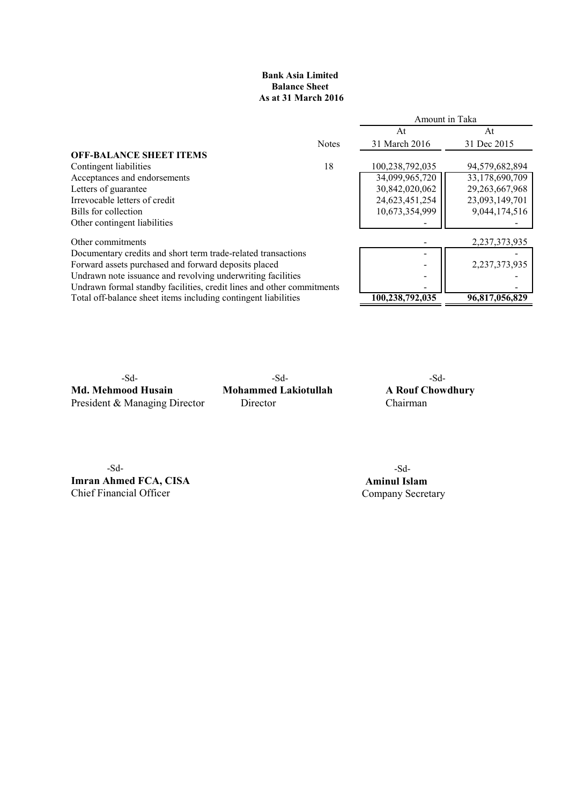# Bank Asia Limited Balance Sheet As at 31 March 2016

|                                                                       |              |                 | Amount in Taka    |
|-----------------------------------------------------------------------|--------------|-----------------|-------------------|
|                                                                       |              | At              | At                |
|                                                                       | <b>Notes</b> | 31 March 2016   | 31 Dec 2015       |
| <b>OFF-BALANCE SHEET ITEMS</b>                                        |              |                 |                   |
| Contingent liabilities                                                | 18           | 100,238,792,035 | 94,579,682,894    |
| Acceptances and endorsements                                          |              | 34,099,965,720  | 33,178,690,709    |
| Letters of guarantee                                                  |              | 30,842,020,062  | 29, 263, 667, 968 |
| Irrevocable letters of credit                                         |              | 24,623,451,254  | 23,093,149,701    |
| Bills for collection                                                  |              | 10,673,354,999  | 9,044,174,516     |
| Other contingent liabilities                                          |              |                 |                   |
| Other commitments                                                     |              |                 | 2,237,373,935     |
| Documentary credits and short term trade-related transactions         |              |                 |                   |
| Forward assets purchased and forward deposits placed                  |              |                 | 2,237,373,935     |
| Undrawn note issuance and revolving underwriting facilities           |              | -               |                   |
| Undrawn formal standby facilities, credit lines and other commitments |              |                 |                   |
| Total off-balance sheet items including contingent liabilities        |              | 100,238,792,035 | 96,817,056,829    |

Md. Mehmood Husain Mohammed Lakiotullah A Rouf Chowdhury President & Managing Director Director Chairman

-Sd- -Sd- -Sd-

-Sd- -Sd-**Imran Ahmed FCA, CISA** Aminul Islam<br>
Chief Financial Officer<br>
Company Secret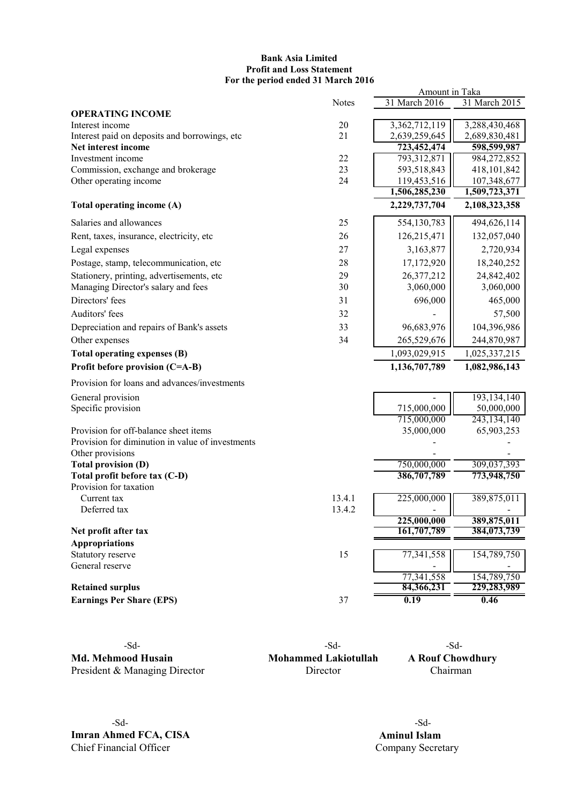# Bank Asia Limited Profit and Loss Statement For the period ended 31 March 2016

|                                                         |              | Amount in Taka             |                              |
|---------------------------------------------------------|--------------|----------------------------|------------------------------|
|                                                         | <b>Notes</b> | 31 March 2016              | 31 March 2015                |
| <b>OPERATING INCOME</b>                                 |              |                            |                              |
| Interest income                                         | 20           | 3,362,712,119              | 3,288,430,468                |
| Interest paid on deposits and borrowings, etc           | 21           | 2,639,259,645              | 2,689,830,481                |
| Net interest income                                     |              | 723,452,474                | 598,599,987                  |
| Investment income                                       | 22           | 793,312,871                | 984,272,852                  |
| Commission, exchange and brokerage                      | 23           | 593,518,843<br>119,453,516 | 418,101,842                  |
| Other operating income                                  | 24           | 1,506,285,230              | 107,348,677<br>1,509,723,371 |
| Total operating income (A)                              |              | 2,229,737,704              | 2,108,323,358                |
| Salaries and allowances                                 | 25           | 554,130,783                | 494,626,114                  |
| Rent, taxes, insurance, electricity, etc                | 26           | 126,215,471                | 132,057,040                  |
| Legal expenses                                          | 27           | 3,163,877                  | 2,720,934                    |
| Postage, stamp, telecommunication, etc                  | 28           | 17,172,920                 | 18,240,252                   |
| Stationery, printing, advertisements, etc               | 29           | 26,377,212                 | 24,842,402                   |
| Managing Director's salary and fees                     | 30           | 3,060,000                  | 3,060,000                    |
| Directors' fees                                         | 31           | 696,000                    | 465,000                      |
| Auditors' fees                                          | 32           |                            | 57,500                       |
| Depreciation and repairs of Bank's assets               | 33           | 96,683,976                 | 104,396,986                  |
| Other expenses                                          | 34           | 265,529,676                | 244,870,987                  |
| Total operating expenses (B)                            |              | 1,093,029,915              | 1,025,337,215                |
| Profit before provision (C=A-B)                         |              | 1,136,707,789              | 1,082,986,143                |
| Provision for loans and advances/investments            |              |                            |                              |
| General provision                                       |              |                            | 193, 134, 140                |
| Specific provision                                      |              | 715,000,000                | 50,000,000                   |
|                                                         |              | 715,000,000                | 243, 134, 140                |
| Provision for off-balance sheet items                   |              | 35,000,000                 | 65,903,253                   |
| Provision for diminution in value of investments        |              |                            |                              |
| Other provisions                                        |              |                            |                              |
| <b>Total provision (D)</b>                              |              | 750,000,000                | 309,037,393                  |
| Total profit before tax (C-D)<br>Provision for taxation |              | 386,707,789                | 773,948,750                  |
| Current tax                                             | 13.4.1       | 225,000,000                | 389,875,011                  |
| Deferred tax                                            | 13.4.2       |                            |                              |
|                                                         |              | 225,000,000                | 389,875,011                  |
| Net profit after tax                                    |              | 161,707,789                | 384,073,739                  |
| <b>Appropriations</b>                                   |              |                            |                              |
| Statutory reserve                                       | 15           | 77,341,558                 | 154,789,750                  |
| General reserve                                         |              |                            |                              |
| <b>Retained surplus</b>                                 |              | 77,341,558<br>84,366,231   | 154,789,750<br>229,283,989   |
| <b>Earnings Per Share (EPS)</b>                         | 37           | 0.19                       | 0.46                         |
|                                                         |              |                            |                              |

Md. Mehmood Husain Mohammed Lakiotullah A Rouf Chowdhury President & Managing Director Director Director Chairman

-Sd- -Sd- -Sd-

-Sd- -Sd-**Imran Ahmed FCA, CISA** Aminul Islam<br>
Chief Financial Officer<br>
Company Secre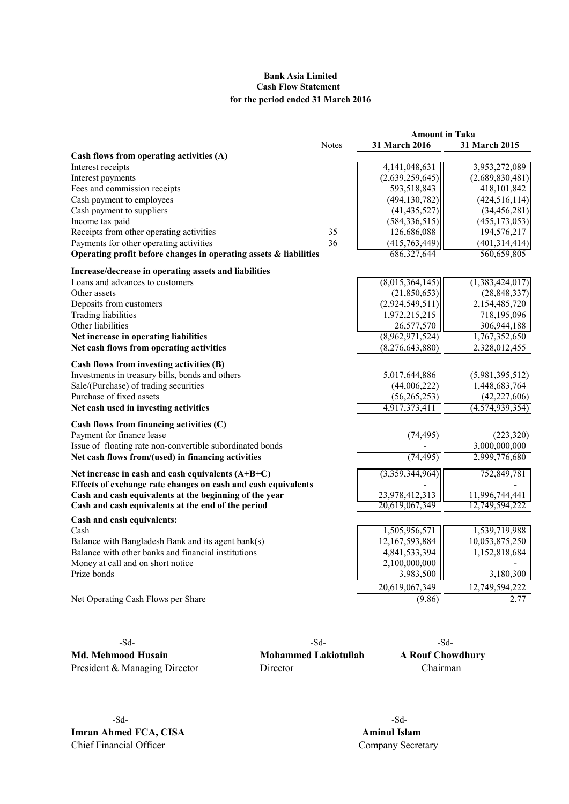# Bank Asia Limited Cash Flow Statement for the period ended 31 March 2016

|                                                                   |              | <b>Amount in Taka</b>            |                                  |
|-------------------------------------------------------------------|--------------|----------------------------------|----------------------------------|
|                                                                   | <b>Notes</b> | <b>31 March 2016</b>             | <b>31 March 2015</b>             |
| Cash flows from operating activities (A)                          |              |                                  |                                  |
| Interest receipts                                                 |              | 4, 141, 048, 631                 | 3,953,272,089                    |
| Interest payments                                                 |              | (2,639,259,645)                  | (2,689,830,481)                  |
| Fees and commission receipts                                      |              | 593,518,843                      | 418,101,842                      |
| Cash payment to employees                                         |              | (494, 130, 782)                  | (424, 516, 114)                  |
| Cash payment to suppliers                                         |              | (41, 435, 527)                   | (34, 456, 281)                   |
| Income tax paid                                                   |              | (584, 336, 515)                  | (455, 173, 053)                  |
| Receipts from other operating activities                          | 35           | 126,686,088                      | 194,576,217                      |
| Payments for other operating activities                           | 36           | (415, 763, 449)                  | (401, 314, 414)                  |
| Operating profit before changes in operating assets & liabilities |              | 686, 327, 644                    | 560,659,805                      |
| Increase/decrease in operating assets and liabilities             |              |                                  |                                  |
| Loans and advances to customers                                   |              | (8,015,364,145)                  | (1,383,424,017)                  |
| Other assets                                                      |              | (21, 850, 653)                   | (28, 848, 337)                   |
| Deposits from customers                                           |              | (2,924,549,511)                  | 2,154,485,720                    |
| Trading liabilities                                               |              | 1,972,215,215                    | 718,195,096                      |
| Other liabilities                                                 |              | 26,577,570                       | 306,944,188                      |
| Net increase in operating liabilities                             |              | (8,962,971,524)                  | 1,767,352,650                    |
| Net cash flows from operating activities                          |              | (8,276,643,880)                  | 2,328,012,455                    |
| Cash flows from investing activities (B)                          |              |                                  |                                  |
| Investments in treasury bills, bonds and others                   |              | 5,017,644,886                    | (5,981,395,512)                  |
| Sale/(Purchase) of trading securities                             |              | (44,006,222)                     | 1,448,683,764                    |
| Purchase of fixed assets                                          |              | (56, 265, 253)                   | (42, 227, 606)                   |
| Net cash used in investing activities                             |              | 4,917,373,411                    | (4, 574, 939, 354)               |
| Cash flows from financing activities (C)                          |              |                                  |                                  |
| Payment for finance lease                                         |              | (74, 495)                        | (223, 320)                       |
| Issue of floating rate non-convertible subordinated bonds         |              |                                  | 3,000,000,000                    |
| Net cash flows from/(used) in financing activities                |              | (74, 495)                        | 2,999,776,680                    |
| Net increase in cash and cash equivalents $(A+B+C)$               |              | (3,359,344,964)                  | 752,849,781                      |
| Effects of exchange rate changes on cash and cash equivalents     |              |                                  |                                  |
| Cash and cash equivalents at the beginning of the year            |              | 23,978,412,313<br>20,619,067,349 | 11,996,744,441<br>12,749,594,222 |
| Cash and cash equivalents at the end of the period                |              |                                  |                                  |
| Cash and cash equivalents:                                        |              |                                  |                                  |
| Cash                                                              |              | 1,505,956,571                    | 1,539,719,988                    |
| Balance with Bangladesh Bank and its agent bank(s)                |              | 12,167,593,884                   | 10,053,875,250                   |
| Balance with other banks and financial institutions               |              | 4,841,533,394                    | 1,152,818,684                    |
| Money at call and on short notice                                 |              | 2,100,000,000                    |                                  |
| Prize bonds                                                       |              | 3,983,500                        | 3,180,300                        |
|                                                                   |              | 20,619,067,349                   | 12,749,594,222                   |
| Net Operating Cash Flows per Share                                |              | (9.86)                           | 2.77                             |

-Sd- -Sd- -Sd-Md. Mehmood Husain Mohammed Lakiotullah A Rouf Chowdhury President & Managing Director Director Director Chairman

-Sd- -Sd-**Imran Ahmed FCA, CISA** Aminul Islam<br>
Chief Financial Officer Company Secre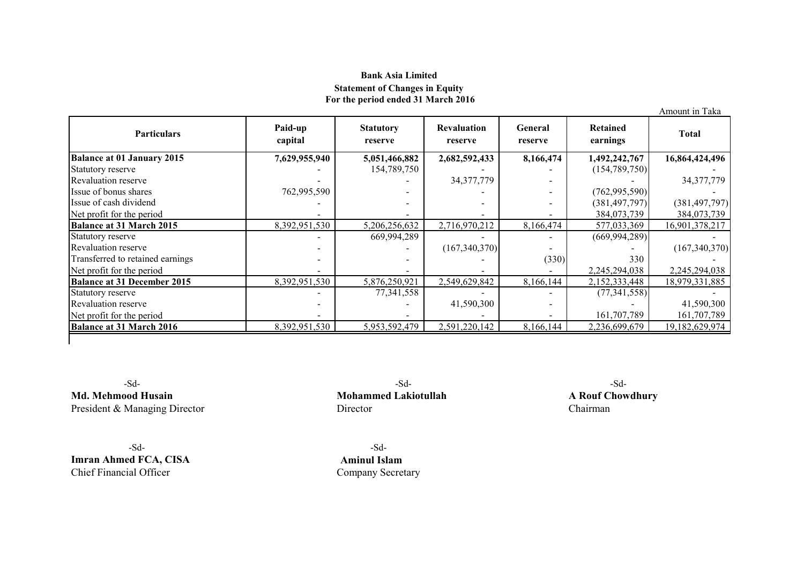# Bank Asia Limited Statement of Changes in Equity For the period ended 31 March 2016

|                                    |                          |                             |                               |                    |                      | Amount in Taka  |
|------------------------------------|--------------------------|-----------------------------|-------------------------------|--------------------|----------------------|-----------------|
| <b>Particulars</b>                 | Paid-up<br>capital       | <b>Statutory</b><br>reserve | <b>Revaluation</b><br>reserve | General<br>reserve | Retained<br>earnings | <b>Total</b>    |
| <b>Balance at 01 January 2015</b>  | 7,629,955,940            | 5,051,466,882               | 2,682,592,433                 | 8,166,474          | 1,492,242,767        | 16,864,424,496  |
| Statutory reserve                  |                          | 154,789,750                 |                               |                    | (154, 789, 750)      |                 |
| <b>Revaluation reserve</b>         |                          |                             | 34, 377, 779                  |                    |                      | 34, 377, 779    |
| Issue of bonus shares              | 762,995,590              |                             |                               |                    | (762, 995, 590)      |                 |
| Issue of cash dividend             |                          |                             |                               |                    | (381, 497, 797)      | (381, 497, 797) |
| Net profit for the period          |                          |                             |                               |                    | 384,073,739          | 384,073,739     |
| <b>Balance at 31 March 2015</b>    | 8,392,951,530            | 5,206,256,632               | 2,716,970,212                 | 8,166,474          | 577,033,369          | 16,901,378,217  |
| Statutory reserve                  |                          | 669,994,289                 |                               |                    | (669, 994, 289)      |                 |
| <b>Revaluation reserve</b>         |                          |                             | (167,340,370)                 |                    |                      | (167,340,370)   |
| Transferred to retained earnings   |                          |                             |                               | (330)              | 330                  |                 |
| Net profit for the period          |                          |                             |                               |                    | 2,245,294,038        | 2,245,294,038   |
| <b>Balance at 31 December 2015</b> | 8,392,951,530            | 5,876,250,921               | 2,549,629,842                 | 8,166,144          | 2,152,333,448        | 18,979,331,885  |
| Statutory reserve                  | $\overline{\phantom{a}}$ | 77,341,558                  |                               |                    | (77, 341, 558)       |                 |
| <b>Revaluation reserve</b>         |                          |                             | 41,590,300                    |                    |                      | 41,590,300      |
| Net profit for the period          |                          |                             |                               |                    | 161,707,789          | 161,707,789     |
| <b>Balance at 31 March 2016</b>    | 8,392,951,530            | 5,953,592,479               | 2,591,220,142                 | 8,166,144          | 2,236,699,679        | 19,182,629,974  |
|                                    |                          |                             |                               |                    |                      |                 |

Md. Mehmood Husain Mohammed Lakiotullah A Rouf Chowdhury<br>President & Managing Director Director Director Chairman President & Managing Director

-Sd- -Sd-Imran Ahmed FCA, CISA <br>
Chief Financial Officer Company Secret

-Sd- -Sd- -Sd-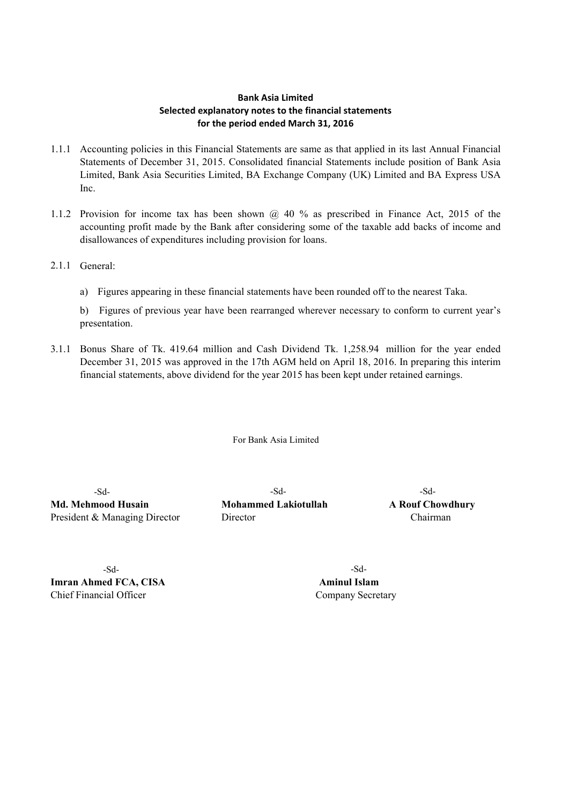# Bank Asia Limited Selected explanatory notes to the financial statements for the period ended March 31, 2016

- 1.1.1 Accounting policies in this Financial Statements are same as that applied in its last Annual Financial Statements of December 31, 2015. Consolidated financial Statements include position of Bank Asia Limited, Bank Asia Securities Limited, BA Exchange Company (UK) Limited and BA Express USA Inc.
- 1.1.2 Provision for income tax has been shown @ 40 % as prescribed in Finance Act, 2015 of the accounting profit made by the Bank after considering some of the taxable add backs of income and disallowances of expenditures including provision for loans.
- 2.1.1 General:
	- a) Figures appearing in these financial statements have been rounded off to the nearest Taka.

b) Figures of previous year have been rearranged wherever necessary to conform to current year's presentation.

3.1.1 Bonus Share of Tk. 419.64 million and Cash Dividend Tk. 1,258.94 million for the year ended December 31, 2015 was approved in the 17th AGM held on April 18, 2016. In preparing this interim financial statements, above dividend for the year 2015 has been kept under retained earnings.

For Bank Asia Limited

Md. Mehmood Husain Mohammed Lakiotullah A Rouf Chowdhury President & Managing Director Director Chairman

-Sd- -Sd- -Sd-

-Sd- -Sd-**Imran Ahmed FCA, CISA** Aminul Islam Chief Financial Officer Company Secretary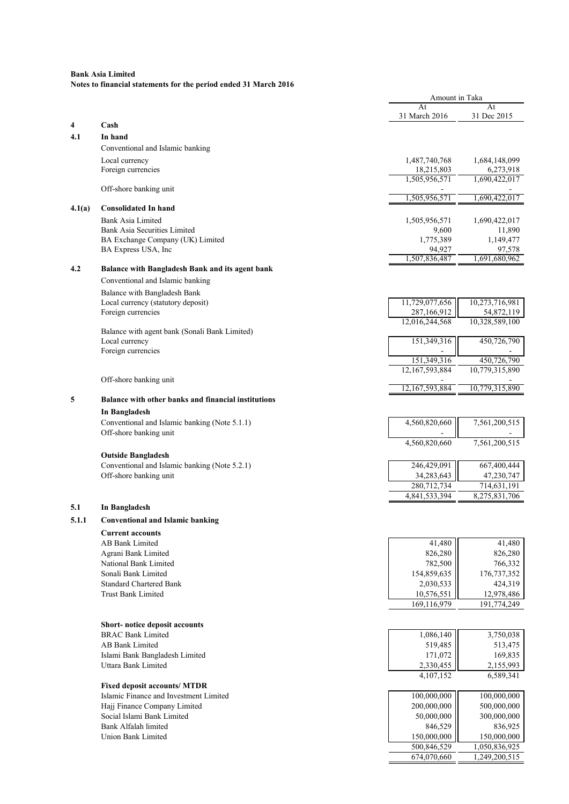|        |                                                            | Amount in Taka                |                               |
|--------|------------------------------------------------------------|-------------------------------|-------------------------------|
|        |                                                            | At                            | At                            |
| 4      | Cash                                                       | 31 March 2016                 | 31 Dec 2015                   |
| 4.1    | In hand                                                    |                               |                               |
|        | Conventional and Islamic banking                           |                               |                               |
|        | Local currency                                             | 1,487,740,768                 | 1,684,148,099                 |
|        | Foreign currencies                                         | 18,215,803                    | 6,273,918                     |
|        |                                                            | 1,505,956,571                 | 1,690,422,017                 |
|        | Off-shore banking unit                                     | 1,505,956,571                 | 1,690,422,017                 |
| 4.1(a) | <b>Consolidated In hand</b>                                |                               |                               |
|        | Bank Asia Limited                                          | 1,505,956,571                 | 1,690,422,017                 |
|        | <b>Bank Asia Securities Limited</b>                        | 9,600                         | 11,890                        |
|        | BA Exchange Company (UK) Limited                           | 1,775,389                     | 1,149,477                     |
|        | BA Express USA, Inc                                        | 94,927                        | 97,578                        |
|        |                                                            | 1,507,836,487                 | 1,691,680,962                 |
| 4.2    | Balance with Bangladesh Bank and its agent bank            |                               |                               |
|        | Conventional and Islamic banking                           |                               |                               |
|        | Balance with Bangladesh Bank                               |                               |                               |
|        | Local currency (statutory deposit)<br>Foreign currencies   | 11,729,077,656<br>287,166,912 | 10,273,716,981<br>54,872,119  |
|        |                                                            | 12,016,244,568                | 10,328,589,100                |
|        | Balance with agent bank (Sonali Bank Limited)              |                               |                               |
|        | Local currency                                             | 151,349,316                   | 450,726,790                   |
|        | Foreign currencies                                         |                               |                               |
|        |                                                            | 151,349,316<br>12,167,593,884 | 450,726,790<br>10,779,315,890 |
|        | Off-shore banking unit                                     |                               |                               |
|        |                                                            | 12, 167, 593, 884             | 10,779,315,890                |
| 5      | <b>Balance with other banks and financial institutions</b> |                               |                               |
|        | In Bangladesh                                              |                               |                               |
|        | Conventional and Islamic banking (Note 5.1.1)              | 4,560,820,660                 | 7,561,200,515                 |
|        | Off-shore banking unit                                     |                               |                               |
|        |                                                            | 4,560,820,660                 | 7,561,200,515                 |
|        | <b>Outside Bangladesh</b>                                  |                               |                               |
|        | Conventional and Islamic banking (Note 5.2.1)              | 246,429,091                   | 667,400,444                   |
|        | Off-shore banking unit                                     | 34,283,643                    | 47,230,747                    |
|        |                                                            | 280,712,734<br>4,841,533,394  | 714,631,191<br>8,275,831,706  |
| 5.1    | In Bangladesh                                              |                               |                               |
|        |                                                            |                               |                               |
| 5.1.1  | <b>Conventional and Islamic banking</b>                    |                               |                               |
|        | <b>Current accounts</b>                                    |                               |                               |
|        | <b>AB Bank Limited</b><br>Agrani Bank Limited              | 41,480<br>826,280             | 41,480<br>826,280             |
|        | National Bank Limited                                      | 782,500                       | 766,332                       |
|        | Sonali Bank Limited                                        | 154,859,635                   | 176,737,352                   |
|        | <b>Standard Chartered Bank</b>                             | 2,030,533                     | 424,319                       |
|        | <b>Trust Bank Limited</b>                                  | 10,576,551                    | 12,978,486                    |
|        |                                                            | 169,116,979                   | 191,774,249                   |
|        |                                                            |                               |                               |
|        | Short-notice deposit accounts<br><b>BRAC Bank Limited</b>  |                               |                               |
|        | <b>AB Bank Limited</b>                                     | 1,086,140<br>519,485          | 3,750,038<br>513,475          |
|        | Islami Bank Bangladesh Limited                             | 171,072                       | 169,835                       |
|        | Uttara Bank Limited                                        | 2,330,455                     | 2,155,993                     |
|        |                                                            | 4,107,152                     | 6,589,341                     |
|        | <b>Fixed deposit accounts/ MTDR</b>                        |                               |                               |
|        | Islamic Finance and Investment Limited                     | 100,000,000                   | 100,000,000                   |
|        | Hajj Finance Company Limited                               | 200,000,000                   | 500,000,000                   |
|        | Social Islami Bank Limited                                 | 50,000,000                    | 300,000,000                   |
|        | Bank Alfalah limited<br>Union Bank Limited                 | 846,529                       | 836,925                       |
|        |                                                            | 150,000,000<br>500,846,529    | 150,000,000<br>1,050,836,925  |
|        |                                                            | 674,070,660                   | 1,249,200,515                 |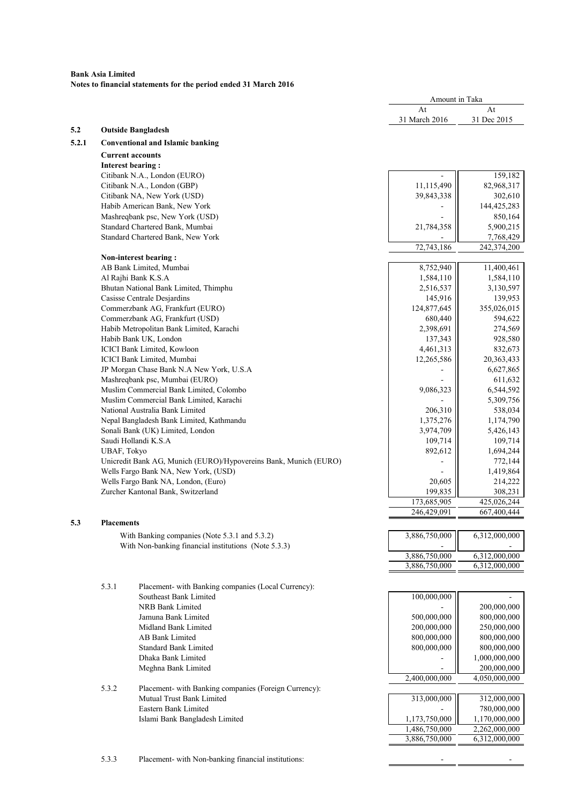|       |                          |                                                                             | Amount in Taka |                              |
|-------|--------------------------|-----------------------------------------------------------------------------|----------------|------------------------------|
|       |                          |                                                                             | At             | At                           |
|       |                          |                                                                             | 31 March 2016  | 31 Dec 2015                  |
| 5.2   |                          | <b>Outside Bangladesh</b>                                                   |                |                              |
| 5.2.1 |                          | <b>Conventional and Islamic banking</b>                                     |                |                              |
|       | <b>Current accounts</b>  |                                                                             |                |                              |
|       | <b>Interest bearing:</b> |                                                                             |                |                              |
|       |                          | Citibank N.A., London (EURO)                                                |                | 159,182                      |
|       |                          | Citibank N.A., London (GBP)                                                 | 11,115,490     | 82,968,317                   |
|       |                          | Citibank NA, New York (USD)                                                 | 39,843,338     | 302,610                      |
|       |                          | Habib American Bank, New York                                               |                | 144,425,283                  |
|       |                          | Mashreqbank psc, New York (USD)                                             |                | 850,164                      |
|       |                          | Standard Chartered Bank, Mumbai                                             | 21,784,358     | 5,900,215                    |
|       |                          | Standard Chartered Bank, New York                                           | 72,743,186     | 7,768,429                    |
|       |                          | Non-interest bearing:                                                       |                | 242,374,200                  |
|       |                          | AB Bank Limited, Mumbai                                                     | 8,752,940      | 11,400,461                   |
|       |                          | Al Rajhi Bank K.S.A                                                         | 1,584,110      | 1,584,110                    |
|       |                          | Bhutan National Bank Limited, Thimphu                                       | 2,516,537      | 3,130,597                    |
|       |                          | Casisse Centrale Desjardins                                                 | 145,916        | 139,953                      |
|       |                          | Commerzbank AG, Frankfurt (EURO)                                            | 124,877,645    | 355,026,015                  |
|       |                          | Commerzbank AG, Frankfurt (USD)                                             | 680,440        | 594,622                      |
|       |                          | Habib Metropolitan Bank Limited, Karachi                                    | 2,398,691      | 274,569                      |
|       |                          | Habib Bank UK, London                                                       | 137,343        | 928,580                      |
|       |                          | ICICI Bank Limited, Kowloon                                                 | 4,461,313      | 832,673                      |
|       |                          | ICICI Bank Limited, Mumbai                                                  | 12,265,586     | 20,363,433                   |
|       |                          | JP Morgan Chase Bank N.A New York, U.S.A                                    |                | 6,627,865                    |
|       |                          | Mashreqbank psc, Mumbai (EURO)                                              |                | 611,632                      |
|       |                          | Muslim Commercial Bank Limited, Colombo                                     | 9,086,323      | 6,544,592                    |
|       |                          | Muslim Commercial Bank Limited, Karachi                                     |                | 5,309,756                    |
|       |                          | National Australia Bank Limited                                             | 206,310        | 538,034                      |
|       |                          | Nepal Bangladesh Bank Limited, Kathmandu                                    | 1,375,276      | 1,174,790                    |
|       |                          | Sonali Bank (UK) Limited, London                                            | 3,974,709      | 5,426,143                    |
|       |                          | Saudi Hollandi K.S.A                                                        | 109,714        | 109,714                      |
|       | <b>UBAF, Tokyo</b>       |                                                                             | 892,612        | 1,694,244                    |
|       |                          | Unicredit Bank AG, Munich (EURO)/Hypovereins Bank, Munich (EURO)            |                | 772,144                      |
|       |                          | Wells Fargo Bank NA, New York, (USD)<br>Wells Fargo Bank NA, London, (Euro) | 20,605         | 1,419,864<br>214,222         |
|       |                          | Zurcher Kantonal Bank, Switzerland                                          | 199,835        | 308,231                      |
|       |                          |                                                                             | 173,685,905    | 425,026,244                  |
|       |                          |                                                                             | 246,429,091    | 667,400,444                  |
| 5.3   | <b>Placements</b>        |                                                                             |                |                              |
|       |                          | With Banking companies (Note 5.3.1 and 5.3.2)                               | 3,886,750,000  | 6,312,000,000                |
|       |                          | With Non-banking financial institutions (Note 5.3.3)                        |                |                              |
|       |                          |                                                                             | 3,886,750,000  | 6,312,000,000                |
|       |                          |                                                                             | 3,886,750,000  | 6,312,000,000                |
|       |                          |                                                                             |                |                              |
|       | 5.3.1                    | Placement- with Banking companies (Local Currency):                         |                |                              |
|       |                          | Southeast Bank Limited                                                      | 100,000,000    |                              |
|       |                          | NRB Bank Limited                                                            |                | 200,000,000                  |
|       |                          | Jamuna Bank Limited                                                         | 500,000,000    | 800,000,000                  |
|       |                          | Midland Bank Limited                                                        | 200,000,000    | 250,000,000                  |
|       |                          | AB Bank Limited                                                             | 800,000,000    | 800,000,000                  |
|       |                          | <b>Standard Bank Limited</b>                                                | 800,000,000    | 800,000,000                  |
|       |                          | Dhaka Bank Limited                                                          |                | 1,000,000,000                |
|       |                          | Meghna Bank Limited                                                         |                | 200,000,000                  |
|       |                          |                                                                             | 2,400,000,000  | 4,050,000,000                |
|       | 5.3.2                    | Placement- with Banking companies (Foreign Currency):                       |                |                              |
|       |                          | Mutual Trust Bank Limited<br>Eastern Bank Limited                           | 313,000,000    | 312,000,000                  |
|       |                          | Islami Bank Bangladesh Limited                                              | 1,173,750,000  | 780,000,000<br>1,170,000,000 |
|       |                          |                                                                             | 1,486,750,000  | 2,262,000,000                |
|       |                          |                                                                             | 3,886,750,000  | 6,312,000,000                |
|       |                          |                                                                             |                |                              |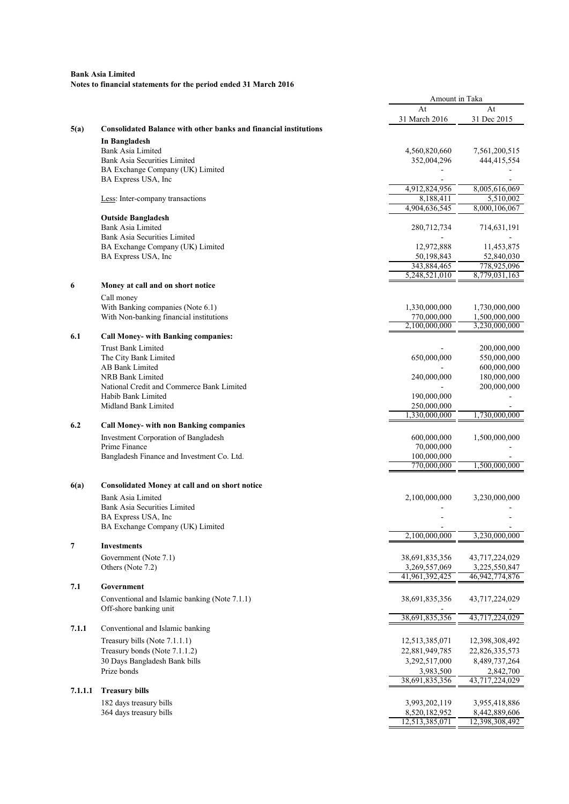|         |                                                                         | Amount in Taka                  |                                 |
|---------|-------------------------------------------------------------------------|---------------------------------|---------------------------------|
|         |                                                                         | At                              | At                              |
|         |                                                                         | 31 March 2016                   | 31 Dec 2015                     |
| 5(a)    | <b>Consolidated Balance with other banks and financial institutions</b> |                                 |                                 |
|         | In Bangladesh                                                           |                                 |                                 |
|         | <b>Bank Asia Limited</b><br><b>Bank Asia Securities Limited</b>         | 4,560,820,660<br>352,004,296    | 7,561,200,515<br>444,415,554    |
|         | BA Exchange Company (UK) Limited                                        |                                 |                                 |
|         | BA Express USA, Inc                                                     |                                 |                                 |
|         |                                                                         | 4,912,824,956                   | 8,005,616,069                   |
|         | Less: Inter-company transactions                                        | 8,188,411                       | 5,510,002                       |
|         |                                                                         | 4,904,636,545                   | 8,000,106,067                   |
|         | <b>Outside Bangladesh</b>                                               |                                 |                                 |
|         | Bank Asia Limited                                                       | 280,712,734                     | 714,631,191                     |
|         | Bank Asia Securities Limited                                            | 12,972,888                      |                                 |
|         | BA Exchange Company (UK) Limited<br>BA Express USA, Inc                 | 50,198,843                      | 11,453,875<br>52,840,030        |
|         |                                                                         | 343,884,465                     | 778,925,096                     |
|         |                                                                         | 5,248,521,010                   | 8,779,031,163                   |
| 6       | Money at call and on short notice                                       |                                 |                                 |
|         | Call money                                                              |                                 |                                 |
|         | With Banking companies (Note 6.1)                                       | 1,330,000,000                   | 1,730,000,000                   |
|         | With Non-banking financial institutions                                 | 770,000,000                     | 1,500,000,000                   |
|         |                                                                         | 2.100.000.000                   | 3.230.000.000                   |
| 6.1     | <b>Call Money- with Banking companies:</b>                              |                                 |                                 |
|         | <b>Trust Bank Limited</b>                                               |                                 | 200,000,000                     |
|         | The City Bank Limited                                                   | 650,000,000                     | 550,000,000                     |
|         | <b>AB Bank Limited</b>                                                  |                                 | 600,000,000                     |
|         | NRB Bank Limited                                                        | 240,000,000                     | 180,000,000                     |
|         | National Credit and Commerce Bank Limited<br>Habib Bank Limited         | 190,000,000                     | 200,000,000                     |
|         | Midland Bank Limited                                                    | 250,000,000                     |                                 |
|         |                                                                         | 1,330,000,000                   | 1,730,000,000                   |
| 6.2     | <b>Call Money- with non Banking companies</b>                           |                                 |                                 |
|         | Investment Corporation of Bangladesh                                    | 600,000,000                     | 1,500,000,000                   |
|         | Prime Finance                                                           | 70,000,000                      |                                 |
|         | Bangladesh Finance and Investment Co. Ltd.                              | 100,000,000                     |                                 |
|         |                                                                         | 770,000,000                     | 1,500,000,000                   |
|         |                                                                         |                                 |                                 |
| 6(a)    | Consolidated Money at call and on short notice                          |                                 |                                 |
|         | Bank Asia Limited                                                       | 2,100,000,000                   | 3,230,000,000                   |
|         | <b>Bank Asia Securities Limited</b>                                     |                                 |                                 |
|         | BA Express USA, Inc.                                                    |                                 |                                 |
|         | BA Exchange Company (UK) Limited                                        | 2,100,000,000                   | 3.230.000.000                   |
| 7       | <b>Investments</b>                                                      |                                 |                                 |
|         | Government (Note 7.1)                                                   | 38,691,835,356                  | 43,717,224,029                  |
|         | Others (Note 7.2)                                                       | 3,269,557,069                   | 3,225,550,847                   |
|         |                                                                         | 41,961,392,425                  | 46,942,774,876                  |
| 7.1     | Government                                                              |                                 |                                 |
|         | Conventional and Islamic banking (Note 7.1.1)                           | 38,691,835,356                  | 43,717,224,029                  |
|         | Off-shore banking unit                                                  | 38,691,835,356                  | 43,717,224,029                  |
| 7.1.1   | Conventional and Islamic banking                                        |                                 |                                 |
|         |                                                                         |                                 |                                 |
|         | Treasury bills (Note 7.1.1.1)                                           | 12,513,385,071                  | 12,398,308,492                  |
|         | Treasury bonds (Note 7.1.1.2)<br>30 Days Bangladesh Bank bills          | 22,881,949,785<br>3,292,517,000 | 22,826,335,573<br>8,489,737,264 |
|         | Prize bonds                                                             | 3,983,500                       | 2,842,700                       |
|         |                                                                         | 38,691,835,356                  | 43,717,224,029                  |
| 7.1.1.1 | <b>Treasury bills</b>                                                   |                                 |                                 |
|         | 182 days treasury bills                                                 | 3,993,202,119                   | 3,955,418,886                   |
|         | 364 days treasury bills                                                 | 8,520,182,952                   | 8,442,889,606                   |
|         |                                                                         | 12,513,385,071                  | 12,398,308,492                  |
|         |                                                                         |                                 |                                 |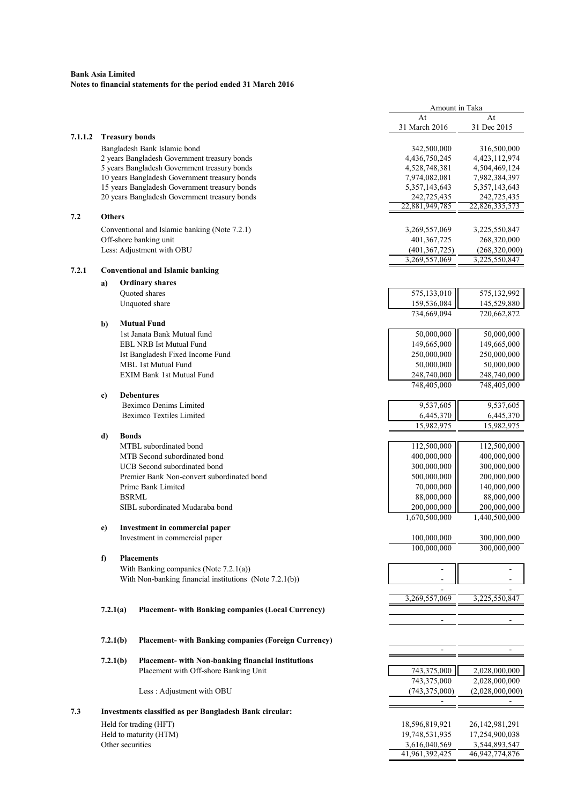|         |               |                                                             | Amount in Taka                |                               |
|---------|---------------|-------------------------------------------------------------|-------------------------------|-------------------------------|
|         |               |                                                             | At                            | At                            |
|         |               |                                                             | 31 March 2016                 | 31 Dec 2015                   |
| 7.1.1.2 |               | <b>Treasury bonds</b>                                       |                               |                               |
|         |               | Bangladesh Bank Islamic bond                                | 342,500,000                   | 316,500,000                   |
|         |               | 2 years Bangladesh Government treasury bonds                | 4,436,750,245                 | 4,423,112,974                 |
|         |               | 5 years Bangladesh Government treasury bonds                | 4,528,748,381                 | 4,504,469,124                 |
|         |               | 10 years Bangladesh Government treasury bonds               | 7,974,082,081                 | 7,982,384,397                 |
|         |               | 15 years Bangladesh Government treasury bonds               | 5,357,143,643                 | 5,357,143,643                 |
|         |               | 20 years Bangladesh Government treasury bonds               | 242,725,435<br>22,881,949,785 | 242,725,435<br>22,826,335,573 |
| 7.2     | <b>Others</b> |                                                             |                               |                               |
|         |               |                                                             |                               |                               |
|         |               | Conventional and Islamic banking (Note 7.2.1)               | 3,269,557,069                 | 3,225,550,847                 |
|         |               | Off-shore banking unit                                      | 401, 367, 725                 | 268,320,000                   |
|         |               | Less: Adjustment with OBU                                   | (401, 367, 725)               | (268,320,000)                 |
|         |               |                                                             | 3,269,557,069                 | 3,225,550,847                 |
| 7.2.1   |               | <b>Conventional and Islamic banking</b>                     |                               |                               |
|         | a)            | <b>Ordinary shares</b>                                      |                               |                               |
|         |               | Quoted shares                                               | 575,133,010                   | 575,132,992                   |
|         |               | Unquoted share                                              | 159,536,084                   | 145,529,880                   |
|         |               |                                                             | 734,669,094                   | 720,662,872                   |
|         | b)            | <b>Mutual Fund</b>                                          |                               |                               |
|         |               | 1st Janata Bank Mutual fund                                 | 50,000,000                    | 50,000,000                    |
|         |               | <b>EBL NRB Ist Mutual Fund</b>                              | 149,665,000                   | 149,665,000                   |
|         |               | Ist Bangladesh Fixed Income Fund                            | 250,000,000                   | 250,000,000                   |
|         |               | MBL 1st Mutual Fund                                         | 50,000,000                    | 50,000,000                    |
|         |               | <b>EXIM Bank 1st Mutual Fund</b>                            | 248,740,000                   | 248,740,000                   |
|         |               |                                                             | 748,405,000                   | 748,405,000                   |
|         | c)            | <b>Debentures</b>                                           |                               |                               |
|         |               | <b>Beximco Denims Limited</b>                               | 9,537,605                     | 9,537,605                     |
|         |               | <b>Beximco Textiles Limited</b>                             | 6,445,370                     | 6,445,370                     |
|         |               |                                                             | 15,982,975                    | 15,982,975                    |
|         | d)            | <b>Bonds</b>                                                |                               |                               |
|         |               | MTBL subordinated bond                                      | 112,500,000                   | 112,500,000                   |
|         |               | MTB Second subordinated bond                                | 400,000,000                   | 400,000,000                   |
|         |               | UCB Second subordinated bond                                | 300,000,000                   | 300,000,000                   |
|         |               | Premier Bank Non-convert subordinated bond                  | 500,000,000                   | 200,000,000                   |
|         |               | Prime Bank Limited                                          | 70,000,000                    | 140,000,000                   |
|         |               | <b>BSRML</b>                                                | 88,000,000                    | 88,000,000                    |
|         |               | SIBL subordinated Mudaraba bond                             | 200,000,000                   | 200,000,000                   |
|         |               |                                                             | 1,670,500,000                 | 1,440,500,000                 |
|         | e)            | Investment in commercial paper                              |                               |                               |
|         |               | Investment in commercial paper                              | 100,000,000                   | 300,000,000                   |
|         |               |                                                             | 100,000,000                   | $\overline{300,000,000}$      |
|         | f)            | <b>Placements</b>                                           |                               |                               |
|         |               | With Banking companies (Note $7.2.1(a)$ )                   |                               |                               |
|         |               | With Non-banking financial institutions (Note 7.2.1(b))     |                               |                               |
|         |               |                                                             |                               |                               |
|         |               |                                                             | 3,269,557,069                 | 3,225,550,847                 |
|         | 7.2.1(a)      | <b>Placement- with Banking companies (Local Currency)</b>   |                               |                               |
|         |               |                                                             |                               |                               |
|         |               |                                                             |                               |                               |
|         | 7.2.1(b)      | <b>Placement- with Banking companies (Foreign Currency)</b> | ä,                            |                               |
|         |               |                                                             |                               |                               |
|         | 7.2.1(b)      | Placement- with Non-banking financial institutions          |                               |                               |
|         |               | Placement with Off-shore Banking Unit                       | 743,375,000                   | 2,028,000,000                 |
|         |               |                                                             | 743,375,000                   | 2,028,000,000                 |
|         |               | Less: Adjustment with OBU                                   | (743, 375, 000)               | (2,028,000,000)               |
|         |               |                                                             | $\overline{\phantom{a}}$      |                               |
| 7.3     |               | Investments classified as per Bangladesh Bank circular:     |                               |                               |
|         |               | Held for trading (HFT)                                      | 18,596,819,921                | 26, 142, 981, 291             |
|         |               | Held to maturity (HTM)                                      | 19,748,531,935                | 17,254,900,038                |
|         |               | Other securities                                            | 3,616,040,569                 | 3,544,893,547                 |
|         |               |                                                             | 41,961,392,425                | 46,942,774,876                |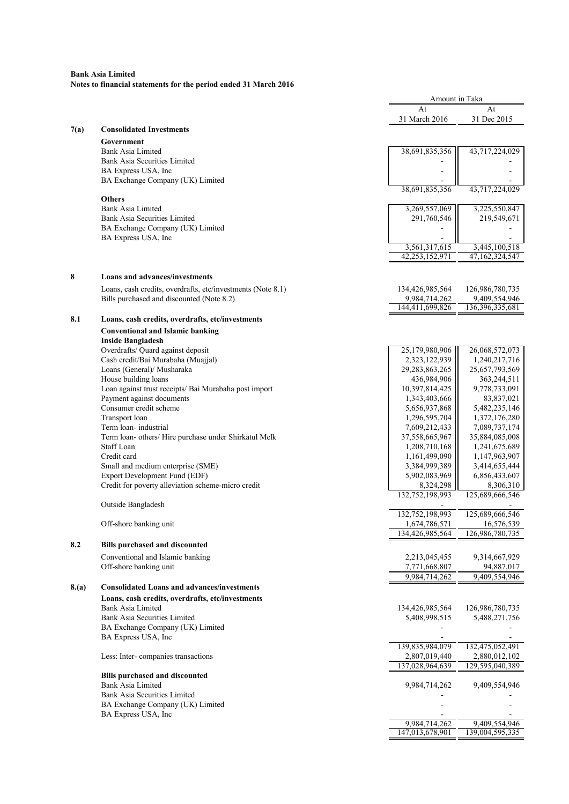|       |                                                                     | Amount in Taka                   |                                  |
|-------|---------------------------------------------------------------------|----------------------------------|----------------------------------|
|       |                                                                     | At                               | At                               |
| 7(a)  | <b>Consolidated Investments</b>                                     | 31 March 2016                    | 31 Dec 2015                      |
|       | Government                                                          |                                  |                                  |
|       | Bank Asia Limited                                                   | 38,691,835,356                   | 43,717,224,029                   |
|       | Bank Asia Securities Limited                                        |                                  |                                  |
|       | BA Express USA, Inc<br>BA Exchange Company (UK) Limited             |                                  |                                  |
|       |                                                                     | 38,691,835,356                   | 43,717,224,029                   |
|       | <b>Others</b>                                                       |                                  |                                  |
|       | Bank Asia Limited<br><b>Bank Asia Securities Limited</b>            | 3,269,557,069<br>291,760,546     | 3,225,550,847<br>219,549,671     |
|       | BA Exchange Company (UK) Limited                                    |                                  |                                  |
|       | BA Express USA, Inc                                                 |                                  |                                  |
|       |                                                                     | 3,561,317,615                    | 3,445,100,518                    |
|       |                                                                     | 42,253,152,971                   | 47,162,324,547                   |
| 8     | Loans and advances/investments                                      |                                  |                                  |
|       | Loans, cash credits, overdrafts, etc/investments (Note 8.1)         | 134,426,985,564                  | 126,986,780,735                  |
|       | Bills purchased and discounted (Note 8.2)                           | 9,984,714,262                    | 9,409,554,946                    |
|       |                                                                     | 144,411,699,826                  | 136, 396, 335, 681               |
| 8.1   | Loans, cash credits, overdrafts, etc/investments                    |                                  |                                  |
|       | <b>Conventional and Islamic banking</b><br><b>Inside Bangladesh</b> |                                  |                                  |
|       | Overdrafts/ Quard against deposit                                   | 25,179,980,906                   | 26,068,572,073                   |
|       | Cash credit/Bai Murabaha (Muajjal)                                  | 2,323,122,939                    | 1,240,217,716                    |
|       | Loans (General)/ Musharaka<br>House building loans                  | 29, 283, 863, 265<br>436,984,906 | 25,657,793,569<br>363,244,511    |
|       | Loan against trust receipts/ Bai Murabaha post import               | 10,397,814,425                   | 9,778,733,091                    |
|       | Payment against documents                                           | 1,343,403,666                    | 83,837,021                       |
|       | Consumer credit scheme<br>Transport loan                            | 5,656,937,868                    | 5,482,235,146                    |
|       | Term loan-industrial                                                | 1,296,595,704<br>7,609,212,433   | 1,372,176,280<br>7,089,737,174   |
|       | Term loan- others/ Hire purchase under Shirkatul Melk               | 37,558,665,967                   | 35,884,085,008                   |
|       | Staff Loan                                                          | 1,208,710,168                    | 1,241,675,689                    |
|       | Credit card<br>Small and medium enterprise (SME)                    | 1,161,499,090<br>3,384,999,389   | 1,147,963,907<br>3,414,655,444   |
|       | <b>Export Development Fund (EDF)</b>                                | 5,902,083,969                    | 6,856,433,607                    |
|       | Credit for poverty alleviation scheme-micro credit                  | 8,324,298                        | 8,306,310                        |
|       | Outside Bangladesh                                                  | 132,752,198,993                  | 125,689,666,546                  |
|       |                                                                     | 132,752,198,993                  | 125,689,666,546                  |
|       | Off-shore banking unit                                              | 1,674,786,571                    | 16,576,539                       |
|       |                                                                     | 134,426,985,564                  | 126,986,780,735                  |
| 8.2   | <b>Bills purchased and discounted</b>                               |                                  |                                  |
|       | Conventional and Islamic banking<br>Off-shore banking unit          | 2,213,045,455<br>7,771,668,807   | 9,314,667,929<br>94,887,017      |
|       |                                                                     | 9,984,714,262                    | 9,409,554,946                    |
| 8.(a) | <b>Consolidated Loans and advances/investments</b>                  |                                  |                                  |
|       | Loans, cash credits, overdrafts, etc/investments                    |                                  |                                  |
|       | Bank Asia Limited<br>Bank Asia Securities Limited                   | 134,426,985,564<br>5,408,998,515 | 126,986,780,735<br>5,488,271,756 |
|       | BA Exchange Company (UK) Limited                                    |                                  |                                  |
|       | BA Express USA, Inc                                                 |                                  |                                  |
|       |                                                                     | 139,835,984,079                  | 132,475,052,491                  |
|       | Less: Inter-companies transactions                                  | 2,807,019,440<br>137,028,964,639 | 2,880,012,102<br>129,595,040,389 |
|       | <b>Bills purchased and discounted</b>                               |                                  |                                  |
|       | <b>Bank Asia Limited</b>                                            | 9,984,714,262                    | 9,409,554,946                    |
|       | Bank Asia Securities Limited<br>BA Exchange Company (UK) Limited    |                                  |                                  |
|       | BA Express USA, Inc                                                 |                                  |                                  |
|       |                                                                     | 9,984,714,262                    | 9,409,554,946                    |
|       |                                                                     | 147,013,678,901                  | 139,004,595,335                  |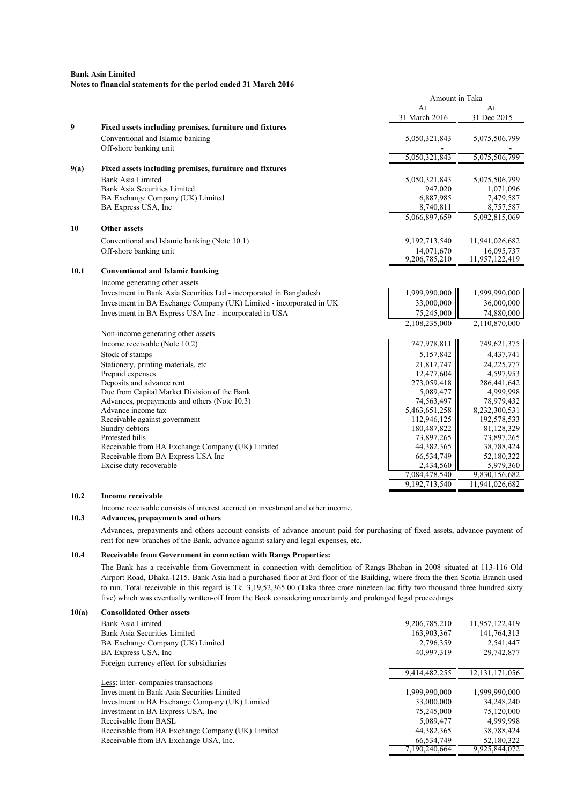|      |                                                                     | Amount in Taka |                |
|------|---------------------------------------------------------------------|----------------|----------------|
|      |                                                                     | At             | At             |
|      |                                                                     | 31 March 2016  | 31 Dec 2015    |
| 9    | Fixed assets including premises, furniture and fixtures             |                |                |
|      | Conventional and Islamic banking                                    | 5,050,321,843  | 5,075,506,799  |
|      | Off-shore banking unit                                              |                |                |
|      |                                                                     | 5,050,321,843  | 5,075,506,799  |
| 9(a) | Fixed assets including premises, furniture and fixtures             |                |                |
|      | Bank Asia Limited                                                   | 5,050,321,843  | 5,075,506,799  |
|      | Bank Asia Securities Limited                                        | 947,020        | 1,071,096      |
|      | BA Exchange Company (UK) Limited                                    | 6,887,985      | 7,479,587      |
|      | BA Express USA, Inc                                                 | 8,740,811      | 8,757,587      |
|      |                                                                     | 5,066,897,659  | 5,092,815,069  |
| 10   | <b>Other assets</b>                                                 |                |                |
|      | Conventional and Islamic banking (Note 10.1)                        | 9,192,713,540  | 11,941,026,682 |
|      | Off-shore banking unit                                              | 14,071,670     | 16,095,737     |
|      |                                                                     | 9,206,785,210  | 11,957,122,419 |
| 10.1 | <b>Conventional and Islamic banking</b>                             |                |                |
|      | Income generating other assets                                      |                |                |
|      | Investment in Bank Asia Securities Ltd - incorporated in Bangladesh | 1,999,990,000  | 1,999,990,000  |
|      | Investment in BA Exchange Company (UK) Limited - incorporated in UK | 33,000,000     | 36,000,000     |
|      | Investment in BA Express USA Inc - incorporated in USA              | 75,245,000     | 74,880,000     |
|      |                                                                     | 2,108,235,000  | 2,110,870,000  |
|      | Non-income generating other assets                                  |                |                |
|      | Income receivable (Note 10.2)                                       | 747,978,811    | 749,621,375    |
|      | Stock of stamps                                                     | 5,157,842      | 4,437,741      |
|      | Stationery, printing materials, etc                                 | 21,817,747     | 24,225,777     |
|      | Prepaid expenses                                                    | 12,477,604     | 4,597,953      |
|      | Deposits and advance rent                                           | 273,059,418    | 286,441,642    |
|      | Due from Capital Market Division of the Bank                        | 5,089,477      | 4,999,998      |
|      | Advances, prepayments and others (Note 10.3)                        | 74,563,497     | 78,979,432     |
|      | Advance income tax                                                  | 5,463,651,258  | 8,232,300,531  |
|      | Receivable against government                                       | 112,946,125    | 192,578,533    |
|      | Sundry debtors                                                      | 180,487,822    | 81,128,329     |
|      | Protested bills                                                     | 73,897,265     | 73,897,265     |
|      | Receivable from BA Exchange Company (UK) Limited                    | 44,382,365     | 38,788,424     |
|      | Receivable from BA Express USA Inc                                  | 66,534,749     | 52,180,322     |
|      | Excise duty recoverable                                             | 2,434,560      | 5,979,360      |
|      |                                                                     | 7,084,478,540  | 9,830,156,682  |
|      |                                                                     | 9,192,713,540  | 11,941,026,682 |

## 10.2 Income receivable

Income receivable consists of interest accrued on investment and other income.

# 10.3 Advances, prepayments and others

Advances, prepayments and others account consists of advance amount paid for purchasing of fixed assets, advance payment of rent for new branches of the Bank, advance against salary and legal expenses, etc.

#### 10.4 Receivable from Government in connection with Rangs Properties:

The Bank has a receivable from Government in connection with demolition of Rangs Bhaban in 2008 situated at 113-116 Old Airport Road, Dhaka-1215. Bank Asia had a purchased floor at 3rd floor of the Building, where from the then Scotia Branch used to run. Total receivable in this regard is Tk. 3,19,52,365.00 (Taka three crore nineteen lac fifty two thousand three hundred sixty five) which was eventually written-off from the Book considering uncertainty and prolonged legal proceedings.

# 10(a) Consolidated Other assets

| Bank Asia Limited                                | 9,206,785,210 | 11,957,122,419    |
|--------------------------------------------------|---------------|-------------------|
| Bank Asia Securities Limited                     | 163,903,367   | 141,764,313       |
| BA Exchange Company (UK) Limited                 | 2,796,359     | 2,541,447         |
| BA Express USA, Inc.                             | 40,997,319    | 29,742,877        |
| Foreign currency effect for subsidiaries         |               |                   |
|                                                  | 9,414,482,255 | 12, 131, 171, 056 |
| Less: Inter-companies transactions               |               |                   |
| Investment in Bank Asia Securities Limited       | 1,999,990,000 | 1,999,990,000     |
| Investment in BA Exchange Company (UK) Limited   | 33,000,000    | 34,248,240        |
| Investment in BA Express USA, Inc.               | 75,245,000    | 75,120,000        |
| Receivable from BASL                             | 5,089,477     | 4.999.998         |
| Receivable from BA Exchange Company (UK) Limited | 44, 382, 365  | 38,788,424        |
| Receivable from BA Exchange USA, Inc.            | 66,534,749    | 52,180,322        |
|                                                  | 7,190,240,664 | 9,925,844,072     |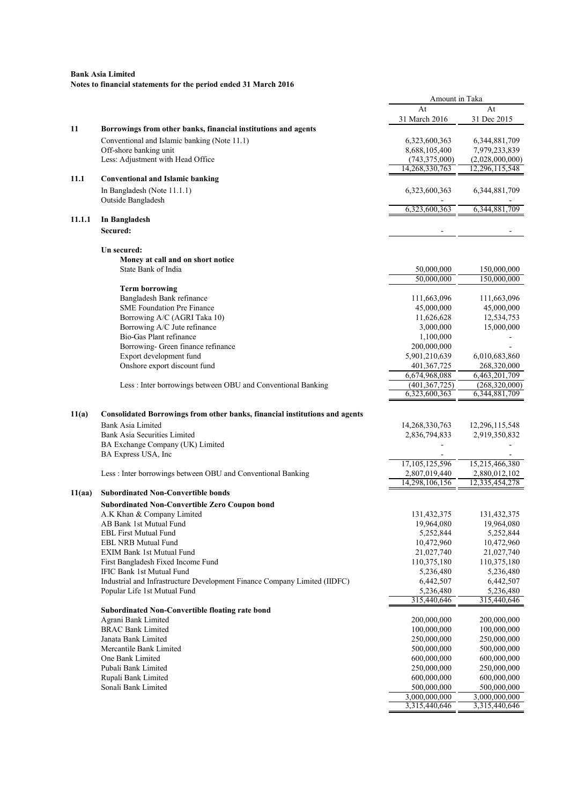|        |                                                                                    | Amount in Taka           |                         |
|--------|------------------------------------------------------------------------------------|--------------------------|-------------------------|
|        |                                                                                    | At                       | At                      |
|        |                                                                                    | 31 March 2016            | 31 Dec 2015             |
| 11     | Borrowings from other banks, financial institutions and agents                     |                          |                         |
|        | Conventional and Islamic banking (Note 11.1)                                       | 6,323,600,363            | 6, 344, 881, 709        |
|        | Off-shore banking unit                                                             | 8,688,105,400            | 7,979,233,839           |
|        | Less: Adjustment with Head Office                                                  | (743, 375, 000)          | (2,028,000,000)         |
|        |                                                                                    | 14,268,330,763           | 12,296,115,548          |
| 11.1   | <b>Conventional and Islamic banking</b>                                            |                          |                         |
|        | In Bangladesh (Note 11.1.1)                                                        | 6,323,600,363            | 6, 344, 881, 709        |
|        | Outside Bangladesh                                                                 |                          |                         |
|        |                                                                                    | 6,323,600,363            | 6,344,881,709           |
| 11.1.1 | In Bangladesh                                                                      |                          |                         |
|        | Secured:                                                                           |                          |                         |
|        | Un secured:                                                                        |                          |                         |
|        | Money at call and on short notice                                                  |                          |                         |
|        | State Bank of India                                                                | 50,000,000               | 150,000,000             |
|        |                                                                                    | 50,000,000               | 150,000,000             |
|        | <b>Term borrowing</b>                                                              |                          |                         |
|        | Bangladesh Bank refinance                                                          | 111,663,096              | 111,663,096             |
|        | <b>SME Foundation Pre Finance</b>                                                  | 45,000,000               | 45,000,000              |
|        | Borrowing A/C (AGRI Taka 10)                                                       | 11,626,628               | 12,534,753              |
|        | Borrowing A/C Jute refinance                                                       | 3,000,000                | 15,000,000              |
|        | Bio-Gas Plant refinance<br>Borrowing- Green finance refinance                      | 1,100,000<br>200,000,000 |                         |
|        | Export development fund                                                            | 5,901,210,639            | 6,010,683,860           |
|        | Onshore export discount fund                                                       | 401, 367, 725            | 268,320,000             |
|        |                                                                                    | 6,674,968,088            | 6,463,201,709           |
|        | Less: Inter borrowings between OBU and Conventional Banking                        | (401, 367, 725)          | (268, 320, 000)         |
|        |                                                                                    | 6,323,600,363            | 6,344,881,709           |
| 11(a)  | <b>Consolidated Borrowings from other banks, financial institutions and agents</b> |                          |                         |
|        | <b>Bank Asia Limited</b>                                                           | 14,268,330,763           | 12,296,115,548          |
|        | Bank Asia Securities Limited                                                       | 2,836,794,833            | 2,919,350,832           |
|        | BA Exchange Company (UK) Limited                                                   |                          |                         |
|        | BA Express USA, Inc                                                                |                          |                         |
|        |                                                                                    | 17,105,125,596           | 15,215,466,380          |
|        | Less: Inter borrowings between OBU and Conventional Banking                        | 2,807,019,440            | 2,880,012,102           |
|        |                                                                                    | 14,298,106,156           | 12,335,454,278          |
| 11(aa) | <b>Subordinated Non-Convertible bonds</b>                                          |                          |                         |
|        | <b>Subordinated Non-Convertible Zero Coupon bond</b>                               |                          |                         |
|        | A.K Khan & Company Limited                                                         | 131,432,375              | 131,432,375             |
|        | AB Bank 1st Mutual Fund<br><b>EBL First Mutual Fund</b>                            | 19,964,080<br>5,252,844  | 19,964,080<br>5,252,844 |
|        | EBL NRB Mutual Fund                                                                | 10,472,960               | 10,472,960              |
|        | <b>EXIM Bank 1st Mutual Fund</b>                                                   | 21,027,740               | 21,027,740              |
|        | First Bangladesh Fixed Income Fund                                                 | 110,375,180              | 110,375,180             |
|        | IFIC Bank 1st Mutual Fund                                                          | 5,236,480                | 5,236,480               |
|        | Industrial and Infrastructure Development Finance Company Limited (IIDFC)          | 6,442,507                | 6,442,507               |
|        | Popular Life 1st Mutual Fund                                                       | 5,236,480                | 5,236,480               |
|        |                                                                                    | 315,440,646              | 315,440,646             |
|        | Subordinated Non-Convertible floating rate bond                                    |                          |                         |
|        | Agrani Bank Limited                                                                | 200,000,000              | 200,000,000             |
|        | <b>BRAC Bank Limited</b>                                                           | 100,000,000              | 100,000,000             |
|        | Janata Bank Limited                                                                | 250,000,000              | 250,000,000             |
|        | Mercantile Bank Limited                                                            | 500,000,000              | 500,000,000             |
|        | One Bank Limited                                                                   | 600,000,000              | 600,000,000             |
|        | Pubali Bank Limited                                                                | 250,000,000              | 250,000,000             |
|        | Rupali Bank Limited                                                                | 600,000,000              | 600,000,000             |
|        | Sonali Bank Limited                                                                | 500,000,000              | 500,000,000             |
|        |                                                                                    | 3,000,000,000            | 3,000,000,000           |
|        |                                                                                    | 3,315,440,646            | 3,315,440,646           |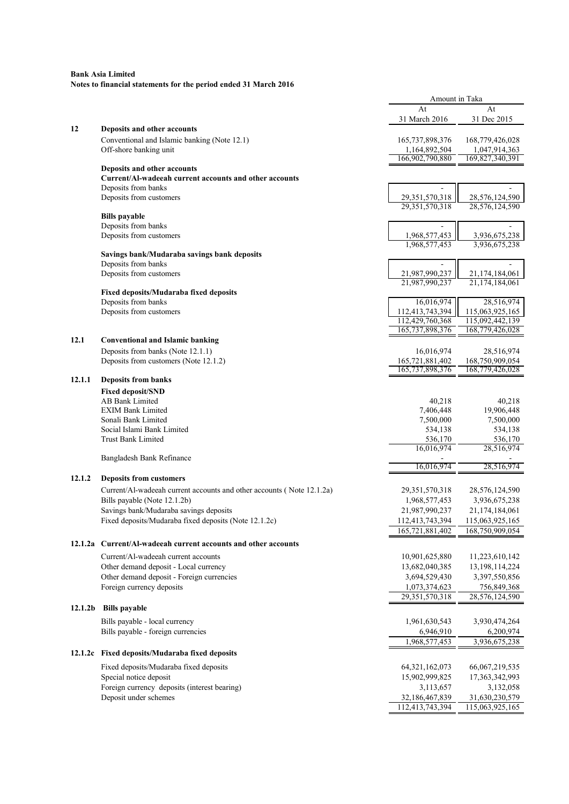|         |                                                                       | Amount in Taka                     |                                    |
|---------|-----------------------------------------------------------------------|------------------------------------|------------------------------------|
|         |                                                                       | At                                 | At                                 |
|         |                                                                       | 31 March 2016                      | 31 Dec 2015                        |
| 12      | Deposits and other accounts                                           |                                    |                                    |
|         | Conventional and Islamic banking (Note 12.1)                          | 165, 737, 898, 376                 | 168,779,426,028                    |
|         | Off-shore banking unit                                                | 1,164,892,504<br>166,902,790,880   | 1,047,914,363<br>169,827,340,391   |
|         | Deposits and other accounts                                           |                                    |                                    |
|         | Current/Al-wadeeah current accounts and other accounts                |                                    |                                    |
|         | Deposits from banks                                                   |                                    |                                    |
|         | Deposits from customers                                               | 29, 351, 570, 318                  | 28,576,124,590                     |
|         | <b>Bills</b> payable                                                  | 29,351,570,318                     | 28,576,124,590                     |
|         | Deposits from banks                                                   |                                    |                                    |
|         | Deposits from customers                                               | 1,968,577,453                      | 3,936,675,238                      |
|         |                                                                       | 1,968,577,453                      | 3,936,675,238                      |
|         | Savings bank/Mudaraba savings bank deposits                           |                                    |                                    |
|         | Deposits from banks                                                   |                                    |                                    |
|         | Deposits from customers                                               | 21,987,990,237                     | 21,174,184,061                     |
|         | Fixed deposits/Mudaraba fixed deposits                                | 21,987,990,237                     | 21,174,184,061                     |
|         | Deposits from banks                                                   | 16,016,974                         | 28,516,974                         |
|         | Deposits from customers                                               | 112,413,743,394                    | 115,063,925,165                    |
|         |                                                                       | 112,429,760,368                    | 115,092,442,139                    |
|         |                                                                       | 165, 737, 898, 376                 | 168,779,426,028                    |
| 12.1    | <b>Conventional and Islamic banking</b>                               |                                    |                                    |
|         | Deposits from banks (Note 12.1.1)                                     | 16,016,974                         | 28,516,974                         |
|         | Deposits from customers (Note 12.1.2)                                 | 165,721,881,402<br>165,737,898,376 | 168,750,909,054<br>168,779,426,028 |
| 12.1.1  | <b>Deposits from banks</b>                                            |                                    |                                    |
|         | <b>Fixed deposit/SND</b>                                              |                                    |                                    |
|         | AB Bank Limited                                                       | 40,218                             | 40,218                             |
|         | <b>EXIM Bank Limited</b>                                              | 7,406,448                          | 19,906,448                         |
|         | Sonali Bank Limited                                                   | 7,500,000                          | 7,500,000                          |
|         | Social Islami Bank Limited                                            | 534,138                            | 534,138                            |
|         | <b>Trust Bank Limited</b>                                             | 536,170<br>16,016,974              | 536,170<br>28,516,974              |
|         | Bangladesh Bank Refinance                                             |                                    |                                    |
|         |                                                                       | 16,016,974                         | 28,516,974                         |
| 12.1.2  | <b>Deposits from customers</b>                                        |                                    |                                    |
|         | Current/Al-wadeeah current accounts and other accounts (Note 12.1.2a) | 29, 351, 570, 318                  | 28,576,124,590                     |
|         | Bills payable (Note 12.1.2b)                                          | 1,968,577,453                      | 3,936,675,238                      |
|         | Savings bank/Mudaraba savings deposits                                | 21,987,990,237                     | 21,174,184,061                     |
|         | Fixed deposits/Mudaraba fixed deposits (Note 12.1.2c)                 | 112,413,743,394                    | 115,063,925,165                    |
|         |                                                                       | 165,721,881,402                    | 168,750,909,054                    |
|         | 12.1.2a Current/Al-wadeeah current accounts and other accounts        |                                    |                                    |
|         | Current/Al-wadeeah current accounts                                   | 10,901,625,880                     | 11,223,610,142                     |
|         | Other demand deposit - Local currency                                 | 13,682,040,385                     | 13, 198, 114, 224                  |
|         | Other demand deposit - Foreign currencies                             | 3,694,529,430                      | 3,397,550,856                      |
|         | Foreign currency deposits                                             | 1,073,374,623                      | 756,849,368                        |
|         |                                                                       | 29, 351, 570, 318                  | 28,576,124,590                     |
| 12.1.2b | <b>Bills</b> payable                                                  |                                    |                                    |
|         | Bills payable - local currency                                        | 1,961,630,543                      | 3,930,474,264                      |
|         | Bills payable - foreign currencies                                    | 6,946,910                          | 6,200,974                          |
|         |                                                                       | 1,968,577,453                      | 3,936,675,238                      |
|         | 12.1.2c Fixed deposits/Mudaraba fixed deposits                        |                                    |                                    |
|         | Fixed deposits/Mudaraba fixed deposits                                | 64, 321, 162, 073                  | 66,067,219,535                     |
|         | Special notice deposit                                                | 15,902,999,825                     | 17,363,342,993                     |
|         | Foreign currency deposits (interest bearing)                          | 3,113,657                          | 3,132,058                          |
|         | Deposit under schemes                                                 | 32,186,467,839                     | 31,630,230,579                     |
|         |                                                                       | 112,413,743,394                    | 115,063,925,165                    |
|         |                                                                       |                                    |                                    |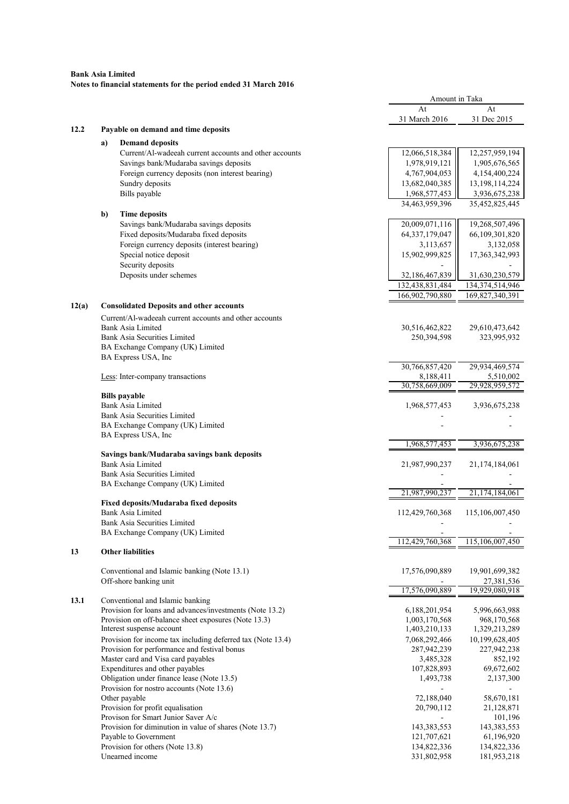|       |                                     |                                                             | Amount in Taka    |                   |
|-------|-------------------------------------|-------------------------------------------------------------|-------------------|-------------------|
|       |                                     |                                                             | At                | At                |
|       |                                     |                                                             | 31 March 2016     | 31 Dec 2015       |
| 12.2  |                                     | Payable on demand and time deposits                         |                   |                   |
|       | a)                                  | <b>Demand deposits</b>                                      |                   |                   |
|       |                                     | Current/Al-wadeeah current accounts and other accounts      | 12,066,518,384    | 12,257,959,194    |
|       |                                     | Savings bank/Mudaraba savings deposits                      | 1,978,919,121     | 1,905,676,565     |
|       |                                     | Foreign currency deposits (non interest bearing)            | 4,767,904,053     | 4,154,400,224     |
|       |                                     | Sundry deposits                                             | 13,682,040,385    | 13, 198, 114, 224 |
|       |                                     | Bills payable                                               | 1,968,577,453     | 3,936,675,238     |
|       |                                     |                                                             | 34,463,959,396    | 35,452,825,445    |
|       |                                     |                                                             |                   |                   |
|       | b)                                  | <b>Time deposits</b>                                        |                   |                   |
|       |                                     | Savings bank/Mudaraba savings deposits                      | 20,009,071,116    | 19,268,507,496    |
|       |                                     | Fixed deposits/Mudaraba fixed deposits                      | 64, 337, 179, 047 | 66,109,301,820    |
|       |                                     | Foreign currency deposits (interest bearing)                | 3,113,657         | 3,132,058         |
|       |                                     | Special notice deposit                                      | 15,902,999,825    | 17,363,342,993    |
|       |                                     | Security deposits                                           |                   |                   |
|       |                                     | Deposits under schemes                                      | 32,186,467,839    | 31,630,230,579    |
|       |                                     |                                                             | 132,438,831,484   | 134,374,514,946   |
|       |                                     |                                                             | 166,902,790,880   | 169,827,340,391   |
| 12(a) |                                     | <b>Consolidated Deposits and other accounts</b>             |                   |                   |
|       |                                     | Current/Al-wadeeah current accounts and other accounts      |                   |                   |
|       |                                     | <b>Bank Asia Limited</b>                                    | 30,516,462,822    | 29,610,473,642    |
|       |                                     | <b>Bank Asia Securities Limited</b>                         | 250,394,598       | 323,995,932       |
|       |                                     | BA Exchange Company (UK) Limited                            |                   |                   |
|       |                                     | BA Express USA, Inc                                         |                   |                   |
|       |                                     |                                                             | 30,766,857,420    | 29,934,469,574    |
|       |                                     | Less: Inter-company transactions                            | 8,188,411         | 5,510,002         |
|       |                                     |                                                             | 30,758,669,009    | 29,928,959,572    |
|       |                                     | <b>Bills</b> payable                                        |                   |                   |
|       |                                     | <b>Bank Asia Limited</b>                                    | 1,968,577,453     | 3,936,675,238     |
|       | <b>Bank Asia Securities Limited</b> |                                                             |                   |                   |
|       |                                     | BA Exchange Company (UK) Limited                            |                   |                   |
|       |                                     | BA Express USA, Inc                                         |                   |                   |
|       |                                     |                                                             | 1,968,577,453     | 3,936,675,238     |
|       |                                     | Savings bank/Mudaraba savings bank deposits                 |                   |                   |
|       |                                     | <b>Bank Asia Limited</b>                                    | 21,987,990,237    | 21,174,184,061    |
|       |                                     | <b>Bank Asia Securities Limited</b>                         |                   |                   |
|       |                                     | BA Exchange Company (UK) Limited                            |                   |                   |
|       |                                     |                                                             | 21,987,990,237    | 21,174,184,061    |
|       |                                     | <b>Fixed deposits/Mudaraba fixed deposits</b>               |                   |                   |
|       |                                     | <b>Bank Asia Limited</b>                                    | 112,429,760,368   | 115,106,007,450   |
|       |                                     | Bank Asia Securities Limited                                |                   |                   |
|       |                                     | BA Exchange Company (UK) Limited                            |                   |                   |
|       |                                     |                                                             | 112,429,760,368   | 115,106,007,450   |
| 13    |                                     | <b>Other liabilities</b>                                    |                   |                   |
|       |                                     |                                                             |                   |                   |
|       |                                     | Conventional and Islamic banking (Note 13.1)                | 17,576,090,889    | 19,901,699,382    |
|       |                                     | Off-shore banking unit                                      |                   | 27,381,536        |
|       |                                     |                                                             | 17,576,090,889    | 19,929,080,918    |
| 13.1  |                                     | Conventional and Islamic banking                            |                   |                   |
|       |                                     | Provision for loans and advances/investments (Note 13.2)    | 6,188,201,954     | 5,996,663,988     |
|       |                                     | Provision on off-balance sheet exposures (Note 13.3)        | 1,003,170,568     | 968,170,568       |
|       |                                     | Interest suspense account                                   | 1,403,210,133     | 1,329,213,289     |
|       |                                     | Provision for income tax including deferred tax (Note 13.4) | 7,068,292,466     | 10,199,628,405    |
|       |                                     | Provision for performance and festival bonus                | 287,942,239       | 227,942,238       |
|       |                                     | Master card and Visa card payables                          | 3,485,328         | 852,192           |
|       |                                     | Expenditures and other payables                             | 107,828,893       | 69,672,602        |
|       |                                     | Obligation under finance lease (Note 13.5)                  | 1,493,738         | 2,137,300         |
|       |                                     | Provision for nostro accounts (Note 13.6)                   |                   |                   |
|       |                                     | Other payable                                               | 72,188,040        | 58,670,181        |
|       |                                     | Provision for profit equalisation                           | 20,790,112        | 21,128,871        |
|       |                                     | Provison for Smart Junior Saver A/c                         |                   | 101,196           |
|       |                                     | Provision for diminution in value of shares (Note 13.7)     | 143,383,553       | 143,383,553       |
|       |                                     | Payable to Government                                       | 121,707,621       | 61,196,920        |
|       |                                     |                                                             |                   |                   |
|       |                                     | Provision for others (Note 13.8)                            | 134,822,336       | 134,822,336       |
|       |                                     | Unearned income                                             | 331,802,958       | 181,953,218       |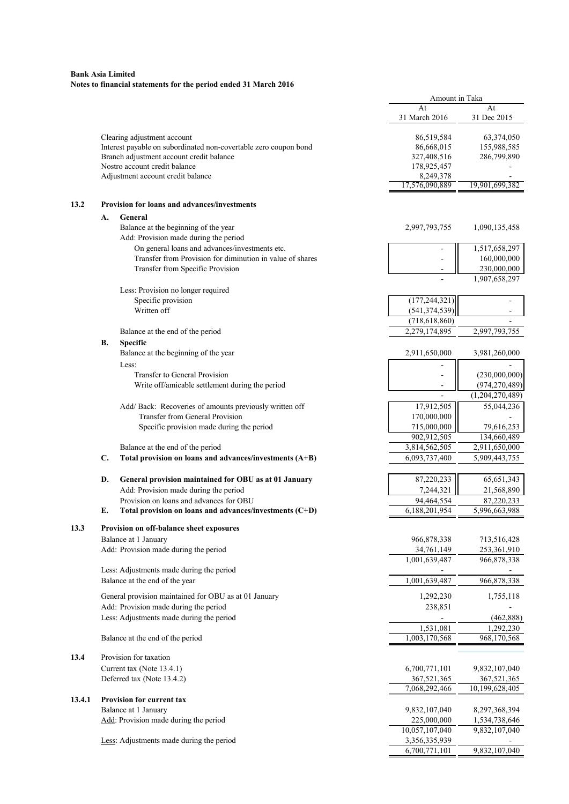|        |    |                                                                                                | Amount in Taka                 |                                |
|--------|----|------------------------------------------------------------------------------------------------|--------------------------------|--------------------------------|
|        |    |                                                                                                | At<br>31 March 2016            | At<br>31 Dec 2015              |
|        |    |                                                                                                |                                |                                |
|        |    | Clearing adjustment account                                                                    | 86,519,584                     | 63,374,050                     |
|        |    | Interest payable on subordinated non-covertable zero coupon bond                               | 86,668,015                     | 155,988,585                    |
|        |    | Branch adjustment account credit balance<br>Nostro account credit balance                      | 327,408,516                    | 286,799,890                    |
|        |    | Adjustment account credit balance                                                              | 178,925,457                    |                                |
|        |    |                                                                                                | 8,249,378<br>17,576,090,889    | 19,901,699,382                 |
| 13.2   |    | Provision for loans and advances/investments                                                   |                                |                                |
|        | А. | General                                                                                        |                                |                                |
|        |    | Balance at the beginning of the year<br>Add: Provision made during the period                  | 2,997,793,755                  | 1,090,135,458                  |
|        |    | On general loans and advances/investments etc.                                                 |                                | 1,517,658,297                  |
|        |    | Transfer from Provision for diminution in value of shares                                      |                                | 160,000,000                    |
|        |    | Transfer from Specific Provision                                                               | $\overline{\phantom{a}}$       | 230,000,000<br>1,907,658,297   |
|        |    | Less: Provision no longer required                                                             |                                |                                |
|        |    | Specific provision                                                                             | (177, 244, 321)                |                                |
|        |    | Written off                                                                                    | (541, 374, 539)                |                                |
|        |    |                                                                                                | (718, 618, 860)                |                                |
|        |    | Balance at the end of the period                                                               | 2,279,174,895                  | 2,997,793,755                  |
|        | В. | Specific                                                                                       |                                |                                |
|        |    | Balance at the beginning of the year                                                           | 2,911,650,000                  | 3,981,260,000                  |
|        |    | Less:<br>Transfer to General Provision                                                         |                                | (230,000,000)                  |
|        |    | Write off/amicable settlement during the period                                                |                                | (974, 270, 489)                |
|        |    |                                                                                                | $\overline{a}$                 | (1,204,270,489)                |
|        |    | Add/ Back: Recoveries of amounts previously written off                                        | 17,912,505                     | 55,044,236                     |
|        |    | Transfer from General Provision                                                                | 170,000,000                    |                                |
|        |    | Specific provision made during the period                                                      | 715,000,000                    | 79,616,253                     |
|        |    |                                                                                                | 902,912,505                    | 134,660,489                    |
|        | C. | Balance at the end of the period<br>Total provision on loans and advances/investments (A+B)    | 3,814,562,505<br>6,093,737,400 | 2,911,650,000<br>5,909,443,755 |
|        |    |                                                                                                |                                |                                |
|        | D. | General provision maintained for OBU as at 01 January                                          | 87,220,233                     | 65, 651, 343                   |
|        |    | Add: Provision made during the period                                                          | 7,244,321                      | 21,568,890                     |
|        |    | Provision on loans and advances for OBU                                                        | 94,464,554                     | 87,220,233                     |
|        | Е. | Total provision on loans and advances/investments $(C+D)$                                      | 6,188,201,954                  | 5,996,663,988                  |
| 13.3   |    | Provision on off-balance sheet exposures                                                       |                                |                                |
|        |    | Balance at 1 January                                                                           | 966,878,338                    | 713,516,428                    |
|        |    | Add: Provision made during the period                                                          | 34,761,149                     | 253,361,910                    |
|        |    |                                                                                                | 1,001,639,487                  | 966,878,338                    |
|        |    | Less: Adjustments made during the period<br>Balance at the end of the year                     | 1,001,639,487                  | 966,878,338                    |
|        |    |                                                                                                |                                |                                |
|        |    | General provision maintained for OBU as at 01 January<br>Add: Provision made during the period | 1,292,230<br>238,851           | 1,755,118                      |
|        |    | Less: Adjustments made during the period                                                       |                                | (462, 888)                     |
|        |    |                                                                                                | 1,531,081                      | 1,292,230                      |
|        |    | Balance at the end of the period                                                               | 1,003,170,568                  | 968,170,568                    |
| 13.4   |    | Provision for taxation                                                                         |                                |                                |
|        |    | Current tax (Note 13.4.1)                                                                      | 6,700,771,101                  | 9,832,107,040                  |
|        |    | Deferred tax (Note 13.4.2)                                                                     | 367,521,365                    | 367,521,365                    |
|        |    |                                                                                                | 7,068,292,466                  | 10,199,628,405                 |
| 13.4.1 |    | Provision for current tax                                                                      |                                |                                |
|        |    | Balance at 1 January<br>Add: Provision made during the period                                  | 9,832,107,040<br>225,000,000   | 8,297,368,394<br>1,534,738,646 |
|        |    |                                                                                                | 10,057,107,040                 | 9,832,107,040                  |
|        |    | Less: Adjustments made during the period                                                       | 3,356,335,939                  |                                |
|        |    |                                                                                                | 6,700,771,101                  | 9,832,107,040                  |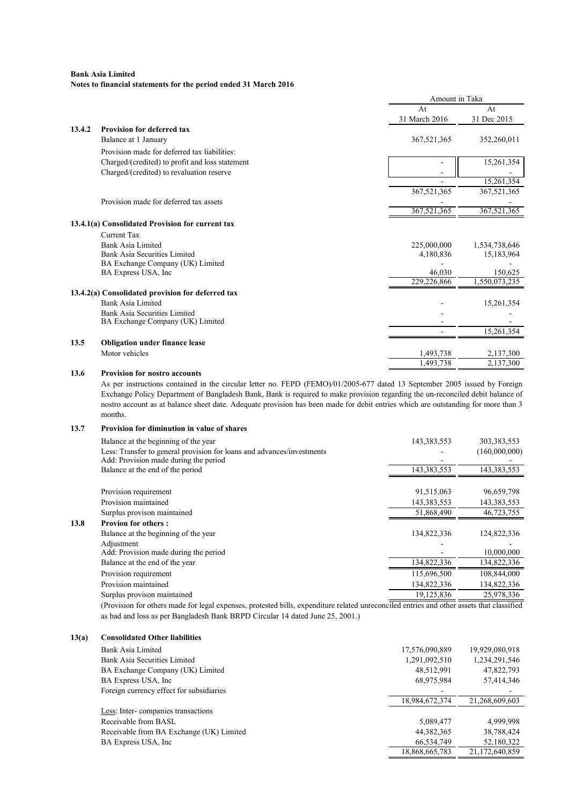|        |                                                                                                                                                                                                                                                                                                                                                                                                                                           | Amount in Taka |               |
|--------|-------------------------------------------------------------------------------------------------------------------------------------------------------------------------------------------------------------------------------------------------------------------------------------------------------------------------------------------------------------------------------------------------------------------------------------------|----------------|---------------|
|        |                                                                                                                                                                                                                                                                                                                                                                                                                                           | At             | At            |
|        |                                                                                                                                                                                                                                                                                                                                                                                                                                           | 31 March 2016  | 31 Dec 2015   |
| 13.4.2 | <b>Provision for deferred tax</b>                                                                                                                                                                                                                                                                                                                                                                                                         |                |               |
|        | Balance at 1 January                                                                                                                                                                                                                                                                                                                                                                                                                      | 367,521,365    | 352,260,011   |
|        | Provision made for deferred tax liabilities:                                                                                                                                                                                                                                                                                                                                                                                              |                |               |
|        | Charged/(credited) to profit and loss statement                                                                                                                                                                                                                                                                                                                                                                                           |                | 15,261,354    |
|        | Charged/(credited) to revaluation reserve                                                                                                                                                                                                                                                                                                                                                                                                 |                |               |
|        |                                                                                                                                                                                                                                                                                                                                                                                                                                           |                | 15,261,354    |
|        |                                                                                                                                                                                                                                                                                                                                                                                                                                           | 367,521,365    | 367,521,365   |
|        | Provision made for deferred tax assets                                                                                                                                                                                                                                                                                                                                                                                                    |                |               |
|        |                                                                                                                                                                                                                                                                                                                                                                                                                                           | 367,521,365    | 367,521,365   |
|        | 13.4.1(a) Consolidated Provision for current tax                                                                                                                                                                                                                                                                                                                                                                                          |                |               |
|        | Current Tax                                                                                                                                                                                                                                                                                                                                                                                                                               |                |               |
|        | Bank Asia Limited                                                                                                                                                                                                                                                                                                                                                                                                                         | 225,000,000    | 1,534,738,646 |
|        | <b>Bank Asia Securities Limited</b>                                                                                                                                                                                                                                                                                                                                                                                                       | 4,180,836      | 15,183,964    |
|        | BA Exchange Company (UK) Limited                                                                                                                                                                                                                                                                                                                                                                                                          |                |               |
|        | BA Express USA, Inc.                                                                                                                                                                                                                                                                                                                                                                                                                      | 46,030         | 150,625       |
|        |                                                                                                                                                                                                                                                                                                                                                                                                                                           | 229,226,866    | 1,550,073,235 |
|        | 13.4.2(a) Consolidated provision for deferred tax                                                                                                                                                                                                                                                                                                                                                                                         |                |               |
|        | Bank Asia Limited                                                                                                                                                                                                                                                                                                                                                                                                                         |                | 15,261,354    |
|        | Bank Asia Securities Limited                                                                                                                                                                                                                                                                                                                                                                                                              |                |               |
|        | BA Exchange Company (UK) Limited                                                                                                                                                                                                                                                                                                                                                                                                          |                |               |
|        |                                                                                                                                                                                                                                                                                                                                                                                                                                           |                | 15,261,354    |
| 13.5   | <b>Obligation under finance lease</b>                                                                                                                                                                                                                                                                                                                                                                                                     |                |               |
|        | Motor vehicles                                                                                                                                                                                                                                                                                                                                                                                                                            | 1,493,738      | 2,137,300     |
|        |                                                                                                                                                                                                                                                                                                                                                                                                                                           | 1,493,738      | 2,137,300     |
| 13.6   | <b>Provision for nostro accounts</b>                                                                                                                                                                                                                                                                                                                                                                                                      |                |               |
|        | As per instructions contained in the circular letter no. FEPD (FEMO)/01/2005-677 dated 13 September 2005 issued by Foreign<br>$\mathbf{r}$ , $\mathbf{r}$ , $\mathbf{r}$ , $\mathbf{r}$ , $\mathbf{r}$ , $\mathbf{r}$ , $\mathbf{r}$ , $\mathbf{r}$ , $\mathbf{r}$ , $\mathbf{r}$ , $\mathbf{r}$ , $\mathbf{r}$ , $\mathbf{r}$ , $\mathbf{r}$ , $\mathbf{r}$ , $\mathbf{r}$ , $\mathbf{r}$ , $\mathbf{r}$ , $\mathbf{r}$ , $\mathbf{r}$ , |                |               |

Exchange Policy Department of Bangladesh Bank, Bank is required to make provision regarding the un-reconciled debit balance of nostro account as at balance sheet date. Adequate provision has been made for debit entries which are outstanding for more than 3 months.

## 13.7 Provision for diminution in value of shares

| Balance at the beginning of the year                                                                            | 143,383,553 | 303,383,553                                       |
|-----------------------------------------------------------------------------------------------------------------|-------------|---------------------------------------------------|
| Less: Transfer to general provision for loans and advances/investments<br>Add: Provision made during the period |             | (160,000,000)                                     |
| Balance at the end of the period                                                                                | 143,383,553 | 143,383,553                                       |
|                                                                                                                 |             |                                                   |
| Provision requirement                                                                                           | 91,515,063  | 96,659,798                                        |
| Provision maintained                                                                                            | 143,383,553 | 143,383,553                                       |
| Surplus provison maintained                                                                                     | 51,868,490  | 46,723,755                                        |
| <b>Provion for others:</b>                                                                                      |             |                                                   |
| Balance at the beginning of the year                                                                            | 134,822,336 | 124,822,336                                       |
| Adjustment                                                                                                      |             |                                                   |
| Add: Provision made during the period                                                                           |             | 10,000,000                                        |
| Balance at the end of the year                                                                                  | 134,822,336 | 134,822,336                                       |
| Provision requirement                                                                                           | 115,696,500 | 108,844,000                                       |
| Provision maintained                                                                                            | 134,822,336 | 134,822,336                                       |
| Surplus provison maintained                                                                                     | 19,125,836  | 25,978,336                                        |
| .                                                                                                               | $\sim$      | $\mathcal{A}$ and $\mathcal{A}$ and $\mathcal{A}$ |

(Provision for others made for legal expenses, protested bills, expenditure related unreconciled entries and other assets that classified as bad and loss as per Bangladesh Bank BRPD Circular 14 dated June 25, 2001.)

#### 13(a) Consolidated Other liabilities

 $13.8$ 

| Bank Asia Limited                        | 17,576,090,889           | 19,929,080,918 |
|------------------------------------------|--------------------------|----------------|
| Bank Asia Securities Limited             | 1,291,092,510            | 1,234,291,546  |
| BA Exchange Company (UK) Limited         | 48,512,991               | 47,822,793     |
| BA Express USA, Inc.                     | 68,975,984               | 57,414,346     |
| Foreign currency effect for subsidiaries | $\overline{\phantom{a}}$ |                |
|                                          | 18,984,672,374           | 21,268,609,603 |
| Less: Inter-companies transactions       |                          |                |
| Receivable from BASL                     | 5,089,477                | 4,999,998      |
| Receivable from BA Exchange (UK) Limited | 44, 382, 365             | 38,788,424     |
| BA Express USA, Inc.                     | 66,534,749               | 52,180,322     |
|                                          | 18,868,665,783           | 21.172.640.859 |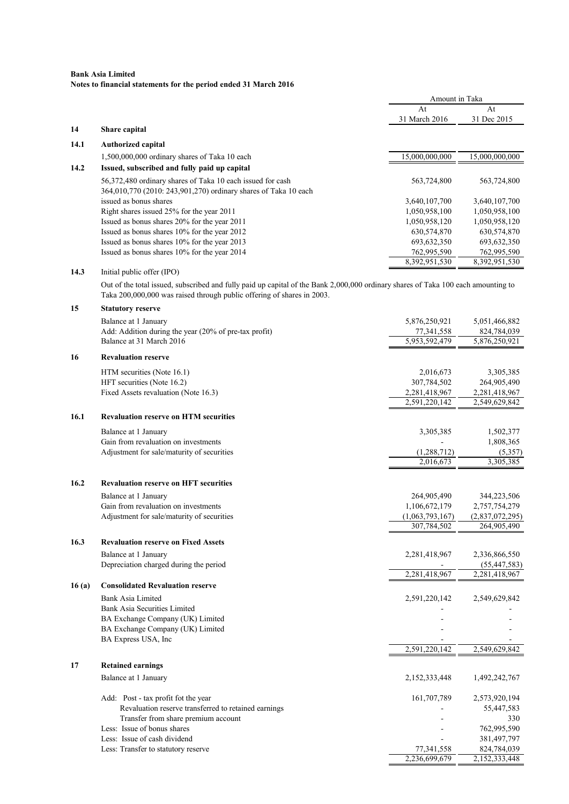|       |                                                                                                                                                                                                             | Amount in Taka  |                 |
|-------|-------------------------------------------------------------------------------------------------------------------------------------------------------------------------------------------------------------|-----------------|-----------------|
|       |                                                                                                                                                                                                             | At              | At              |
|       |                                                                                                                                                                                                             | 31 March 2016   | 31 Dec 2015     |
| 14    | Share capital                                                                                                                                                                                               |                 |                 |
| 14.1  | <b>Authorized capital</b>                                                                                                                                                                                   |                 |                 |
|       | 1,500,000,000 ordinary shares of Taka 10 each                                                                                                                                                               | 15,000,000,000  | 15,000,000,000  |
| 14.2  | Issued, subscribed and fully paid up capital                                                                                                                                                                |                 |                 |
|       | 56,372,480 ordinary shares of Taka 10 each issued for cash                                                                                                                                                  | 563,724,800     | 563,724,800     |
|       | 364,010,770 (2010: 243,901,270) ordinary shares of Taka 10 each                                                                                                                                             |                 |                 |
|       | issued as bonus shares                                                                                                                                                                                      | 3,640,107,700   | 3,640,107,700   |
|       | Right shares issued 25% for the year 2011                                                                                                                                                                   | 1,050,958,100   | 1,050,958,100   |
|       | Issued as bonus shares 20% for the year 2011                                                                                                                                                                | 1,050,958,120   | 1,050,958,120   |
|       | Issued as bonus shares 10% for the year 2012                                                                                                                                                                | 630,574,870     | 630,574,870     |
|       | Issued as bonus shares 10% for the year 2013                                                                                                                                                                | 693, 632, 350   | 693,632,350     |
|       | Issued as bonus shares 10% for the year 2014                                                                                                                                                                | 762,995,590     | 762,995,590     |
| 14.3  | Initial public offer (IPO)                                                                                                                                                                                  | 8,392,951,530   | 8,392,951,530   |
|       | Out of the total issued, subscribed and fully paid up capital of the Bank 2,000,000 ordinary shares of Taka 100 each amounting to<br>Taka 200,000,000 was raised through public offering of shares in 2003. |                 |                 |
| 15    | <b>Statutory reserve</b>                                                                                                                                                                                    |                 |                 |
|       | Balance at 1 January                                                                                                                                                                                        | 5,876,250,921   | 5,051,466,882   |
|       | Add: Addition during the year (20% of pre-tax profit)                                                                                                                                                       | 77,341,558      | 824,784,039     |
|       | Balance at 31 March 2016                                                                                                                                                                                    | 5,953,592,479   | 5,876,250,921   |
| 16    | <b>Revaluation reserve</b>                                                                                                                                                                                  |                 |                 |
|       | HTM securities (Note 16.1)                                                                                                                                                                                  | 2,016,673       | 3,305,385       |
|       | HFT securities (Note 16.2)                                                                                                                                                                                  | 307,784,502     | 264,905,490     |
|       | Fixed Assets revaluation (Note 16.3)                                                                                                                                                                        | 2,281,418,967   | 2,281,418,967   |
|       |                                                                                                                                                                                                             | 2,591,220,142   | 2,549,629,842   |
| 16.1  | <b>Revaluation reserve on HTM securities</b>                                                                                                                                                                |                 |                 |
|       | Balance at 1 January                                                                                                                                                                                        | 3,305,385       | 1,502,377       |
|       | Gain from revaluation on investments                                                                                                                                                                        |                 | 1,808,365       |
|       | Adjustment for sale/maturity of securities                                                                                                                                                                  | (1, 288, 712)   | (5,357)         |
|       |                                                                                                                                                                                                             | 2,016,673       | 3,305,385       |
|       |                                                                                                                                                                                                             |                 |                 |
| 16.2  | <b>Revaluation reserve on HFT securities</b>                                                                                                                                                                |                 |                 |
|       | Balance at 1 January                                                                                                                                                                                        | 264,905,490     | 344,223,506     |
|       | Gain from revaluation on investments                                                                                                                                                                        | 1,106,672,179   | 2,757,754,279   |
|       | Adjustment for sale/maturity of securities                                                                                                                                                                  | (1,063,793,167) | (2,837,072,295) |
|       |                                                                                                                                                                                                             | 307,784,502     | 264,905,490     |
| 16.3  | <b>Revaluation reserve on Fixed Assets</b>                                                                                                                                                                  |                 |                 |
|       | Balance at 1 January                                                                                                                                                                                        | 2,281,418,967   | 2,336,866,550   |
|       | Depreciation charged during the period                                                                                                                                                                      |                 | (55, 447, 583)  |
|       |                                                                                                                                                                                                             | 2,281,418,967   | 2,281,418,967   |
| 16(a) | <b>Consolidated Revaluation reserve</b>                                                                                                                                                                     |                 |                 |
|       | <b>Bank Asia Limited</b>                                                                                                                                                                                    | 2,591,220,142   | 2,549,629,842   |
|       | <b>Bank Asia Securities Limited</b>                                                                                                                                                                         |                 |                 |
|       | BA Exchange Company (UK) Limited                                                                                                                                                                            |                 |                 |
|       | BA Exchange Company (UK) Limited<br>BA Express USA, Inc                                                                                                                                                     |                 |                 |
|       |                                                                                                                                                                                                             | 2,591,220,142   | 2,549,629,842   |
| 17    |                                                                                                                                                                                                             |                 |                 |
|       | <b>Retained earnings</b>                                                                                                                                                                                    |                 |                 |
|       | Balance at 1 January                                                                                                                                                                                        | 2,152,333,448   | 1,492,242,767   |
|       | Add: Post - tax profit fot the year                                                                                                                                                                         | 161,707,789     | 2,573,920,194   |
|       | Revaluation reserve transferred to retained earnings                                                                                                                                                        |                 | 55,447,583      |
|       | Transfer from share premium account                                                                                                                                                                         |                 | 330             |
|       | Less: Issue of bonus shares                                                                                                                                                                                 |                 | 762,995,590     |
|       | Less: Issue of cash dividend                                                                                                                                                                                |                 | 381,497,797     |
|       | Less: Transfer to statutory reserve                                                                                                                                                                         | 77,341,558      | 824,784,039     |
|       |                                                                                                                                                                                                             | 2,236,699,679   | 2,152,333,448   |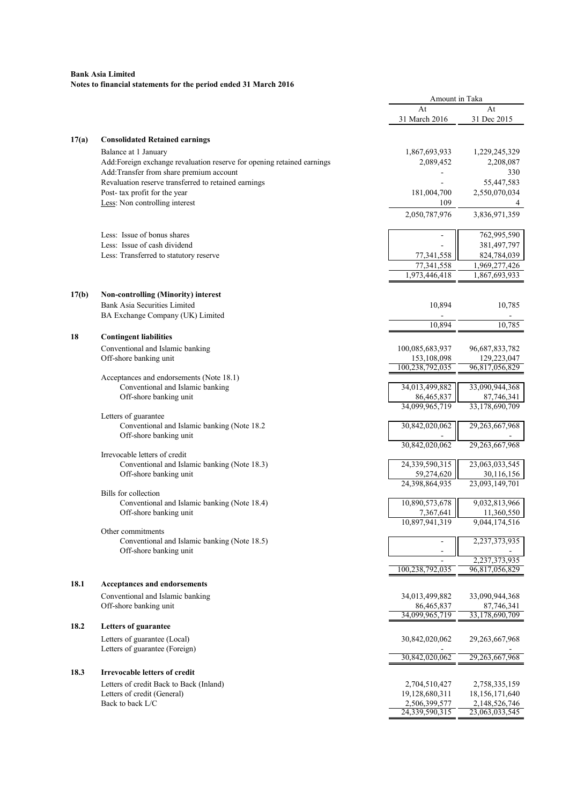|       |                                                                        | Amount in Taka                 |                               |
|-------|------------------------------------------------------------------------|--------------------------------|-------------------------------|
|       |                                                                        | At                             | At                            |
|       |                                                                        | 31 March 2016                  | 31 Dec 2015                   |
|       |                                                                        |                                |                               |
| 17(a) | <b>Consolidated Retained earnings</b>                                  |                                |                               |
|       | Balance at 1 January                                                   | 1,867,693,933                  | 1,229,245,329                 |
|       | Add:Foreign exchange revaluation reserve for opening retained earnings | 2,089,452                      | 2,208,087                     |
|       | Add:Transfer from share premium account                                |                                | 330                           |
|       | Revaluation reserve transferred to retained earnings                   |                                | 55,447,583                    |
|       | Post- tax profit for the year<br>Less: Non controlling interest        | 181,004,700<br>109             | 2,550,070,034<br>4            |
|       |                                                                        |                                | 3,836,971,359                 |
|       |                                                                        | 2,050,787,976                  |                               |
|       | Less: Issue of bonus shares                                            |                                | 762,995,590                   |
|       | Less: Issue of cash dividend                                           |                                | 381,497,797                   |
|       | Less: Transferred to statutory reserve                                 | 77,341,558                     | 824,784,039                   |
|       |                                                                        | 77,341,558                     | 1,969,277,426                 |
|       |                                                                        | 1,973,446,418                  | 1,867,693,933                 |
|       |                                                                        |                                |                               |
| 17(b) | <b>Non-controlling (Minority) interest</b>                             |                                |                               |
|       | Bank Asia Securities Limited                                           | 10,894                         | 10,785                        |
|       | BA Exchange Company (UK) Limited                                       |                                |                               |
|       |                                                                        | 10,894                         | 10,785                        |
| 18    | <b>Contingent liabilities</b>                                          |                                |                               |
|       | Conventional and Islamic banking                                       | 100,085,683,937                | 96,687,833,782                |
|       | Off-shore banking unit                                                 | 153,108,098<br>100,238,792,035 | 129,223,047<br>96,817,056,829 |
|       | Acceptances and endorsements (Note 18.1)                               |                                |                               |
|       | Conventional and Islamic banking                                       | 34,013,499,882                 | 33,090,944,368                |
|       | Off-shore banking unit                                                 | 86,465,837                     | 87,746,341                    |
|       |                                                                        | 34,099,965,719                 | 33,178,690,709                |
|       | Letters of guarantee                                                   |                                |                               |
|       | Conventional and Islamic banking (Note 18.2)                           | 30,842,020,062                 | 29,263,667,968                |
|       | Off-shore banking unit                                                 | 30,842,020,062                 | 29,263,667,968                |
|       | Irrevocable letters of credit                                          |                                |                               |
|       | Conventional and Islamic banking (Note 18.3)                           | 24,339,590,315                 | 23,063,033,545                |
|       | Off-shore banking unit                                                 | 59,274,620                     | 30,116,156                    |
|       |                                                                        | 24,398,864,935                 | 23,093,149,701                |
|       | Bills for collection                                                   |                                |                               |
|       | Conventional and Islamic banking (Note 18.4)                           | 10,890,573,678                 | 9,032,813,966                 |
|       | Off-shore banking unit                                                 | 7,367,641<br>10,897,941,319    | 11,360,550<br>9,044,174,516   |
|       | Other commitments                                                      |                                |                               |
|       | Conventional and Islamic banking (Note 18.5)                           |                                | 2,237,373,935                 |
|       | Off-shore banking unit                                                 | $\blacksquare$                 |                               |
|       |                                                                        |                                | 2,237,373,935                 |
|       |                                                                        | 100,238,792,035                | 96,817,056,829                |
| 18.1  | Acceptances and endorsements                                           |                                |                               |
|       | Conventional and Islamic banking                                       | 34,013,499,882                 | 33,090,944,368                |
|       | Off-shore banking unit                                                 | 86,465,837                     | 87,746,341                    |
|       |                                                                        | 34,099,965,719                 | 33,178,690,709                |
| 18.2  | <b>Letters of guarantee</b>                                            |                                |                               |
|       | Letters of guarantee (Local)                                           | 30,842,020,062                 | 29, 263, 667, 968             |
|       | Letters of guarantee (Foreign)                                         |                                |                               |
|       |                                                                        | 30,842,020,062                 | 29,263,667,968                |
| 18.3  | <b>Irrevocable letters of credit</b>                                   |                                |                               |
|       | Letters of credit Back to Back (Inland)                                | 2,704,510,427                  | 2,758,335,159                 |
|       | Letters of credit (General)                                            | 19,128,680,311                 | 18, 156, 171, 640             |
|       | Back to back L/C                                                       | 2,506,399,577                  | 2,148,526,746                 |
|       |                                                                        | 24,339,590,315                 | 23,063,033,545                |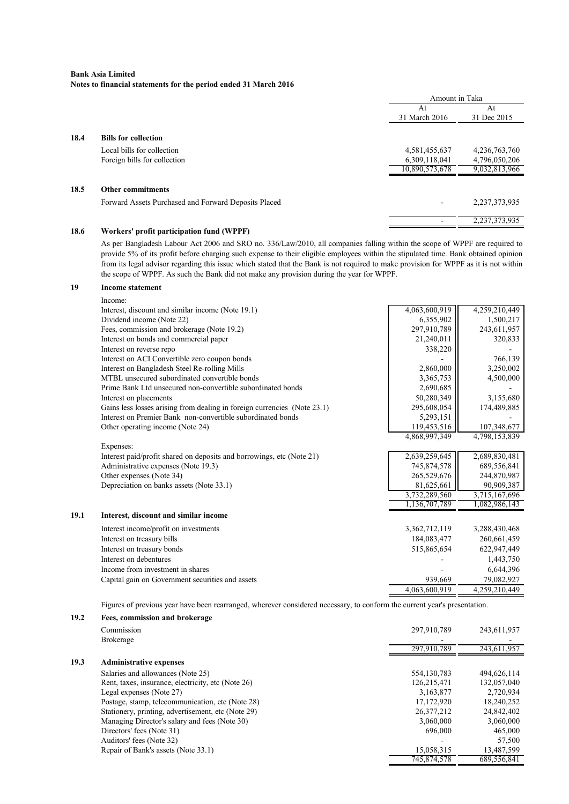|      |                                                      | Amount in Taka |                  |
|------|------------------------------------------------------|----------------|------------------|
|      |                                                      | At             | At               |
|      |                                                      | 31 March 2016  | 31 Dec 2015      |
| 18.4 | <b>Bills for collection</b>                          |                |                  |
|      | Local bills for collection                           | 4,581,455,637  | 4,236,763,760    |
|      | Foreign bills for collection                         | 6,309,118,041  | 4,796,050,206    |
|      |                                                      | 10,890,573,678 | 9,032,813,966    |
| 18.5 | <b>Other commitments</b>                             |                |                  |
|      | Forward Assets Purchased and Forward Deposits Placed |                | 2, 237, 373, 935 |
|      |                                                      |                | 2,237,373,935    |

# 18.6 Workers' profit participation fund (WPPF)

As per Bangladesh Labour Act 2006 and SRO no. 336/Law/2010, all companies falling within the scope of WPPF are required to provide 5% of its profit before charging such expense to their eligible employees within the stipulated time. Bank obtained opinion from its legal advisor regarding this issue which stated that the Bank is not required to make provision for WPPF as it is not within the scope of WPPF. As such the Bank did not make any provision during the year for WPPF.

# 19 Income statement

|      | Income:                                                                  |               |               |
|------|--------------------------------------------------------------------------|---------------|---------------|
|      | Interest, discount and similar income (Note 19.1)                        | 4,063,600,919 | 4,259,210,449 |
|      | Dividend income (Note 22)                                                | 6,355,902     | 1,500,217     |
|      | Fees, commission and brokerage (Note 19.2)                               | 297,910,789   | 243,611,957   |
|      | Interest on bonds and commercial paper                                   | 21,240,011    | 320,833       |
|      | Interest on reverse repo                                                 | 338,220       |               |
|      | Interest on ACI Convertible zero coupon bonds                            |               | 766,139       |
|      | Interest on Bangladesh Steel Re-rolling Mills                            | 2,860,000     | 3,250,002     |
|      | MTBL unsecured subordinated convertible bonds                            | 3,365,753     | 4,500,000     |
|      | Prime Bank Ltd unsecured non-convertible subordinated bonds              | 2,690,685     |               |
|      | Interest on placements                                                   | 50,280,349    | 3,155,680     |
|      | Gains less losses arising from dealing in foreign currencies (Note 23.1) | 295,608,054   | 174,489,885   |
|      | Interest on Premier Bank non-convertible subordinated bonds              | 5,293,151     |               |
|      | Other operating income (Note 24)                                         | 119,453,516   | 107,348,677   |
|      |                                                                          | 4,868,997,349 | 4,798,153,839 |
|      | Expenses:                                                                |               |               |
|      | Interest paid/profit shared on deposits and borrowings, etc (Note 21)    | 2,639,259,645 | 2,689,830,481 |
|      | Administrative expenses (Note 19.3)                                      | 745,874,578   | 689,556,841   |
|      | Other expenses (Note 34)                                                 | 265,529,676   | 244,870,987   |
|      | Depreciation on banks assets (Note 33.1)                                 | 81,625,661    | 90,909,387    |
|      |                                                                          | 3,732,289,560 | 3,715,167,696 |
|      |                                                                          | 1,136,707,789 | 1,082,986,143 |
| 19.1 | Interest, discount and similar income                                    |               |               |
|      | Interest income/profit on investments                                    | 3,362,712,119 | 3,288,430,468 |
|      | Interest on treasury bills                                               | 184,083,477   | 260,661,459   |
|      | Interest on treasury bonds                                               | 515,865,654   | 622,947,449   |
|      | Interest on debentures                                                   |               | 1,443,750     |
|      | Income from investment in shares                                         |               | 6,644,396     |
|      | Capital gain on Government securities and assets                         | 939,669       | 79,082,927    |
|      |                                                                          | 4,063,600,919 | 4,259,210,449 |
|      |                                                                          |               |               |

Figures of previous year have been rearranged, wherever considered necessary, to conform the current year's presentation.

| 19.2 | Fees, commission and brokerage                     |               |             |
|------|----------------------------------------------------|---------------|-------------|
|      | Commission                                         | 297,910,789   | 243,611,957 |
|      | <b>Brokerage</b>                                   |               |             |
|      |                                                    | 297,910,789   | 243,611,957 |
| 19.3 | <b>Administrative expenses</b>                     |               |             |
|      | Salaries and allowances (Note 25)                  | 554, 130, 783 | 494,626,114 |
|      | Rent, taxes, insurance, electricity, etc (Note 26) | 126,215,471   | 132,057,040 |
|      | Legal expenses (Note 27)                           | 3,163,877     | 2,720,934   |
|      | Postage, stamp, telecommunication, etc (Note 28)   | 17,172,920    | 18,240,252  |
|      | Stationery, printing, advertisement, etc (Note 29) | 26.377.212    | 24,842,402  |
|      | Managing Director's salary and fees (Note 30)      | 3,060,000     | 3,060,000   |
|      | Directors' fees (Note 31)                          | 696,000       | 465,000     |
|      | Auditors' fees (Note 32)                           |               | 57,500      |
|      | Repair of Bank's assets (Note 33.1)                | 15,058,315    | 13,487,599  |
|      |                                                    | 745,874,578   | 689,556,841 |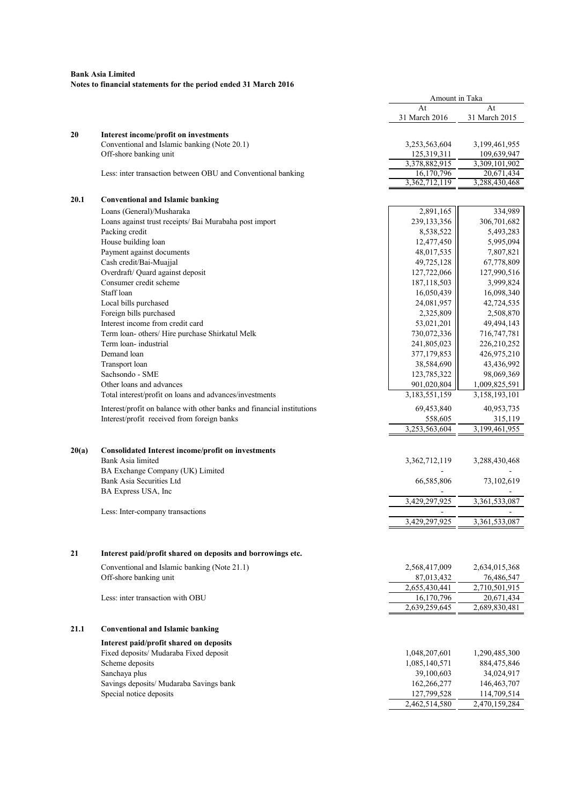|       |                                                                         | Amount in Taka              |                             |
|-------|-------------------------------------------------------------------------|-----------------------------|-----------------------------|
|       |                                                                         | At<br>31 March 2016         | At<br>31 March 2015         |
| 20    | Interest income/profit on investments                                   |                             |                             |
|       | Conventional and Islamic banking (Note 20.1)                            | 3,253,563,604               | 3,199,461,955               |
|       | Off-shore banking unit                                                  | 125,319,311                 | 109,639,947                 |
|       |                                                                         | 3,378,882,915               | 3,309,101,902               |
|       | Less: inter transaction between OBU and Conventional banking            | 16,170,796<br>3,362,712,119 | 20,671,434<br>3,288,430,468 |
|       |                                                                         |                             |                             |
| 20.1  | <b>Conventional and Islamic banking</b>                                 |                             |                             |
|       | Loans (General)/Musharaka                                               | 2,891,165                   | 334,989                     |
|       | Loans against trust receipts/ Bai Murabaha post import                  | 239,133,356                 | 306,701,682                 |
|       | Packing credit                                                          | 8,538,522                   | 5,493,283                   |
|       | House building loan<br>Payment against documents                        | 12,477,450                  | 5,995,094                   |
|       | Cash credit/Bai-Muajjal                                                 | 48,017,535<br>49,725,128    | 7,807,821<br>67,778,809     |
|       | Overdraft/ Quard against deposit                                        | 127,722,066                 | 127,990,516                 |
|       | Consumer credit scheme                                                  | 187, 118, 503               | 3,999,824                   |
|       | Staff loan                                                              | 16,050,439                  | 16,098,340                  |
|       | Local bills purchased                                                   | 24,081,957                  | 42,724,535                  |
|       | Foreign bills purchased                                                 | 2,325,809                   | 2,508,870                   |
|       | Interest income from credit card                                        | 53,021,201                  | 49,494,143                  |
|       | Term loan- others/ Hire purchase Shirkatul Melk                         | 730,072,336                 | 716,747,781                 |
|       | Term loan-industrial                                                    | 241,805,023                 | 226,210,252                 |
|       | Demand loan                                                             | 377,179,853                 | 426,975,210                 |
|       | Transport loan                                                          | 38,584,690                  | 43,436,992                  |
|       | Sachsondo - SME                                                         | 123,785,322                 | 98,069,369                  |
|       | Other loans and advances                                                | 901,020,804                 | 1,009,825,591               |
|       | Total interest/profit on loans and advances/investments                 | 3,183,551,159               | 3,158,193,101               |
|       | Interest/profit on balance with other banks and financial institutions  | 69,453,840                  | 40,953,735                  |
|       | Interest/profit received from foreign banks                             | 558,605                     | 315,119                     |
|       |                                                                         | 3,253,563,604               | 3,199,461,955               |
|       |                                                                         |                             |                             |
| 20(a) | Consolidated Interest income/profit on investments<br>Bank Asia limited |                             |                             |
|       |                                                                         | 3,362,712,119               | 3,288,430,468               |
|       | BA Exchange Company (UK) Limited<br><b>Bank Asia Securities Ltd</b>     |                             |                             |
|       |                                                                         | 66,585,806                  | 73,102,619                  |
|       | BA Express USA, Inc                                                     | 3,429,297,925               | 3,361,533,087               |
|       | Less: Inter-company transactions                                        | $\blacksquare$              |                             |
|       |                                                                         | 3,429,297,925               | 3,361,533,087               |
|       |                                                                         |                             |                             |
| 21    | Interest paid/profit shared on deposits and borrowings etc.             |                             |                             |
|       | Conventional and Islamic banking (Note 21.1)                            | 2,568,417,009               | 2,634,015,368               |
|       | Off-shore banking unit                                                  | 87,013,432                  | 76,486,547                  |
|       |                                                                         | 2,655,430,441               | 2,710,501,915               |
|       | Less: inter transaction with OBU                                        | 16,170,796                  | 20,671,434                  |
|       |                                                                         | 2,639,259,645               | 2,689,830,481               |
| 21.1  | <b>Conventional and Islamic banking</b>                                 |                             |                             |
|       | Interest paid/profit shared on deposits                                 |                             |                             |
|       | Fixed deposits/ Mudaraba Fixed deposit                                  | 1,048,207,601               | 1,290,485,300               |
|       | Scheme deposits                                                         | 1,085,140,571               | 884,475,846                 |
|       | Sanchaya plus                                                           | 39,100,603                  | 34,024,917                  |
|       | Savings deposits/ Mudaraba Savings bank                                 | 162,266,277                 | 146,463,707                 |
|       | Special notice deposits                                                 | 127,799,528                 | 114,709,514                 |
|       |                                                                         | 2,462,514,580               | 2,470,159,284               |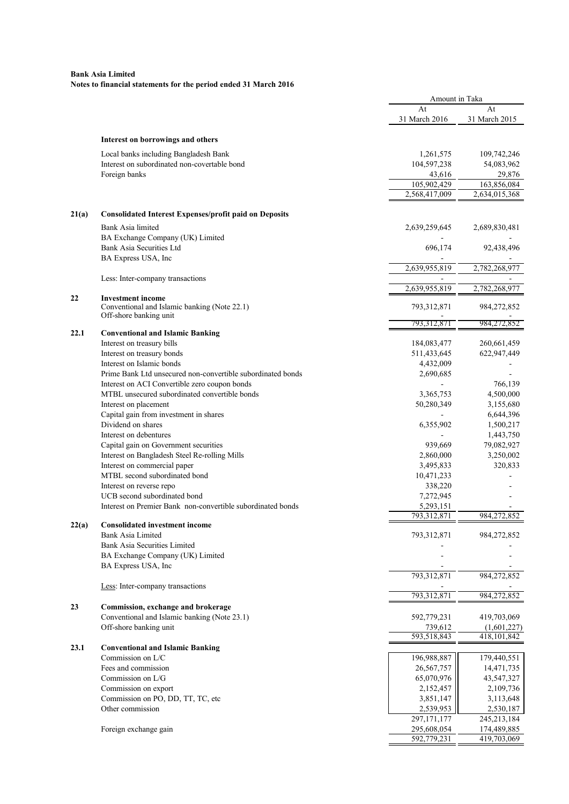|       |                                                                        | Amount in Taka |               |
|-------|------------------------------------------------------------------------|----------------|---------------|
|       |                                                                        | At             | At            |
|       |                                                                        | 31 March 2016  | 31 March 2015 |
|       | Interest on borrowings and others                                      |                |               |
|       |                                                                        |                |               |
|       | Local banks including Bangladesh Bank                                  | 1,261,575      | 109,742,246   |
|       | Interest on subordinated non-covertable bond                           | 104,597,238    | 54,083,962    |
|       | Foreign banks                                                          | 43,616         | 29,876        |
|       |                                                                        | 105,902,429    | 163,856,084   |
|       |                                                                        | 2,568,417,009  | 2,634,015,368 |
| 21(a) | <b>Consolidated Interest Expenses/profit paid on Deposits</b>          |                |               |
|       | Bank Asia limited                                                      | 2,639,259,645  | 2,689,830,481 |
|       | BA Exchange Company (UK) Limited                                       |                |               |
|       | <b>Bank Asia Securities Ltd</b>                                        | 696,174        | 92,438,496    |
|       | BA Express USA, Inc                                                    |                |               |
|       |                                                                        | 2,639,955,819  | 2,782,268,977 |
|       | Less: Inter-company transactions                                       |                |               |
|       |                                                                        | 2,639,955,819  | 2,782,268,977 |
| 22    | <b>Investment income</b>                                               |                |               |
|       | Conventional and Islamic banking (Note 22.1)<br>Off-shore banking unit | 793,312,871    | 984,272,852   |
|       |                                                                        | 793,312,871    | 984,272,852   |
| 22.1  | <b>Conventional and Islamic Banking</b>                                |                |               |
|       | Interest on treasury bills                                             | 184,083,477    | 260,661,459   |
|       | Interest on treasury bonds                                             | 511,433,645    | 622,947,449   |
|       | Interest on Islamic bonds                                              | 4,432,009      |               |
|       | Prime Bank Ltd unsecured non-convertible subordinated bonds            | 2,690,685      |               |
|       | Interest on ACI Convertible zero coupon bonds                          |                | 766,139       |
|       | MTBL unsecured subordinated convertible bonds                          | 3,365,753      | 4,500,000     |
|       | Interest on placement                                                  | 50,280,349     | 3,155,680     |
|       | Capital gain from investment in shares                                 |                | 6,644,396     |
|       | Dividend on shares                                                     | 6,355,902      | 1,500,217     |
|       | Interest on debentures                                                 |                | 1,443,750     |
|       | Capital gain on Government securities                                  | 939,669        | 79,082,927    |
|       | Interest on Bangladesh Steel Re-rolling Mills                          | 2,860,000      | 3,250,002     |
|       | Interest on commercial paper                                           | 3,495,833      | 320,833       |
|       | MTBL second subordinated bond                                          | 10,471,233     |               |
|       | Interest on reverse repo                                               | 338,220        |               |
|       | UCB second subordinated bond                                           | 7,272,945      |               |
|       | Interest on Premier Bank non-convertible subordinated bonds            | 5,293,151      |               |
|       |                                                                        | 793,312,871    | 984,272,852   |
| 22(a) | <b>Consolidated investment income</b>                                  |                |               |
|       | Bank Asia Limited                                                      | 793,312,871    | 984,272,852   |
|       | Bank Asia Securities Limited                                           |                |               |
|       | BA Exchange Company (UK) Limited                                       |                |               |
|       | BA Express USA, Inc                                                    |                |               |
|       | Less: Inter-company transactions                                       | 793,312,871    | 984,272,852   |
|       |                                                                        | 793,312,871    | 984,272,852   |
| 23    | Commission, exchange and brokerage                                     |                |               |
|       | Conventional and Islamic banking (Note 23.1)                           | 592,779,231    | 419,703,069   |
|       | Off-shore banking unit                                                 | 739,612        | (1,601,227)   |
|       |                                                                        | 593,518,843    | 418, 101, 842 |
| 23.1  | <b>Conventional and Islamic Banking</b>                                |                |               |
|       | Commission on L/C                                                      | 196,988,887    | 179,440,551   |
|       | Fees and commission                                                    | 26,567,757     | 14,471,735    |
|       | Commission on L/G                                                      | 65,070,976     | 43,547,327    |
|       | Commission on export                                                   | 2,152,457      | 2,109,736     |
|       | Commission on PO, DD, TT, TC, etc                                      | 3,851,147      | 3,113,648     |
|       | Other commission                                                       | 2,539,953      | 2,530,187     |
|       |                                                                        | 297, 171, 177  | 245, 213, 184 |
|       | Foreign exchange gain                                                  | 295,608,054    | 174,489,885   |
|       |                                                                        | 592,779,231    | 419,703,069   |
|       |                                                                        |                |               |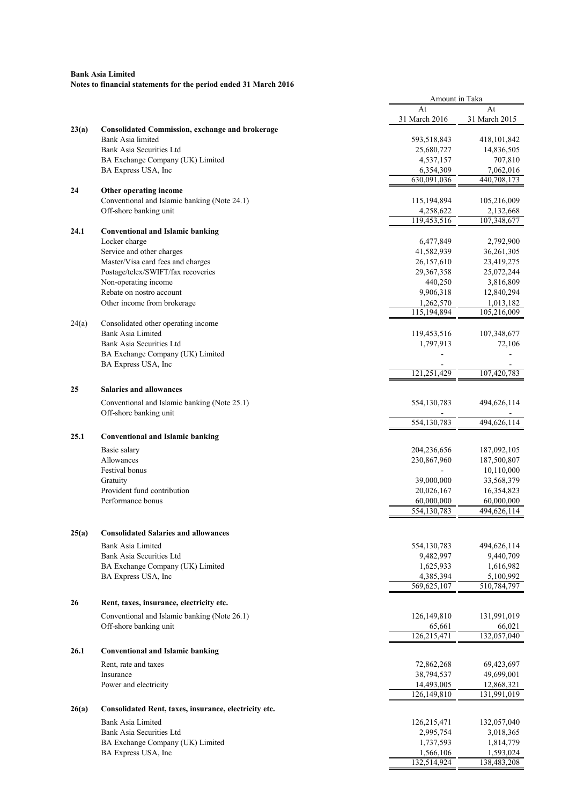|       |                                                                             | Amount in Taka            |                           |
|-------|-----------------------------------------------------------------------------|---------------------------|---------------------------|
|       |                                                                             | At                        | At                        |
|       |                                                                             | 31 March 2016             | 31 March 2015             |
| 23(a) | <b>Consolidated Commission, exchange and brokerage</b><br>Bank Asia limited |                           |                           |
|       | Bank Asia Securities Ltd                                                    | 593,518,843<br>25,680,727 | 418,101,842<br>14,836,505 |
|       | BA Exchange Company (UK) Limited                                            | 4,537,157                 | 707,810                   |
|       | BA Express USA, Inc                                                         | 6,354,309                 | 7,062,016                 |
|       |                                                                             | 630,091,036               | 440,708,173               |
| 24    | Other operating income                                                      |                           |                           |
|       | Conventional and Islamic banking (Note 24.1)                                | 115,194,894               | 105,216,009               |
|       | Off-shore banking unit                                                      | 4,258,622                 | 2,132,668                 |
|       |                                                                             | 119,453,516               | 107,348,677               |
| 24.1  | <b>Conventional and Islamic banking</b>                                     |                           |                           |
|       | Locker charge                                                               | 6,477,849                 | 2,792,900                 |
|       | Service and other charges<br>Master/Visa card fees and charges              | 41,582,939<br>26,157,610  | 36,261,305<br>23,419,275  |
|       | Postage/telex/SWIFT/fax recoveries                                          | 29,367,358                | 25,072,244                |
|       | Non-operating income                                                        | 440,250                   | 3,816,809                 |
|       | Rebate on nostro account                                                    | 9,906,318                 | 12,840,294                |
|       | Other income from brokerage                                                 | 1,262,570                 | 1,013,182                 |
|       |                                                                             | 115,194,894               | 105,216,009               |
| 24(a) | Consolidated other operating income                                         |                           |                           |
|       | Bank Asia Limited                                                           | 119,453,516               | 107,348,677               |
|       | Bank Asia Securities Ltd                                                    | 1,797,913                 | 72,106                    |
|       | BA Exchange Company (UK) Limited                                            |                           |                           |
|       | BA Express USA, Inc                                                         |                           |                           |
|       |                                                                             | 121,251,429               | 107,420,783               |
| 25    | <b>Salaries and allowances</b>                                              |                           |                           |
|       | Conventional and Islamic banking (Note 25.1)                                | 554,130,783               | 494,626,114               |
|       | Off-shore banking unit                                                      |                           |                           |
|       |                                                                             | 554,130,783               | 494,626,114               |
| 25.1  | <b>Conventional and Islamic banking</b>                                     |                           |                           |
|       | Basic salary                                                                | 204,236,656               | 187,092,105               |
|       | Allowances                                                                  | 230,867,960               | 187,500,807               |
|       | <b>Festival</b> bonus                                                       |                           | 10,110,000                |
|       | Gratuity                                                                    | 39,000,000                | 33,568,379                |
|       | Provident fund contribution                                                 | 20,026,167                | 16,354,823                |
|       | Performance bonus                                                           | 60,000,000                | 60,000,000                |
|       |                                                                             | 554,130,783               | 494,626,114               |
| 25(a) | <b>Consolidated Salaries and allowances</b>                                 |                           |                           |
|       | Bank Asia Limited                                                           | 554,130,783               | 494,626,114               |
|       | Bank Asia Securities Ltd                                                    | 9,482,997                 | 9,440,709                 |
|       | BA Exchange Company (UK) Limited                                            | 1,625,933                 | 1,616,982                 |
|       | BA Express USA, Inc                                                         | 4,385,394                 | 5,100,992                 |
|       |                                                                             | 569,625,107               | 510,784,797               |
| 26    | Rent, taxes, insurance, electricity etc.                                    |                           |                           |
|       | Conventional and Islamic banking (Note 26.1)                                | 126,149,810               | 131,991,019               |
|       | Off-shore banking unit                                                      | 65,661                    | 66,021                    |
|       |                                                                             | 126,215,471               | 132,057,040               |
| 26.1  | <b>Conventional and Islamic banking</b>                                     |                           |                           |
|       | Rent, rate and taxes                                                        | 72,862,268                | 69,423,697                |
|       | Insurance                                                                   | 38,794,537                | 49,699,001                |
|       | Power and electricity                                                       | 14,493,005                | 12,868,321                |
|       |                                                                             | 126,149,810               | 131,991,019               |
| 26(a) | Consolidated Rent, taxes, insurance, electricity etc.                       |                           |                           |
|       | <b>Bank Asia Limited</b>                                                    |                           |                           |
|       | Bank Asia Securities Ltd                                                    | 126,215,471<br>2,995,754  | 132,057,040<br>3,018,365  |
|       | BA Exchange Company (UK) Limited                                            | 1,737,593                 | 1,814,779                 |
|       | BA Express USA, Inc                                                         | 1,566,106                 | 1,593,024                 |
|       |                                                                             | 132,514,924               | 138,483,208               |
|       |                                                                             |                           |                           |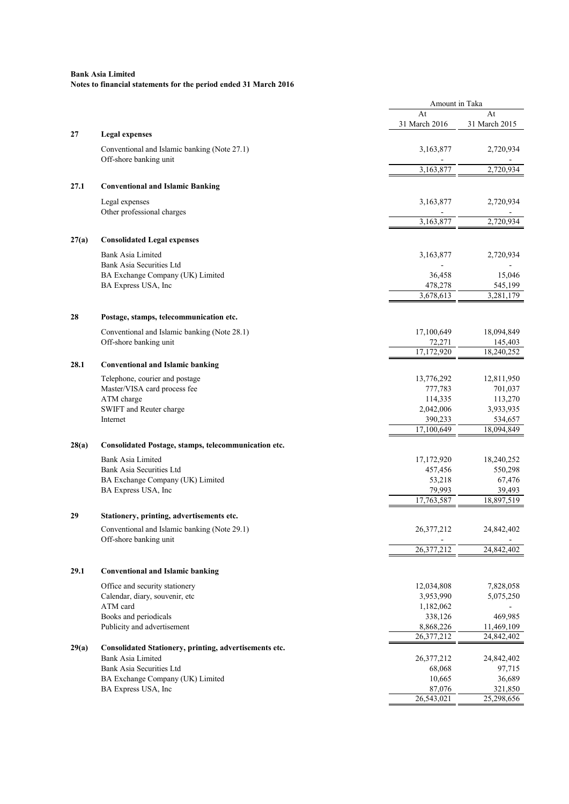|       |                                                                        | Amount in Taka       |                      |  |
|-------|------------------------------------------------------------------------|----------------------|----------------------|--|
|       |                                                                        | At                   | At                   |  |
|       |                                                                        | 31 March 2016        | 31 March 2015        |  |
| 27    | <b>Legal expenses</b>                                                  |                      |                      |  |
|       | Conventional and Islamic banking (Note 27.1)<br>Off-shore banking unit | 3,163,877            | 2,720,934            |  |
|       |                                                                        | 3,163,877            | 2,720,934            |  |
| 27.1  | <b>Conventional and Islamic Banking</b>                                |                      |                      |  |
|       |                                                                        |                      |                      |  |
|       | Legal expenses<br>Other professional charges                           | 3,163,877            | 2,720,934            |  |
|       |                                                                        | 3,163,877            | 2.720.934            |  |
| 27(a) | <b>Consolidated Legal expenses</b>                                     |                      |                      |  |
|       | Bank Asia Limited                                                      | 3,163,877            | 2,720,934            |  |
|       | Bank Asia Securities Ltd                                               |                      |                      |  |
|       | BA Exchange Company (UK) Limited                                       | 36,458               | 15,046               |  |
|       | BA Express USA, Inc                                                    | 478,278              | 545,199              |  |
|       |                                                                        | 3,678,613            | 3,281,179            |  |
| 28    | Postage, stamps, telecommunication etc.                                |                      |                      |  |
|       | Conventional and Islamic banking (Note 28.1)                           | 17,100,649           | 18,094,849           |  |
|       | Off-shore banking unit                                                 | 72,271               | 145,403              |  |
|       |                                                                        | 17,172,920           | 18,240,252           |  |
| 28.1  | <b>Conventional and Islamic banking</b>                                |                      |                      |  |
|       | Telephone, courier and postage                                         | 13,776,292           | 12,811,950           |  |
|       | Master/VISA card process fee                                           | 777,783              | 701,037              |  |
|       | ATM charge                                                             | 114,335              | 113,270              |  |
|       | SWIFT and Reuter charge                                                | 2,042,006            | 3,933,935            |  |
|       | Internet                                                               | 390,233              | 534,657              |  |
|       |                                                                        | 17,100,649           | 18,094,849           |  |
|       |                                                                        |                      |                      |  |
| 28(a) | Consolidated Postage, stamps, telecommunication etc.                   |                      |                      |  |
|       | <b>Bank Asia Limited</b>                                               | 17,172,920           | 18,240,252           |  |
|       | Bank Asia Securities Ltd                                               | 457,456              | 550,298              |  |
|       | BA Exchange Company (UK) Limited                                       | 53,218               | 67,476               |  |
|       | BA Express USA, Inc                                                    | 79,993<br>17,763,587 | 39,493<br>18,897,519 |  |
|       |                                                                        |                      |                      |  |
| 29    | Stationery, printing, advertisements etc.                              |                      |                      |  |
|       | Conventional and Islamic banking (Note 29.1)                           | 26,377,212           | 24,842,402           |  |
|       | Off-shore banking unit                                                 | 26,377,212           | 24,842,402           |  |
|       |                                                                        |                      |                      |  |
| 29.1  | <b>Conventional and Islamic banking</b>                                |                      |                      |  |
|       | Office and security stationery                                         | 12,034,808           | 7,828,058            |  |
|       | Calendar, diary, souvenir, etc                                         | 3,953,990            | 5,075,250            |  |
|       | ATM card                                                               | 1,182,062            |                      |  |
|       | Books and periodicals                                                  | 338,126              | 469,985              |  |
|       | Publicity and advertisement                                            | 8,868,226            | 11,469,109           |  |
|       |                                                                        | 26,377,212           | 24,842,402           |  |
| 29(a) | Consolidated Stationery, printing, advertisements etc.                 |                      |                      |  |
|       | Bank Asia Limited                                                      | 26, 377, 212         | 24,842,402           |  |
|       | Bank Asia Securities Ltd                                               | 68,068               | 97,715               |  |
|       | BA Exchange Company (UK) Limited                                       | 10,665               | 36,689               |  |
|       | BA Express USA, Inc                                                    | 87,076               | 321,850              |  |
|       |                                                                        | 26,543,021           | 25,298,656           |  |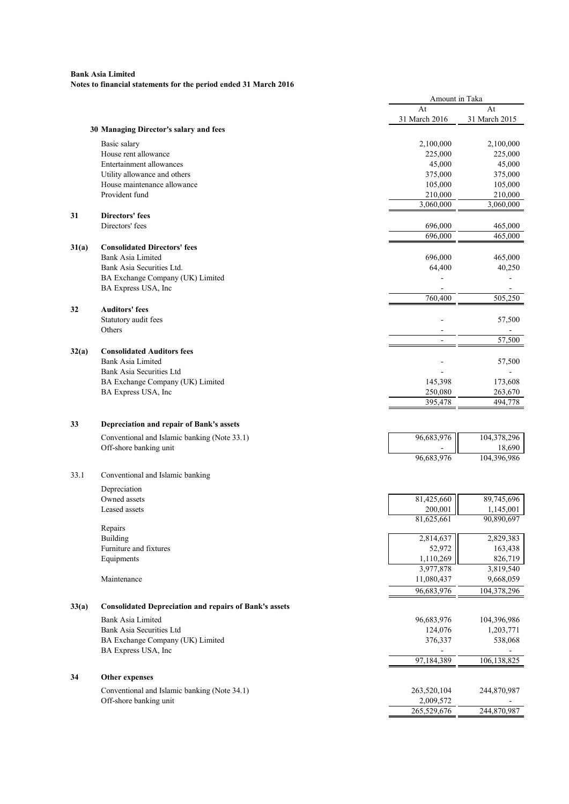|       |                                                               | Amount in Taka |               |
|-------|---------------------------------------------------------------|----------------|---------------|
|       |                                                               | At             | At            |
|       |                                                               | 31 March 2016  | 31 March 2015 |
|       | 30 Managing Director's salary and fees                        |                |               |
|       | Basic salary                                                  | 2,100,000      | 2,100,000     |
|       | House rent allowance                                          | 225,000        | 225,000       |
|       | Entertainment allowances                                      | 45,000         | 45,000        |
|       | Utility allowance and others                                  | 375,000        | 375,000       |
|       | House maintenance allowance                                   | 105,000        | 105,000       |
|       | Provident fund                                                | 210,000        | 210,000       |
|       |                                                               | 3,060,000      | 3,060,000     |
| 31    | <b>Directors' fees</b>                                        |                |               |
|       | Directors' fees                                               | 696,000        | 465,000       |
|       |                                                               | 696,000        | 465,000       |
|       |                                                               |                |               |
| 31(a) | <b>Consolidated Directors' fees</b>                           |                |               |
|       | <b>Bank Asia Limited</b>                                      | 696,000        | 465,000       |
|       | Bank Asia Securities Ltd.                                     | 64,400         | 40,250        |
|       | BA Exchange Company (UK) Limited                              |                |               |
|       | BA Express USA, Inc                                           | L,             |               |
|       |                                                               | 760,400        | 505,250       |
| 32    | <b>Auditors' fees</b>                                         |                |               |
|       | Statutory audit fees                                          |                | 57,500        |
|       | Others                                                        |                |               |
|       |                                                               | $\blacksquare$ | 57,500        |
| 32(a) | <b>Consolidated Auditors fees</b>                             |                |               |
|       | Bank Asia Limited                                             |                | 57,500        |
|       | Bank Asia Securities Ltd                                      |                |               |
|       | BA Exchange Company (UK) Limited                              | 145,398        | 173,608       |
|       | BA Express USA, Inc                                           | 250,080        | 263,670       |
|       |                                                               | 395,478        | 494,778       |
|       |                                                               |                |               |
|       |                                                               |                |               |
| 33    | Depreciation and repair of Bank's assets                      |                |               |
|       | Conventional and Islamic banking (Note 33.1)                  | 96,683,976     | 104,378,296   |
|       | Off-shore banking unit                                        |                | 18,690        |
|       |                                                               | 96,683,976     | 104,396,986   |
|       |                                                               |                |               |
| 33.1  | Conventional and Islamic banking                              |                |               |
|       | Depreciation                                                  |                |               |
|       | Owned assets                                                  | 81,425,660     | 89,745,696    |
|       | Leased assets                                                 | 200,001        | 1,145,001     |
|       |                                                               | 81,625,661     | 90,890,697    |
|       | Repairs                                                       |                |               |
|       | <b>Building</b>                                               | 2,814,637      | 2,829,383     |
|       | Furniture and fixtures                                        | 52,972         | 163,438       |
|       | Equipments                                                    | 1,110,269      | 826,719       |
|       |                                                               | 3,977,878      | 3,819,540     |
|       | Maintenance                                                   | 11,080,437     | 9,668,059     |
|       |                                                               | 96,683,976     |               |
|       |                                                               |                | 104,378,296   |
| 33(a) | <b>Consolidated Depreciation and repairs of Bank's assets</b> |                |               |
|       |                                                               |                |               |
|       | <b>Bank Asia Limited</b>                                      | 96,683,976     | 104,396,986   |
|       | Bank Asia Securities Ltd                                      | 124,076        | 1,203,771     |
|       | BA Exchange Company (UK) Limited                              | 376,337        | 538,068       |
|       | BA Express USA, Inc                                           |                |               |
|       |                                                               | 97,184,389     | 106,138,825   |
| 34    | Other expenses                                                |                |               |
|       |                                                               |                |               |
|       | Conventional and Islamic banking (Note 34.1)                  | 263,520,104    | 244,870,987   |
|       | Off-shore banking unit                                        | 2,009,572      |               |
|       |                                                               | 265,529,676    | 244,870,987   |
|       |                                                               |                |               |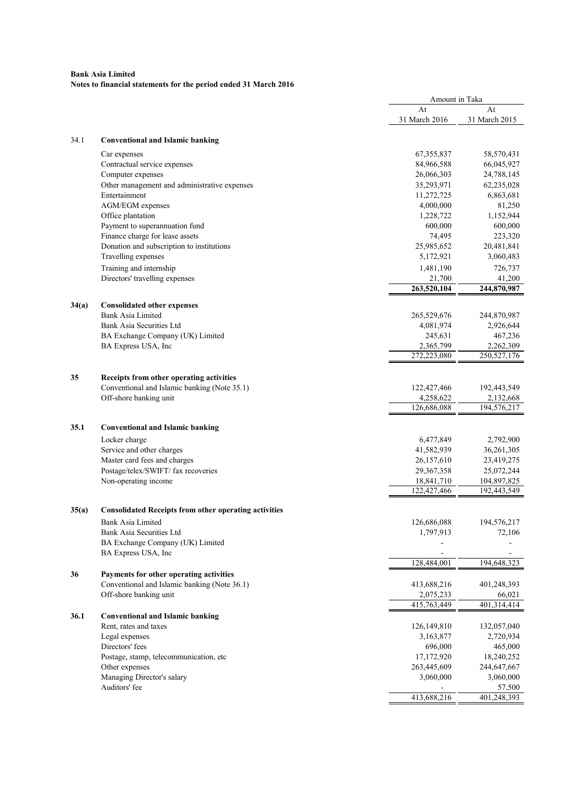| At<br>At<br>31 March 2016<br>31 March 2015<br>34.1<br><b>Conventional and Islamic banking</b><br>67, 355, 837<br>58,570,431<br>Car expenses<br>Contractual service expenses<br>84,966,588<br>66,045,927<br>Computer expenses<br>26,066,303<br>24,788,145<br>Other management and administrative expenses<br>35,293,971<br>62,235,028<br>Entertainment<br>11,272,725<br>6,863,681<br>AGM/EGM expenses<br>4,000,000<br>81,250<br>Office plantation<br>1,228,722<br>1,152,944<br>Payment to superannuation fund<br>600,000<br>600,000<br>Finance charge for lease assets<br>74,495<br>223,320<br>Donation and subscription to institutions<br>25,985,652<br>20,481,841<br>Travelling expenses<br>3,060,483<br>5,172,921<br>Training and internship<br>1,481,190<br>726,737<br>Directors' travelling expenses<br>21,700<br>41,200<br>263,520,104<br>244,870,987<br>34(a)<br><b>Consolidated other expenses</b><br>Bank Asia Limited<br>265,529,676<br>244,870,987<br>Bank Asia Securities Ltd<br>4,081,974<br>2,926,644<br>BA Exchange Company (UK) Limited<br>245,631<br>467,236<br>BA Express USA, Inc<br>2,365,799<br>2,262,309<br>272,223,080<br>250,527,176<br>Receipts from other operating activities<br>35<br>Conventional and Islamic banking (Note 35.1)<br>122,427,466<br>192,443,549<br>4,258,622<br>Off-shore banking unit<br>2,132,668<br>126,686,088<br>194,576,217<br>35.1<br><b>Conventional and Islamic banking</b><br>6,477,849<br>2,792,900<br>Locker charge<br>Service and other charges<br>41,582,939<br>36,261,305<br>Master card fees and charges<br>26,157,610<br>23,419,275<br>Postage/telex/SWIFT/ fax recoveries<br>29,367,358<br>25,072,244<br>Non-operating income<br>18,841,710<br>104,897,825<br>122,427,466<br>192,443,549<br>35(a)<br><b>Consolidated Receipts from other operating activities</b><br>Bank Asia Limited<br>126,686,088<br>194,576,217<br>Bank Asia Securities Ltd<br>72,106<br>1,797,913<br>BA Exchange Company (UK) Limited<br>BA Express USA, Inc<br>128,484,001<br>194,648,323<br>36<br>Payments for other operating activities<br>Conventional and Islamic banking (Note 36.1)<br>413,688,216<br>401,248,393<br>Off-shore banking unit<br>2,075,233<br>66,021<br>401,314,414<br>415,763,449<br>36.1<br><b>Conventional and Islamic banking</b><br>Rent, rates and taxes<br>126,149,810<br>132,057,040<br>Legal expenses<br>3,163,877<br>2,720,934<br>Directors' fees<br>696,000<br>465,000<br>Postage, stamp, telecommunication, etc<br>17,172,920<br>18,240,252<br>Other expenses<br>263,445,609<br>244,647,667<br>Managing Director's salary<br>3,060,000<br>3,060,000<br>Auditors' fee<br>57,500 |  | Amount in Taka |             |
|-------------------------------------------------------------------------------------------------------------------------------------------------------------------------------------------------------------------------------------------------------------------------------------------------------------------------------------------------------------------------------------------------------------------------------------------------------------------------------------------------------------------------------------------------------------------------------------------------------------------------------------------------------------------------------------------------------------------------------------------------------------------------------------------------------------------------------------------------------------------------------------------------------------------------------------------------------------------------------------------------------------------------------------------------------------------------------------------------------------------------------------------------------------------------------------------------------------------------------------------------------------------------------------------------------------------------------------------------------------------------------------------------------------------------------------------------------------------------------------------------------------------------------------------------------------------------------------------------------------------------------------------------------------------------------------------------------------------------------------------------------------------------------------------------------------------------------------------------------------------------------------------------------------------------------------------------------------------------------------------------------------------------------------------------------------------------------------------------------------------------------------------------------------------------------------------------------------------------------------------------------------------------------------------------------------------------------------------------------------------------------------------------------------------------------------------------------------------------------------------------------------------------------------------------------------------------------------------------------------------------------------------------------|--|----------------|-------------|
|                                                                                                                                                                                                                                                                                                                                                                                                                                                                                                                                                                                                                                                                                                                                                                                                                                                                                                                                                                                                                                                                                                                                                                                                                                                                                                                                                                                                                                                                                                                                                                                                                                                                                                                                                                                                                                                                                                                                                                                                                                                                                                                                                                                                                                                                                                                                                                                                                                                                                                                                                                                                                                                       |  |                |             |
|                                                                                                                                                                                                                                                                                                                                                                                                                                                                                                                                                                                                                                                                                                                                                                                                                                                                                                                                                                                                                                                                                                                                                                                                                                                                                                                                                                                                                                                                                                                                                                                                                                                                                                                                                                                                                                                                                                                                                                                                                                                                                                                                                                                                                                                                                                                                                                                                                                                                                                                                                                                                                                                       |  |                |             |
|                                                                                                                                                                                                                                                                                                                                                                                                                                                                                                                                                                                                                                                                                                                                                                                                                                                                                                                                                                                                                                                                                                                                                                                                                                                                                                                                                                                                                                                                                                                                                                                                                                                                                                                                                                                                                                                                                                                                                                                                                                                                                                                                                                                                                                                                                                                                                                                                                                                                                                                                                                                                                                                       |  |                |             |
|                                                                                                                                                                                                                                                                                                                                                                                                                                                                                                                                                                                                                                                                                                                                                                                                                                                                                                                                                                                                                                                                                                                                                                                                                                                                                                                                                                                                                                                                                                                                                                                                                                                                                                                                                                                                                                                                                                                                                                                                                                                                                                                                                                                                                                                                                                                                                                                                                                                                                                                                                                                                                                                       |  |                |             |
|                                                                                                                                                                                                                                                                                                                                                                                                                                                                                                                                                                                                                                                                                                                                                                                                                                                                                                                                                                                                                                                                                                                                                                                                                                                                                                                                                                                                                                                                                                                                                                                                                                                                                                                                                                                                                                                                                                                                                                                                                                                                                                                                                                                                                                                                                                                                                                                                                                                                                                                                                                                                                                                       |  |                |             |
|                                                                                                                                                                                                                                                                                                                                                                                                                                                                                                                                                                                                                                                                                                                                                                                                                                                                                                                                                                                                                                                                                                                                                                                                                                                                                                                                                                                                                                                                                                                                                                                                                                                                                                                                                                                                                                                                                                                                                                                                                                                                                                                                                                                                                                                                                                                                                                                                                                                                                                                                                                                                                                                       |  |                |             |
|                                                                                                                                                                                                                                                                                                                                                                                                                                                                                                                                                                                                                                                                                                                                                                                                                                                                                                                                                                                                                                                                                                                                                                                                                                                                                                                                                                                                                                                                                                                                                                                                                                                                                                                                                                                                                                                                                                                                                                                                                                                                                                                                                                                                                                                                                                                                                                                                                                                                                                                                                                                                                                                       |  |                |             |
|                                                                                                                                                                                                                                                                                                                                                                                                                                                                                                                                                                                                                                                                                                                                                                                                                                                                                                                                                                                                                                                                                                                                                                                                                                                                                                                                                                                                                                                                                                                                                                                                                                                                                                                                                                                                                                                                                                                                                                                                                                                                                                                                                                                                                                                                                                                                                                                                                                                                                                                                                                                                                                                       |  |                |             |
|                                                                                                                                                                                                                                                                                                                                                                                                                                                                                                                                                                                                                                                                                                                                                                                                                                                                                                                                                                                                                                                                                                                                                                                                                                                                                                                                                                                                                                                                                                                                                                                                                                                                                                                                                                                                                                                                                                                                                                                                                                                                                                                                                                                                                                                                                                                                                                                                                                                                                                                                                                                                                                                       |  |                |             |
|                                                                                                                                                                                                                                                                                                                                                                                                                                                                                                                                                                                                                                                                                                                                                                                                                                                                                                                                                                                                                                                                                                                                                                                                                                                                                                                                                                                                                                                                                                                                                                                                                                                                                                                                                                                                                                                                                                                                                                                                                                                                                                                                                                                                                                                                                                                                                                                                                                                                                                                                                                                                                                                       |  |                |             |
|                                                                                                                                                                                                                                                                                                                                                                                                                                                                                                                                                                                                                                                                                                                                                                                                                                                                                                                                                                                                                                                                                                                                                                                                                                                                                                                                                                                                                                                                                                                                                                                                                                                                                                                                                                                                                                                                                                                                                                                                                                                                                                                                                                                                                                                                                                                                                                                                                                                                                                                                                                                                                                                       |  |                |             |
|                                                                                                                                                                                                                                                                                                                                                                                                                                                                                                                                                                                                                                                                                                                                                                                                                                                                                                                                                                                                                                                                                                                                                                                                                                                                                                                                                                                                                                                                                                                                                                                                                                                                                                                                                                                                                                                                                                                                                                                                                                                                                                                                                                                                                                                                                                                                                                                                                                                                                                                                                                                                                                                       |  |                |             |
|                                                                                                                                                                                                                                                                                                                                                                                                                                                                                                                                                                                                                                                                                                                                                                                                                                                                                                                                                                                                                                                                                                                                                                                                                                                                                                                                                                                                                                                                                                                                                                                                                                                                                                                                                                                                                                                                                                                                                                                                                                                                                                                                                                                                                                                                                                                                                                                                                                                                                                                                                                                                                                                       |  |                |             |
|                                                                                                                                                                                                                                                                                                                                                                                                                                                                                                                                                                                                                                                                                                                                                                                                                                                                                                                                                                                                                                                                                                                                                                                                                                                                                                                                                                                                                                                                                                                                                                                                                                                                                                                                                                                                                                                                                                                                                                                                                                                                                                                                                                                                                                                                                                                                                                                                                                                                                                                                                                                                                                                       |  |                |             |
|                                                                                                                                                                                                                                                                                                                                                                                                                                                                                                                                                                                                                                                                                                                                                                                                                                                                                                                                                                                                                                                                                                                                                                                                                                                                                                                                                                                                                                                                                                                                                                                                                                                                                                                                                                                                                                                                                                                                                                                                                                                                                                                                                                                                                                                                                                                                                                                                                                                                                                                                                                                                                                                       |  |                |             |
|                                                                                                                                                                                                                                                                                                                                                                                                                                                                                                                                                                                                                                                                                                                                                                                                                                                                                                                                                                                                                                                                                                                                                                                                                                                                                                                                                                                                                                                                                                                                                                                                                                                                                                                                                                                                                                                                                                                                                                                                                                                                                                                                                                                                                                                                                                                                                                                                                                                                                                                                                                                                                                                       |  |                |             |
|                                                                                                                                                                                                                                                                                                                                                                                                                                                                                                                                                                                                                                                                                                                                                                                                                                                                                                                                                                                                                                                                                                                                                                                                                                                                                                                                                                                                                                                                                                                                                                                                                                                                                                                                                                                                                                                                                                                                                                                                                                                                                                                                                                                                                                                                                                                                                                                                                                                                                                                                                                                                                                                       |  |                |             |
|                                                                                                                                                                                                                                                                                                                                                                                                                                                                                                                                                                                                                                                                                                                                                                                                                                                                                                                                                                                                                                                                                                                                                                                                                                                                                                                                                                                                                                                                                                                                                                                                                                                                                                                                                                                                                                                                                                                                                                                                                                                                                                                                                                                                                                                                                                                                                                                                                                                                                                                                                                                                                                                       |  |                |             |
|                                                                                                                                                                                                                                                                                                                                                                                                                                                                                                                                                                                                                                                                                                                                                                                                                                                                                                                                                                                                                                                                                                                                                                                                                                                                                                                                                                                                                                                                                                                                                                                                                                                                                                                                                                                                                                                                                                                                                                                                                                                                                                                                                                                                                                                                                                                                                                                                                                                                                                                                                                                                                                                       |  |                |             |
|                                                                                                                                                                                                                                                                                                                                                                                                                                                                                                                                                                                                                                                                                                                                                                                                                                                                                                                                                                                                                                                                                                                                                                                                                                                                                                                                                                                                                                                                                                                                                                                                                                                                                                                                                                                                                                                                                                                                                                                                                                                                                                                                                                                                                                                                                                                                                                                                                                                                                                                                                                                                                                                       |  |                |             |
|                                                                                                                                                                                                                                                                                                                                                                                                                                                                                                                                                                                                                                                                                                                                                                                                                                                                                                                                                                                                                                                                                                                                                                                                                                                                                                                                                                                                                                                                                                                                                                                                                                                                                                                                                                                                                                                                                                                                                                                                                                                                                                                                                                                                                                                                                                                                                                                                                                                                                                                                                                                                                                                       |  |                |             |
|                                                                                                                                                                                                                                                                                                                                                                                                                                                                                                                                                                                                                                                                                                                                                                                                                                                                                                                                                                                                                                                                                                                                                                                                                                                                                                                                                                                                                                                                                                                                                                                                                                                                                                                                                                                                                                                                                                                                                                                                                                                                                                                                                                                                                                                                                                                                                                                                                                                                                                                                                                                                                                                       |  |                |             |
|                                                                                                                                                                                                                                                                                                                                                                                                                                                                                                                                                                                                                                                                                                                                                                                                                                                                                                                                                                                                                                                                                                                                                                                                                                                                                                                                                                                                                                                                                                                                                                                                                                                                                                                                                                                                                                                                                                                                                                                                                                                                                                                                                                                                                                                                                                                                                                                                                                                                                                                                                                                                                                                       |  |                |             |
|                                                                                                                                                                                                                                                                                                                                                                                                                                                                                                                                                                                                                                                                                                                                                                                                                                                                                                                                                                                                                                                                                                                                                                                                                                                                                                                                                                                                                                                                                                                                                                                                                                                                                                                                                                                                                                                                                                                                                                                                                                                                                                                                                                                                                                                                                                                                                                                                                                                                                                                                                                                                                                                       |  |                |             |
|                                                                                                                                                                                                                                                                                                                                                                                                                                                                                                                                                                                                                                                                                                                                                                                                                                                                                                                                                                                                                                                                                                                                                                                                                                                                                                                                                                                                                                                                                                                                                                                                                                                                                                                                                                                                                                                                                                                                                                                                                                                                                                                                                                                                                                                                                                                                                                                                                                                                                                                                                                                                                                                       |  |                |             |
|                                                                                                                                                                                                                                                                                                                                                                                                                                                                                                                                                                                                                                                                                                                                                                                                                                                                                                                                                                                                                                                                                                                                                                                                                                                                                                                                                                                                                                                                                                                                                                                                                                                                                                                                                                                                                                                                                                                                                                                                                                                                                                                                                                                                                                                                                                                                                                                                                                                                                                                                                                                                                                                       |  |                |             |
|                                                                                                                                                                                                                                                                                                                                                                                                                                                                                                                                                                                                                                                                                                                                                                                                                                                                                                                                                                                                                                                                                                                                                                                                                                                                                                                                                                                                                                                                                                                                                                                                                                                                                                                                                                                                                                                                                                                                                                                                                                                                                                                                                                                                                                                                                                                                                                                                                                                                                                                                                                                                                                                       |  |                |             |
|                                                                                                                                                                                                                                                                                                                                                                                                                                                                                                                                                                                                                                                                                                                                                                                                                                                                                                                                                                                                                                                                                                                                                                                                                                                                                                                                                                                                                                                                                                                                                                                                                                                                                                                                                                                                                                                                                                                                                                                                                                                                                                                                                                                                                                                                                                                                                                                                                                                                                                                                                                                                                                                       |  |                |             |
|                                                                                                                                                                                                                                                                                                                                                                                                                                                                                                                                                                                                                                                                                                                                                                                                                                                                                                                                                                                                                                                                                                                                                                                                                                                                                                                                                                                                                                                                                                                                                                                                                                                                                                                                                                                                                                                                                                                                                                                                                                                                                                                                                                                                                                                                                                                                                                                                                                                                                                                                                                                                                                                       |  |                |             |
|                                                                                                                                                                                                                                                                                                                                                                                                                                                                                                                                                                                                                                                                                                                                                                                                                                                                                                                                                                                                                                                                                                                                                                                                                                                                                                                                                                                                                                                                                                                                                                                                                                                                                                                                                                                                                                                                                                                                                                                                                                                                                                                                                                                                                                                                                                                                                                                                                                                                                                                                                                                                                                                       |  |                |             |
|                                                                                                                                                                                                                                                                                                                                                                                                                                                                                                                                                                                                                                                                                                                                                                                                                                                                                                                                                                                                                                                                                                                                                                                                                                                                                                                                                                                                                                                                                                                                                                                                                                                                                                                                                                                                                                                                                                                                                                                                                                                                                                                                                                                                                                                                                                                                                                                                                                                                                                                                                                                                                                                       |  |                |             |
|                                                                                                                                                                                                                                                                                                                                                                                                                                                                                                                                                                                                                                                                                                                                                                                                                                                                                                                                                                                                                                                                                                                                                                                                                                                                                                                                                                                                                                                                                                                                                                                                                                                                                                                                                                                                                                                                                                                                                                                                                                                                                                                                                                                                                                                                                                                                                                                                                                                                                                                                                                                                                                                       |  |                |             |
|                                                                                                                                                                                                                                                                                                                                                                                                                                                                                                                                                                                                                                                                                                                                                                                                                                                                                                                                                                                                                                                                                                                                                                                                                                                                                                                                                                                                                                                                                                                                                                                                                                                                                                                                                                                                                                                                                                                                                                                                                                                                                                                                                                                                                                                                                                                                                                                                                                                                                                                                                                                                                                                       |  |                |             |
|                                                                                                                                                                                                                                                                                                                                                                                                                                                                                                                                                                                                                                                                                                                                                                                                                                                                                                                                                                                                                                                                                                                                                                                                                                                                                                                                                                                                                                                                                                                                                                                                                                                                                                                                                                                                                                                                                                                                                                                                                                                                                                                                                                                                                                                                                                                                                                                                                                                                                                                                                                                                                                                       |  |                |             |
|                                                                                                                                                                                                                                                                                                                                                                                                                                                                                                                                                                                                                                                                                                                                                                                                                                                                                                                                                                                                                                                                                                                                                                                                                                                                                                                                                                                                                                                                                                                                                                                                                                                                                                                                                                                                                                                                                                                                                                                                                                                                                                                                                                                                                                                                                                                                                                                                                                                                                                                                                                                                                                                       |  |                |             |
|                                                                                                                                                                                                                                                                                                                                                                                                                                                                                                                                                                                                                                                                                                                                                                                                                                                                                                                                                                                                                                                                                                                                                                                                                                                                                                                                                                                                                                                                                                                                                                                                                                                                                                                                                                                                                                                                                                                                                                                                                                                                                                                                                                                                                                                                                                                                                                                                                                                                                                                                                                                                                                                       |  |                |             |
|                                                                                                                                                                                                                                                                                                                                                                                                                                                                                                                                                                                                                                                                                                                                                                                                                                                                                                                                                                                                                                                                                                                                                                                                                                                                                                                                                                                                                                                                                                                                                                                                                                                                                                                                                                                                                                                                                                                                                                                                                                                                                                                                                                                                                                                                                                                                                                                                                                                                                                                                                                                                                                                       |  |                |             |
|                                                                                                                                                                                                                                                                                                                                                                                                                                                                                                                                                                                                                                                                                                                                                                                                                                                                                                                                                                                                                                                                                                                                                                                                                                                                                                                                                                                                                                                                                                                                                                                                                                                                                                                                                                                                                                                                                                                                                                                                                                                                                                                                                                                                                                                                                                                                                                                                                                                                                                                                                                                                                                                       |  |                |             |
|                                                                                                                                                                                                                                                                                                                                                                                                                                                                                                                                                                                                                                                                                                                                                                                                                                                                                                                                                                                                                                                                                                                                                                                                                                                                                                                                                                                                                                                                                                                                                                                                                                                                                                                                                                                                                                                                                                                                                                                                                                                                                                                                                                                                                                                                                                                                                                                                                                                                                                                                                                                                                                                       |  |                |             |
|                                                                                                                                                                                                                                                                                                                                                                                                                                                                                                                                                                                                                                                                                                                                                                                                                                                                                                                                                                                                                                                                                                                                                                                                                                                                                                                                                                                                                                                                                                                                                                                                                                                                                                                                                                                                                                                                                                                                                                                                                                                                                                                                                                                                                                                                                                                                                                                                                                                                                                                                                                                                                                                       |  |                |             |
|                                                                                                                                                                                                                                                                                                                                                                                                                                                                                                                                                                                                                                                                                                                                                                                                                                                                                                                                                                                                                                                                                                                                                                                                                                                                                                                                                                                                                                                                                                                                                                                                                                                                                                                                                                                                                                                                                                                                                                                                                                                                                                                                                                                                                                                                                                                                                                                                                                                                                                                                                                                                                                                       |  |                |             |
|                                                                                                                                                                                                                                                                                                                                                                                                                                                                                                                                                                                                                                                                                                                                                                                                                                                                                                                                                                                                                                                                                                                                                                                                                                                                                                                                                                                                                                                                                                                                                                                                                                                                                                                                                                                                                                                                                                                                                                                                                                                                                                                                                                                                                                                                                                                                                                                                                                                                                                                                                                                                                                                       |  |                |             |
|                                                                                                                                                                                                                                                                                                                                                                                                                                                                                                                                                                                                                                                                                                                                                                                                                                                                                                                                                                                                                                                                                                                                                                                                                                                                                                                                                                                                                                                                                                                                                                                                                                                                                                                                                                                                                                                                                                                                                                                                                                                                                                                                                                                                                                                                                                                                                                                                                                                                                                                                                                                                                                                       |  |                |             |
|                                                                                                                                                                                                                                                                                                                                                                                                                                                                                                                                                                                                                                                                                                                                                                                                                                                                                                                                                                                                                                                                                                                                                                                                                                                                                                                                                                                                                                                                                                                                                                                                                                                                                                                                                                                                                                                                                                                                                                                                                                                                                                                                                                                                                                                                                                                                                                                                                                                                                                                                                                                                                                                       |  |                |             |
|                                                                                                                                                                                                                                                                                                                                                                                                                                                                                                                                                                                                                                                                                                                                                                                                                                                                                                                                                                                                                                                                                                                                                                                                                                                                                                                                                                                                                                                                                                                                                                                                                                                                                                                                                                                                                                                                                                                                                                                                                                                                                                                                                                                                                                                                                                                                                                                                                                                                                                                                                                                                                                                       |  |                |             |
|                                                                                                                                                                                                                                                                                                                                                                                                                                                                                                                                                                                                                                                                                                                                                                                                                                                                                                                                                                                                                                                                                                                                                                                                                                                                                                                                                                                                                                                                                                                                                                                                                                                                                                                                                                                                                                                                                                                                                                                                                                                                                                                                                                                                                                                                                                                                                                                                                                                                                                                                                                                                                                                       |  |                |             |
|                                                                                                                                                                                                                                                                                                                                                                                                                                                                                                                                                                                                                                                                                                                                                                                                                                                                                                                                                                                                                                                                                                                                                                                                                                                                                                                                                                                                                                                                                                                                                                                                                                                                                                                                                                                                                                                                                                                                                                                                                                                                                                                                                                                                                                                                                                                                                                                                                                                                                                                                                                                                                                                       |  |                |             |
|                                                                                                                                                                                                                                                                                                                                                                                                                                                                                                                                                                                                                                                                                                                                                                                                                                                                                                                                                                                                                                                                                                                                                                                                                                                                                                                                                                                                                                                                                                                                                                                                                                                                                                                                                                                                                                                                                                                                                                                                                                                                                                                                                                                                                                                                                                                                                                                                                                                                                                                                                                                                                                                       |  |                |             |
|                                                                                                                                                                                                                                                                                                                                                                                                                                                                                                                                                                                                                                                                                                                                                                                                                                                                                                                                                                                                                                                                                                                                                                                                                                                                                                                                                                                                                                                                                                                                                                                                                                                                                                                                                                                                                                                                                                                                                                                                                                                                                                                                                                                                                                                                                                                                                                                                                                                                                                                                                                                                                                                       |  |                |             |
|                                                                                                                                                                                                                                                                                                                                                                                                                                                                                                                                                                                                                                                                                                                                                                                                                                                                                                                                                                                                                                                                                                                                                                                                                                                                                                                                                                                                                                                                                                                                                                                                                                                                                                                                                                                                                                                                                                                                                                                                                                                                                                                                                                                                                                                                                                                                                                                                                                                                                                                                                                                                                                                       |  |                |             |
|                                                                                                                                                                                                                                                                                                                                                                                                                                                                                                                                                                                                                                                                                                                                                                                                                                                                                                                                                                                                                                                                                                                                                                                                                                                                                                                                                                                                                                                                                                                                                                                                                                                                                                                                                                                                                                                                                                                                                                                                                                                                                                                                                                                                                                                                                                                                                                                                                                                                                                                                                                                                                                                       |  |                |             |
|                                                                                                                                                                                                                                                                                                                                                                                                                                                                                                                                                                                                                                                                                                                                                                                                                                                                                                                                                                                                                                                                                                                                                                                                                                                                                                                                                                                                                                                                                                                                                                                                                                                                                                                                                                                                                                                                                                                                                                                                                                                                                                                                                                                                                                                                                                                                                                                                                                                                                                                                                                                                                                                       |  |                |             |
|                                                                                                                                                                                                                                                                                                                                                                                                                                                                                                                                                                                                                                                                                                                                                                                                                                                                                                                                                                                                                                                                                                                                                                                                                                                                                                                                                                                                                                                                                                                                                                                                                                                                                                                                                                                                                                                                                                                                                                                                                                                                                                                                                                                                                                                                                                                                                                                                                                                                                                                                                                                                                                                       |  | 413,688,216    | 401,248,393 |